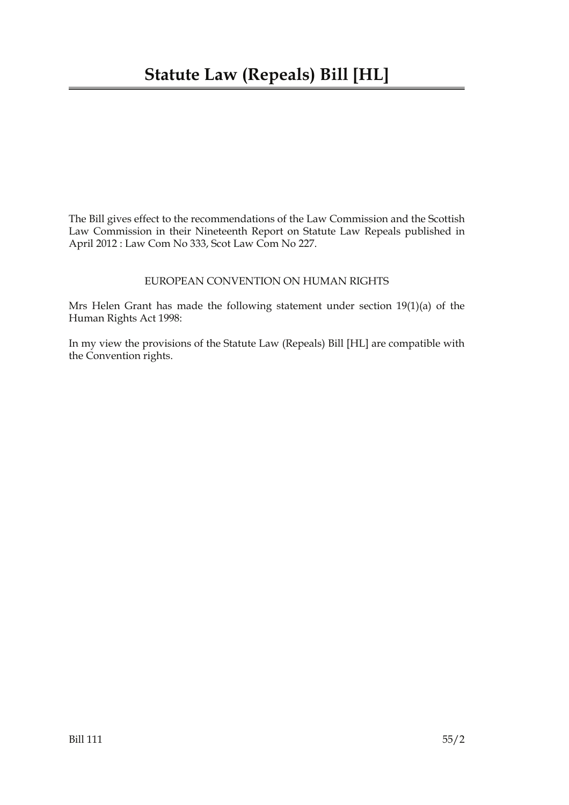The Bill gives effect to the recommendations of the Law Commission and the Scottish Law Commission in their Nineteenth Report on Statute Law Repeals published in April 2012 : Law Com No 333, Scot Law Com No 227.

#### EUROPEAN CONVENTION ON HUMAN RIGHTS

Mrs Helen Grant has made the following statement under section 19(1)(a) of the Human Rights Act 1998:

In my view the provisions of the Statute Law (Repeals) Bill [HL] are compatible with the Convention rights.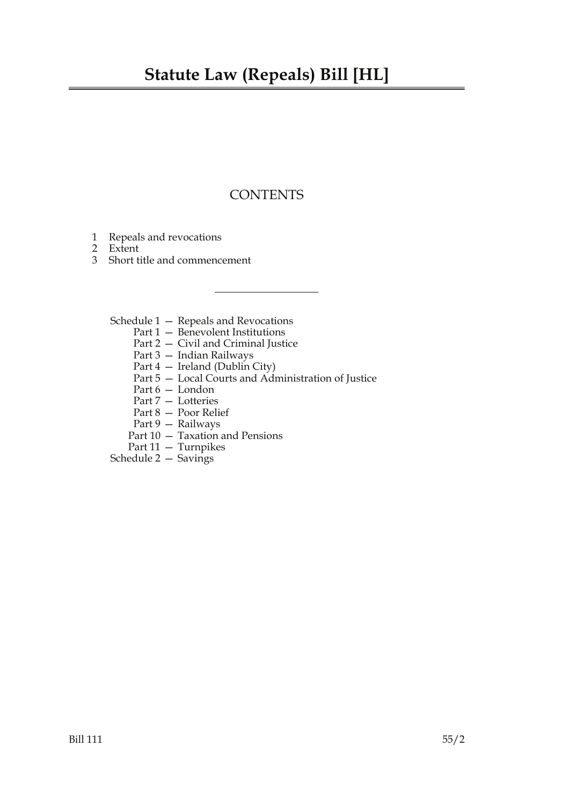# **Statute Law (Repeals) Bill [HL]**

## **CONTENTS**

- 1 Repeals and revocations
- 2 Extent
- 3 Short title and commencement
	- Schedule 1 Repeals and Revocations
		- Part 1 Benevolent Institutions
		- Part 2 Civil and Criminal Justice
		- Part 3 Indian Railways
		- Part 4 Ireland (Dublin City)
		- Part 5 Local Courts and Administration of Justice
		- Part 6 London
		- Part 7 Lotteries
		- Part 8 Poor Relief
		- Part 9 Railways
		- Part 10 Taxation and Pensions
		- Part 11 Turnpikes
	- Schedule 2 Savings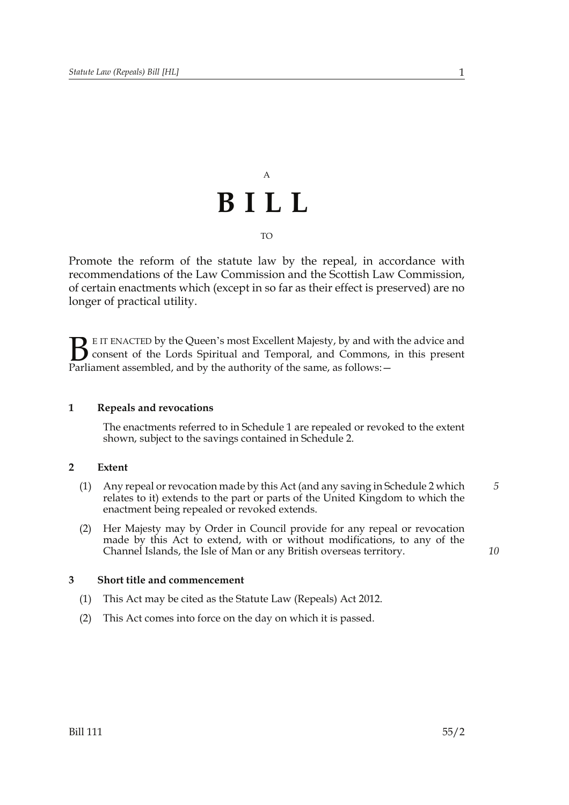# A **BILL** TO

Promote the reform of the statute law by the repeal, in accordance with recommendations of the Law Commission and the Scottish Law Commission, of certain enactments which (except in so far as their effect is preserved) are no longer of practical utility.

E IT ENACTED by the Queen's most Excellent Majesty, by and with the advice and consent of the Lords Spiritual and Temporal, and Commons, in this present **B** E IT ENACTED by the Queen's most Excellent Majesty, by and with consent of the Lords Spiritual and Temporal, and Commons, Parliament assembled, and by the authority of the same, as follows:  $-$ 

#### **1 Repeals and revocations**

The enactments referred to in Schedule 1 are repealed or revoked to the extent shown, subject to the savings contained in Schedule 2.

#### **2 Extent**

- (1) Any repeal or revocation made by this Act (and any saving in Schedule 2 which relates to it) extends to the part or parts of the United Kingdom to which the enactment being repealed or revoked extends. *5*
- (2) Her Majesty may by Order in Council provide for any repeal or revocation made by this Act to extend, with or without modifications, to any of the Channel Islands, the Isle of Man or any British overseas territory.

#### **3 Short title and commencement**

- (1) This Act may be cited as the Statute Law (Repeals) Act 2012.
- (2) This Act comes into force on the day on which it is passed.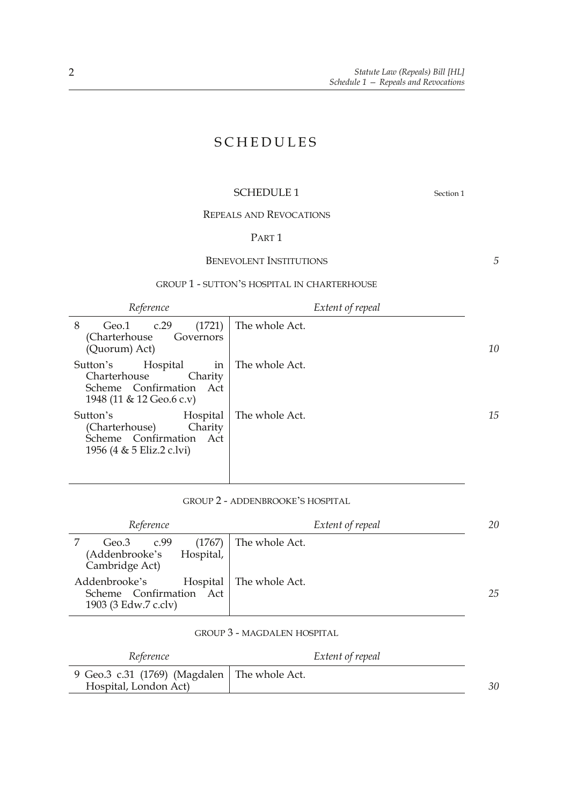## SCHEDULES

#### SCHEDULE 1 Section 1

*5*

REPEALS AND REVOCATIONS

#### PART 1

#### BENEVOLENT INSTITUTIONS

#### GROUP 1 - SUTTON'S HOSPITAL IN CHARTERHOUSE

*Reference Extent of repeal*

| (1721)<br>c.29<br>8<br>Geo.1<br>(Charterhouse<br>Governors<br>(Quorum) Act)                                  | The whole Act. | 10 |
|--------------------------------------------------------------------------------------------------------------|----------------|----|
| Hospital<br>Sutton's<br>in<br>Charterhouse<br>Charity<br>Scheme Confirmation Act<br>1948 (11 & 12 Geo.6 c.v) | The whole Act. |    |
| Sutton's<br>Hospital<br>(Charterhouse)<br>Charity<br>Scheme Confirmation Act<br>1956 (4 & 5 Eliz.2 c.lvi)    | The whole Act. | 15 |

#### GROUP 2 - ADDENBROOKE'S HOSPITAL

| Reference                                                                    | Extent of repeal | 20 |
|------------------------------------------------------------------------------|------------------|----|
| (1767)<br>c.99<br>Geo.3<br>(Addenbrooke's<br>Hospital,<br>Cambridge Act)     | The whole Act.   |    |
| Addenbrooke's<br>Hospital<br>Scheme Confirmation Act<br>1903 (3 Edw.7 c.clv) | The whole Act.   | 25 |

#### GROUP 3 - MAGDALEN HOSPITAL

| Reference                                                               | Extent of repeal |    |
|-------------------------------------------------------------------------|------------------|----|
| 9 Geo.3 c.31 (1769) (Magdalen   The whole Act.<br>Hospital, London Act) |                  | 30 |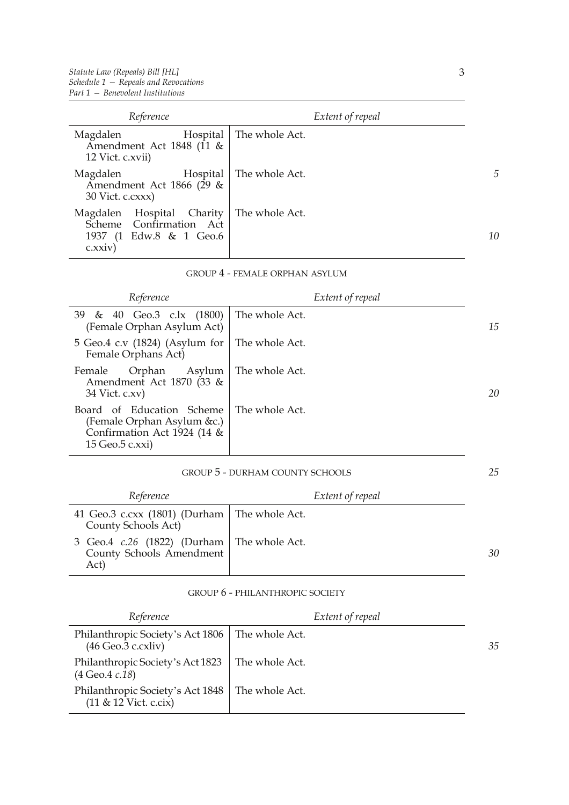| Reference                                                                                  | Extent of repeal |                |
|--------------------------------------------------------------------------------------------|------------------|----------------|
| Magdalen<br>Hospital<br>Amendment Act 1848 (11 &<br>12 Vict. c.xvii)                       | The whole Act.   |                |
| Magdalen<br>Hospital<br>Amendment Act 1866 (29 &<br>30 Vict. c.cxxx)                       | The whole Act.   | $\overline{5}$ |
| Magdalen Hospital Charity<br>Scheme Confirmation Act<br>1937 (1 Edw.8 & 1 Geo.6<br>c.xxiv) | The whole Act.   | 10             |

#### GROUP 4 - FEMALE ORPHAN ASYLUM

| Reference                                                                                                                  | Extent of repeal |    |
|----------------------------------------------------------------------------------------------------------------------------|------------------|----|
| 39 & 40 Geo.3 c.lx (1800) The whole Act.<br>(Female Orphan Asylum Act)                                                     |                  | 15 |
| 5 Geo.4 c.v $(1824)$ (Asylum for   The whole Act.<br>Female Orphans Act)                                                   |                  |    |
| Orphan Asylum   The whole Act.<br>Female<br>Amendment Act 1870 (33 &<br>$34$ Vict. c.xv)                                   |                  | 20 |
| Board of Education Scheme   The whole Act.<br>(Female Orphan Asylum &c.)<br>Confirmation Act 1924 (14 &<br>15 Geo.5 c.xxi) |                  |    |

#### GROUP 5 - DURHAM COUNTY SCHOOLS

| Reference                                                                                | Extent of repeal |    |
|------------------------------------------------------------------------------------------|------------------|----|
| 41 Geo.3 c.cxx (1801) (Durham   The whole Act.<br>County Schools Act)                    |                  |    |
| 3 Geo.4 <i>c.</i> 26 (1822) (Durham   The whole Act.<br>County Schools Amendment<br>Act) |                  | 30 |

#### GROUP 6 - PHILANTHROPIC SOCIETY

| Reference                                                                         | Extent of repeal |    |
|-----------------------------------------------------------------------------------|------------------|----|
| Philanthropic Society's Act 1806   The whole Act.<br>$(46 \text{ Geo.3 c.cxliv})$ |                  | 35 |
| Philanthropic Society's Act 1823   The whole Act.<br>$(4 \text{ Geo.}4 c.18)$     |                  |    |
| Philanthropic Society's Act 1848   The whole Act.<br>$(11 \& 12$ Vict. c.cix)     |                  |    |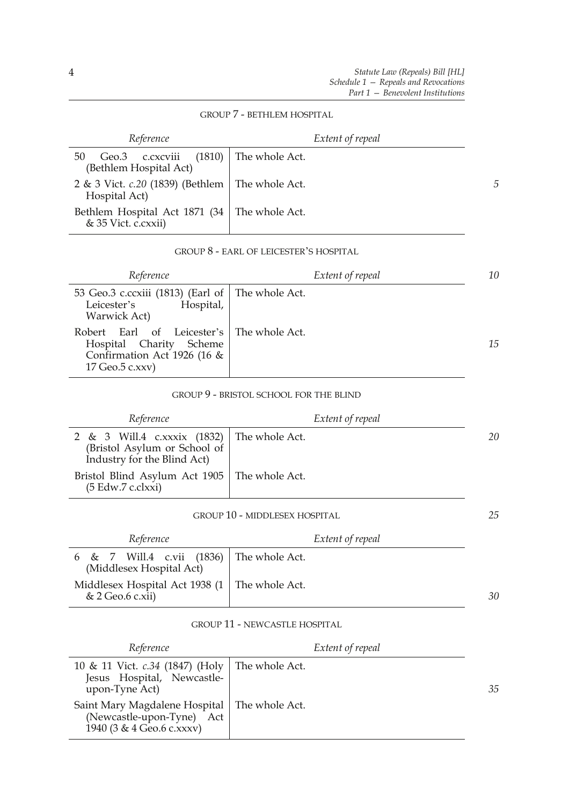*25*

#### GROUP 7 - BETHLEM HOSPITAL

| Reference                                                                  | Extent of repeal |   |
|----------------------------------------------------------------------------|------------------|---|
| Geo.3 c.cxcviii (1810) The whole Act.<br>50<br>(Bethlem Hospital Act)      |                  |   |
| 2 & 3 Vict. <i>c.</i> 20 (1839) (Bethlem   The whole Act.<br>Hospital Act) |                  | 5 |
| Bethlem Hospital Act 1871 (34   The whole Act.<br>& 35 Vict. c.cxxii)      |                  |   |

#### GROUP 8 - EARL OF LEICESTER'S HOSPITAL

| Reference                                                                                                                 | Extent of repeal | 10 |
|---------------------------------------------------------------------------------------------------------------------------|------------------|----|
| 53 Geo.3 c.ccxiii (1813) (Earl of The whole Act.<br>Hospital,<br>Leicester's<br>Warwick Act)                              |                  |    |
| Robert Earl of Leicester's The whole Act.<br>Hospital Charity<br>Scheme<br>Confirmation Act 1926 (16 &<br>17 Geo.5 c.xxv) |                  | 15 |

#### GROUP 9 - BRISTOL SCHOOL FOR THE BLIND

| Reference                                                                                                 | Extent of repeal |    |
|-----------------------------------------------------------------------------------------------------------|------------------|----|
| 2 & 3 Will.4 c.xxxix (1832) The whole Act.<br>(Bristol Asylum or School of<br>Industry for the Blind Act) |                  | 20 |
| Bristol Blind Asylum Act 1905   The whole Act.<br>(5 Edw.7 c.clxxi)                                       |                  |    |

#### GROUP 10 - MIDDLESEX HOSPITAL

| Reference                                                              | Extent of repeal |    |
|------------------------------------------------------------------------|------------------|----|
| 6 & 7 Will.4 c.vii $(1836)$ The whole Act.<br>(Middlesex Hospital Act) |                  |    |
| Middlesex Hospital Act 1938 (1   The whole Act.<br>& 2 Geo.6 c.xii)    |                  | 30 |

#### GROUP 11 - NEWCASTLE HOSPITAL

| Reference                                                                                                | Extent of repeal |    |
|----------------------------------------------------------------------------------------------------------|------------------|----|
| 10 & 11 Vict. <i>c.34</i> (1847) (Holy   The whole Act.<br>Jesus Hospital, Newcastle-<br>upon-Tyne Act)  |                  | 35 |
| Saint Mary Magdalene Hospital   The whole Act.<br>(Newcastle-upon-Tyne) Act<br>1940 (3 & 4 Geo.6 c.xxxv) |                  |    |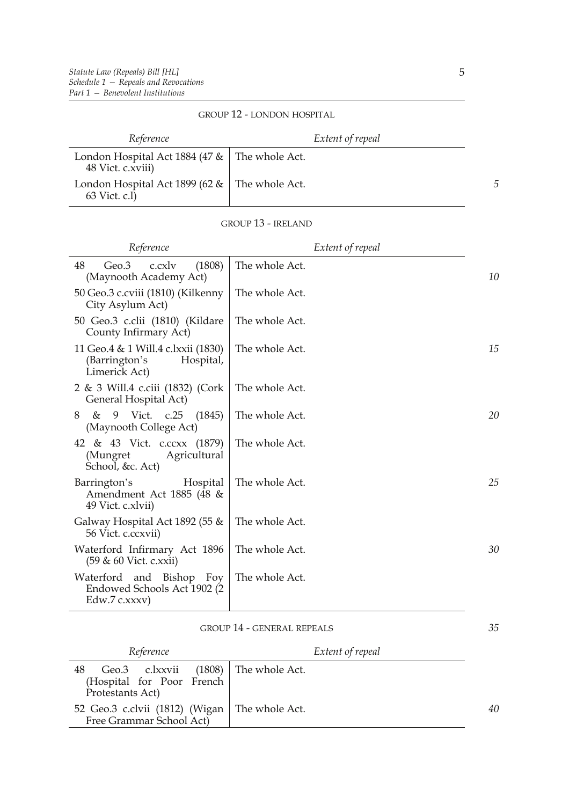| Reference                                                               | Extent of repeal |
|-------------------------------------------------------------------------|------------------|
| London Hospital Act 1884 (47 $\&$   The whole Act.<br>48 Vict. c.xviii) |                  |
| London Hospital Act 1899 (62 $\&$   The whole Act.<br>63 Vict. c.l)     |                  |

#### GROUP 12 - LONDON HOSPITAL

#### GROUP 13 - IRELAND

| Reference                                                                         | Extent of repeal |    |
|-----------------------------------------------------------------------------------|------------------|----|
| (1808)<br>48<br>Geo.3<br>c.cxlv<br>(Maynooth Academy Act)                         | The whole Act.   | 10 |
| 50 Geo.3 c.cviii (1810) (Kilkenny<br>City Asylum Act)                             | The whole Act.   |    |
| 50 Geo.3 c.clii (1810) (Kildare<br>County Infirmary Act)                          | The whole Act.   |    |
| 11 Geo.4 & 1 Will.4 c.lxxii (1830)<br>(Barrington's<br>Hospital,<br>Limerick Act) | The whole Act.   | 15 |
| 2 & 3 Will.4 c.ciii (1832) (Cork<br>General Hospital Act)                         | The whole Act.   |    |
| 9 Vict. c.25<br>&<br>(1845)<br>8<br>(Maynooth College Act)                        | The whole Act.   | 20 |
| 42 & 43 Vict. c.ccxx (1879)<br>(Mungret<br>Agricultural<br>School, &c. Act)       | The whole Act.   |    |
| Barrington's<br>Hospital<br>Amendment Act 1885 (48 &<br>49 Vict. c.xlvii)         | The whole Act.   | 25 |
| Galway Hospital Act 1892 (55 $\&$<br>56 Vict. c.ccxvii)                           | The whole Act.   |    |
| Waterford Infirmary Act 1896<br>(59 & 60 Vict. c.xxii)                            | The whole Act.   | 30 |
| Waterford and Bishop Foy<br>Endowed Schools Act 1902 (2<br>Edw.7 $c.xxxv$ )       | The whole Act.   |    |

#### GROUP 14 - GENERAL REPEALS

| Reference                                                                                   | Extent of repeal |    |
|---------------------------------------------------------------------------------------------|------------------|----|
| Geo.3 c.lxxvii (1808) The whole Act.<br>48<br>(Hospital for Poor French<br>Protestants Act) |                  |    |
| 52 Geo.3 c.clvii (1812) (Wigan   The whole Act.<br>Free Grammar School Act)                 |                  | 40 |

*35*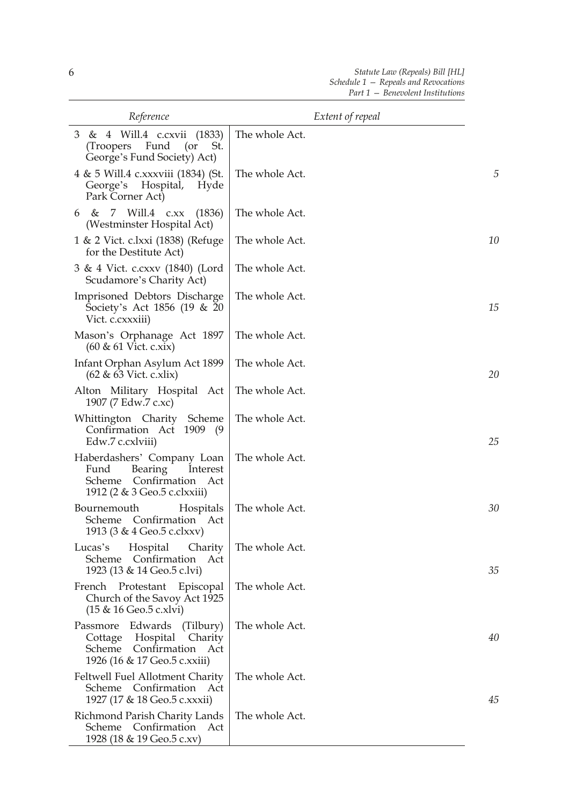| Reference                                                                                                               | Extent of repeal |    |
|-------------------------------------------------------------------------------------------------------------------------|------------------|----|
| 3 & 4 Will.4 c.cxvii (1833)<br>Fund<br>$($ or<br>(Troopers)<br>St.<br>George's Fund Society) Act)                       | The whole Act.   |    |
| 4 & 5 Will.4 c.xxxviii (1834) (St.<br>George's Hospital,<br>Hyde<br>Park Corner Act)                                    | The whole Act.   | 5  |
| 6 & 7 Will.4 c.xx<br>(1836)<br>(Westminster Hospital Act)                                                               | The whole Act.   |    |
| 1 & 2 Vict. c.lxxi (1838) (Refuge<br>for the Destitute Act)                                                             | The whole Act.   | 10 |
| 3 & 4 Vict. c.cxxv (1840) (Lord<br>Scudamore's Charity Act)                                                             | The whole Act.   |    |
| Imprisoned Debtors Discharge<br>Society's Act 1856 (19 & 20<br>Vict. c.cxxxiii)                                         | The whole Act.   | 15 |
| Mason's Orphanage Act 1897<br>$(60 \& 61$ Vict. c.xix)                                                                  | The whole Act.   |    |
| Infant Orphan Asylum Act 1899<br>$(62 \& 63$ Vict. c.xlix)                                                              | The whole Act.   | 20 |
| Alton Military Hospital Act<br>1907 (7 Edw.7 c.xc)                                                                      | The whole Act.   |    |
| Whittington Charity Scheme<br>Confirmation Act 1909<br>(9<br>Edw.7 c.cxlviii)                                           | The whole Act.   | 25 |
| Haberdashers' Company Loan<br>Bearing<br>Fund<br>Interest<br>Scheme<br>Confirmation Act<br>1912 (2 & 3 Geo.5 c.clxxiii) | The whole Act.   |    |
| Bournemouth<br>Hospitals<br>Confirmation<br>Scheme<br>Act<br>1913 (3 & 4 Geo.5 c.clxxv)                                 | The whole Act.   | 30 |
| Hospital<br>Charity<br>Lucas's<br>Scheme Confirmation<br>Act<br>1923 (13 & 14 Geo.5 c.lvi)                              | The whole Act.   | 35 |
| French Protestant Episcopal<br>Church of the Savoy Act 1925<br>(15 & 16 Geo.5 c.xlvi)                                   | The whole Act.   |    |
| Passmore Edwards (Tilbury)<br>Cottage Hospital<br>Charity<br>Scheme Confirmation Act<br>1926 (16 & 17 Geo.5 c.xxiii)    | The whole Act.   | 40 |
| Feltwell Fuel Allotment Charity<br>Confirmation Act<br>Scheme<br>1927 (17 & 18 Geo.5 c.xxxii)                           | The whole Act.   | 45 |
| Richmond Parish Charity Lands<br>Scheme Confirmation Act<br>1928 (18 & 19 Geo.5 c.xv)                                   | The whole Act.   |    |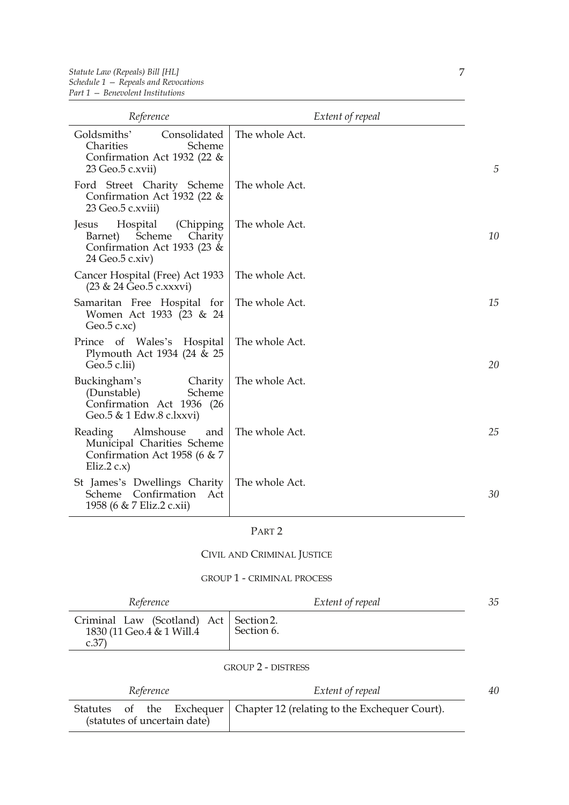| Reference                                                                                                         | Extent of repeal |    |
|-------------------------------------------------------------------------------------------------------------------|------------------|----|
| Goldsmiths'<br>Consolidated<br>Charities<br>Scheme<br>Confirmation Act 1932 (22 &<br>23 Geo.5 c.xvii)             | The whole Act.   | 5  |
| Ford Street Charity Scheme<br>Confirmation Act 1932 (22 $\&$<br>23 Geo.5 c.xviii)                                 | The whole Act.   |    |
| Hospital<br>(Chipping)<br>Jesus<br>Scheme<br>Charity<br>Barnet)<br>Confirmation Act 1933 (23 &<br>24 Geo.5 c.xiv) | The whole Act.   | 10 |
| Cancer Hospital (Free) Act 1933<br>(23 & 24 Geo.5 c.xxxvi)                                                        | The whole Act.   |    |
| Samaritan Free Hospital for<br>Women Act 1933 (23 & 24<br>Geo. $5$ c.xc)                                          | The whole Act.   | 15 |
| Prince of Wales's Hospital<br>Plymouth Act 1934 (24 & 25<br>Geo.5 c.lii)                                          | The whole Act.   | 20 |
| Buckingham's<br>Charity<br>(Dunstable)<br>Scheme<br>Confirmation Act 1936 (26<br>Geo.5 & 1 Edw.8 c.lxxvi)         | The whole Act.   |    |
| Almshouse<br>Reading<br>and<br>Municipal Charities Scheme<br>Confirmation Act 1958 (6 & 7<br>Eliz.2 $c.x$ )       | The whole Act.   | 25 |
| St James's Dwellings Charity<br>Confirmation Act<br>Scheme<br>1958 (6 & 7 Eliz.2 c.xii)                           | The whole Act.   | 30 |

## PART 2

## CIVIL AND CRIMINAL JUSTICE

#### GROUP 1 - CRIMINAL PROCESS

| Reference                                                                      | Extent of repeal | 35 |
|--------------------------------------------------------------------------------|------------------|----|
| Criminal Law (Scotland) Act   Section 2.<br>1830 (11 Geo.4 & 1 Will.4)<br>c.37 | Section 6.       |    |

## GROUP 2 - DISTRESS

| Reference                    | Extent of repeal                                                          | 40 |
|------------------------------|---------------------------------------------------------------------------|----|
| (statutes of uncertain date) | Statutes of the Exchequer   Chapter 12 (relating to the Exchequer Court). |    |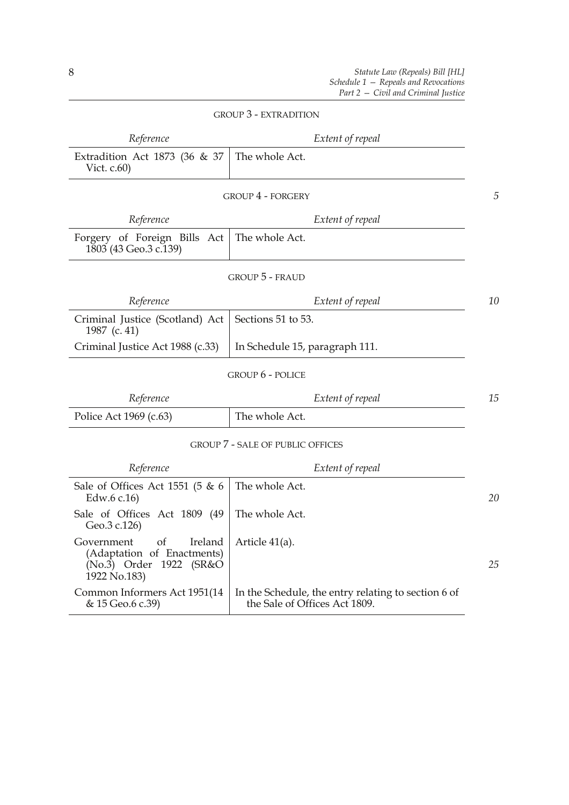| Reference                                                                                            | Extent of repeal                                    |    |
|------------------------------------------------------------------------------------------------------|-----------------------------------------------------|----|
| Extradition Act 1873 (36 & 37<br>Vict. $c.60$ )                                                      | The whole Act.                                      |    |
|                                                                                                      | <b>GROUP 4 - FORGERY</b>                            | 5  |
| Reference                                                                                            | Extent of repeal                                    |    |
| Forgery of Foreign Bills Act<br>1803 (43 Geo.3 c.139)                                                | The whole Act.                                      |    |
|                                                                                                      | <b>GROUP 5 - FRAUD</b>                              |    |
| Reference                                                                                            | Extent of repeal                                    | 10 |
| Criminal Justice (Scotland) Act<br>1987 (c. 41)                                                      | Sections 51 to 53.                                  |    |
| Criminal Justice Act 1988 (c.33)                                                                     | In Schedule 15, paragraph 111.                      |    |
|                                                                                                      | <b>GROUP 6 - POLICE</b>                             |    |
| Reference                                                                                            | Extent of repeal                                    | 15 |
| Police Act 1969 (c.63)                                                                               | The whole Act.                                      |    |
|                                                                                                      | <b>GROUP 7 - SALE OF PUBLIC OFFICES</b>             |    |
| Reference                                                                                            | Extent of repeal                                    |    |
| Sale of Offices Act 1551 (5 & 6<br>Edw.6 c.16)                                                       | The whole Act.                                      | 20 |
| Sale of Offices Act 1809 (49<br>Geo.3 c.126)                                                         | The whole Act.                                      |    |
| of<br>Government<br>Ireland<br>(Adaptation of Enactments)<br>(No.3) Order 1922 (SR&O<br>1922 No.183) | Article 41(a).                                      | 25 |
| Common Informers Act 1951(14                                                                         | In the Schedule, the entry relating to section 6 of |    |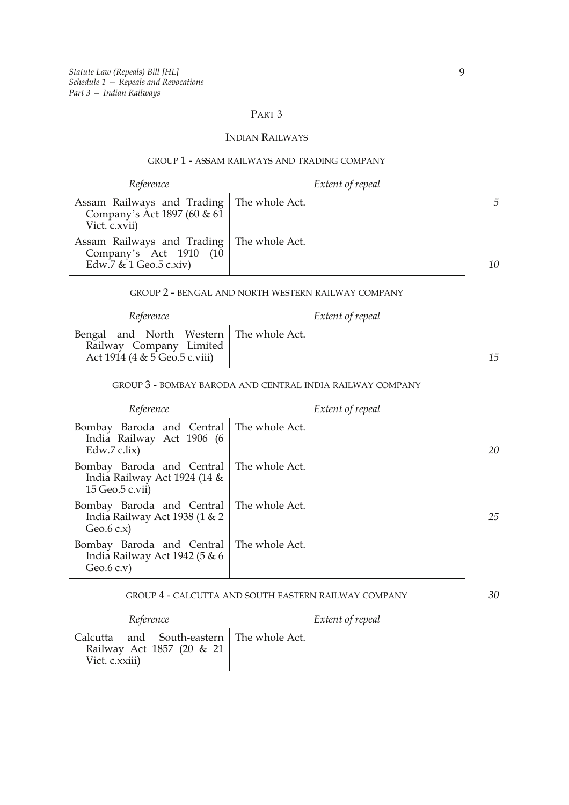## PART 3

#### INDIAN RAILWAYS

#### GROUP 1 - ASSAM RAILWAYS AND TRADING COMPANY

| Reference                                                                                         | Extent of repeal |    |
|---------------------------------------------------------------------------------------------------|------------------|----|
| Assam Railways and Trading   The whole Act.<br>Company's Act 1897 (60 & 61)<br>Vict. c.xvii)      |                  | 5  |
| Assam Railways and Trading   The whole Act.<br>Company's Act 1910 (10<br>Edw.7 $& 1$ Geo.5 c.xiv) |                  | 10 |

#### GROUP 2 - BENGAL AND NORTH WESTERN RAILWAY COMPANY

| Reference                                                                                             | Extent of repeal |    |
|-------------------------------------------------------------------------------------------------------|------------------|----|
| Bengal and North Western   The whole Act.<br>Railway Company Limited<br>Act 1914 (4 & 5 Geo.5 c.viii) |                  | 15 |

### GROUP 3 - BOMBAY BARODA AND CENTRAL INDIA RAILWAY COMPANY

| Reference                                                                                       | Extent of repeal |    |
|-------------------------------------------------------------------------------------------------|------------------|----|
| Bombay Baroda and Central   The whole Act.<br>India Railway Act 1906 (6<br>Edw.7 c.lix)         |                  | 20 |
| Bombay Baroda and Central   The whole Act.<br>India Railway Act 1924 (14 &<br>15 Geo.5 c.vii)   |                  |    |
| Bombay Baroda and Central   The whole Act.<br>India Railway Act 1938 (1 $\&$ 2<br>Geo. $6$ c.x) |                  | 25 |
| Bombay Baroda and Central   The whole Act.<br>India Railway Act 1942 (5 & 6<br>Geo. $6$ c.v)    |                  |    |

#### GROUP 4 - CALCUTTA AND SOUTH EASTERN RAILWAY COMPANY

| Reference                                                                                  | Extent of repeal |
|--------------------------------------------------------------------------------------------|------------------|
| Calcutta and South-eastern   The whole Act.<br>Railway Act 1857 (20 & 21<br>Vict. c.xxiii) |                  |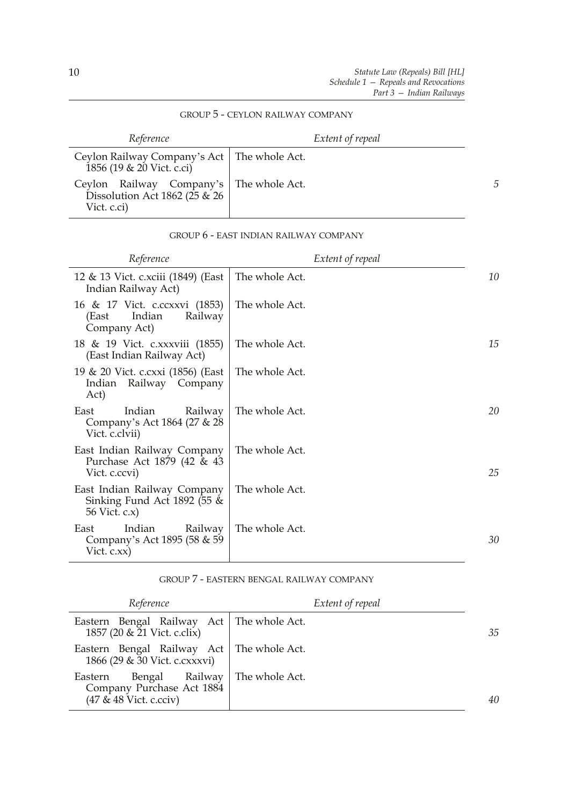## GROUP 5 - CEYLON RAILWAY COMPANY

| Reference                                                                                    | Extent of repeal |   |
|----------------------------------------------------------------------------------------------|------------------|---|
| Ceylon Railway Company's Act   The whole Act.<br>1856 (19 & 20 Vict. c.ci)                   |                  |   |
| Ceylon Railway Company's   The whole Act.<br>Dissolution Act 1862 (25 $\&$ 26<br>Vict. c.ci) |                  | 5 |

### GROUP 6 - EAST INDIAN RAILWAY COMPANY

| Reference                                                                   | Extent of repeal |    |
|-----------------------------------------------------------------------------|------------------|----|
| 12 & 13 Vict. c.xciii (1849) (East<br>Indian Railway Act)                   | The whole Act.   | 10 |
| 16 & 17 Vict. c.ccxxvi (1853)<br>Indian<br>Railway<br>(East<br>Company Act) | The whole Act.   |    |
| 18 & 19 Vict. c.xxxviii (1855)<br>(East Indian Railway Act)                 | The whole Act.   | 15 |
| 19 & 20 Vict. c.cxxi (1856) (East<br>Indian Railway Company<br>Act)         | The whole Act.   |    |
| Indian<br>East<br>Railway<br>Company's Act 1864 (27 & 28)<br>Vict. c.clvii) | The whole Act.   | 20 |
| East Indian Railway Company<br>Purchase Act 1879 (42 & 43<br>Vict. c.ccvi)  | The whole Act.   | 25 |
| East Indian Railway Company<br>Sinking Fund Act 1892 (55 &<br>56 Vict. c.x) | The whole Act.   |    |
| Indian<br>East<br>Railway<br>Company's Act 1895 (58 & 59)<br>Vict. $c.xx$ ) | The whole Act.   | 30 |

#### GROUP 7 - EASTERN BENGAL RAILWAY COMPANY

| Reference                                                                                            | Extent of repeal |    |
|------------------------------------------------------------------------------------------------------|------------------|----|
| Eastern Bengal Railway Act   The whole Act.<br>1857 (20 & 21 Vict. c.clix)                           |                  | 35 |
| Eastern Bengal Railway Act   The whole Act.<br>1866 (29 & 30 Vict. c.cxxxvi)                         |                  |    |
| Bengal Railway   The whole Act.<br>Eastern<br>Company Purchase Act 1884<br>$(47 \& 48$ Vict. c.cciv) |                  | 40 |

 $\overline{a}$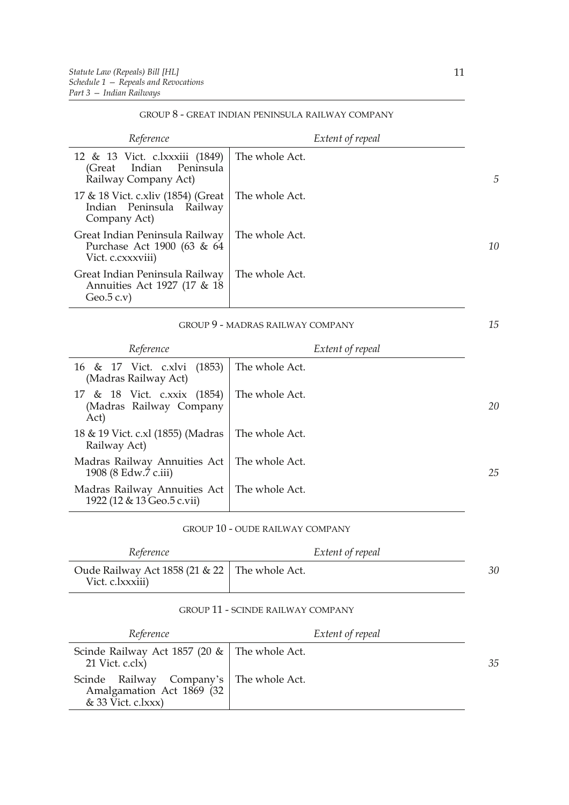#### GROUP 8 - GREAT INDIAN PENINSULA RAILWAY COMPANY

| Reference                                                                                | Extent of repeal |                |
|------------------------------------------------------------------------------------------|------------------|----------------|
| 12 & 13 Vict. c.lxxxiii (1849)<br>Indian<br>Peninsula<br>(Great)<br>Railway Company Act) | The whole Act.   | $\overline{D}$ |
| 17 & 18 Vict. c.xliv (1854) (Great<br>Indian Peninsula Railway<br>Company Act)           | The whole Act.   |                |
| Great Indian Peninsula Railway<br>Purchase Act 1900 (63 & 64<br>Vict. c.cxxxviii)        | The whole Act.   | 10             |
| Great Indian Peninsula Railway<br>Annuities Act 1927 (17 & 18)<br>Geo. $5$ c.v)          | The whole Act.   |                |

#### GROUP 9 - MADRAS RAILWAY COMPANY

| Reference                                                      | Extent of repeal |    |
|----------------------------------------------------------------|------------------|----|
| 16 & 17 Vict. c.xlvi (1853)<br>(Madras Railway Act)            | The whole Act.   |    |
| 17 & 18 Vict. c.xxix (1854)<br>(Madras Railway Company<br>Act) | The whole Act.   | 20 |
| 18 & 19 Vict. c.xl (1855) (Madras<br>Railway Act)              | The whole Act.   |    |
| Madras Railway Annuities Act<br>1908 (8 Edw.7 c.iii)           | The whole Act.   | 25 |
| Madras Railway Annuities Act<br>1922 (12 & 13 Geo.5 c.vii)     | The whole Act.   |    |

#### GROUP 10 - OUDE RAILWAY COMPANY

| Reference                                                           | Extent of repeal |    |
|---------------------------------------------------------------------|------------------|----|
| Oude Railway Act 1858 (21 & 22   The whole Act.<br>Vict. c.lxxxiii) |                  | 30 |

#### GROUP 11 - SCINDE RAILWAY COMPANY

| Reference                                                                                      | Extent of repeal |    |
|------------------------------------------------------------------------------------------------|------------------|----|
| Scinde Railway Act 1857 (20 $\&$   The whole Act.<br>21 Vict. c.clx)                           |                  | 35 |
| Scinde Railway Company's   The whole Act.<br>Amalgamation Act 1869 (32<br>$& 33$ Vict. c.lxxx) |                  |    |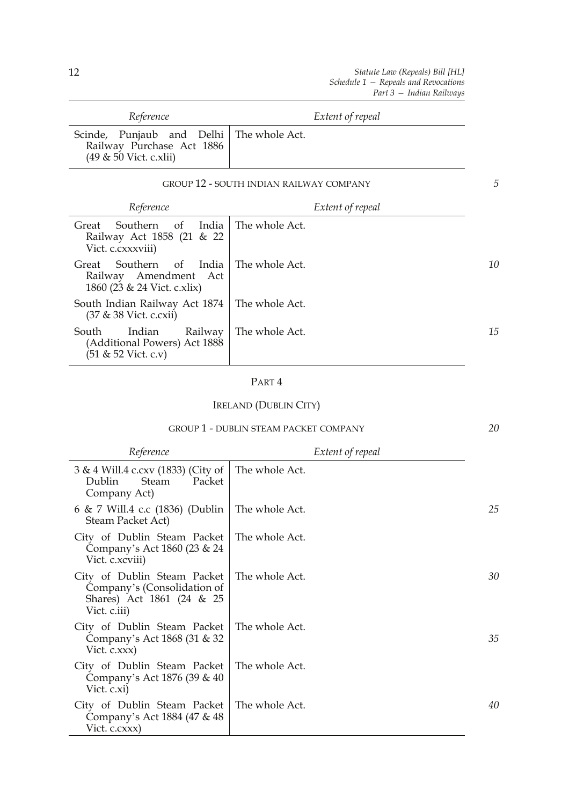| Reference                                                                                            | Extent of repeal                               |   |
|------------------------------------------------------------------------------------------------------|------------------------------------------------|---|
| Scinde, Punjaub and Delhi   The whole Act.<br>Railway Purchase Act 1886<br>$(49 \& 50$ Vict. c.xlii) |                                                |   |
|                                                                                                      | <b>GROUP 12 - SOUTH INDIAN RAILWAY COMPANY</b> | 5 |

| Reference                                                                          | Extent of repeal |    |
|------------------------------------------------------------------------------------|------------------|----|
| India<br>of<br>Great<br>Southern<br>Railway Act 1858 (21 & 22<br>Vict. c.cxxxviii) | The whole Act.   |    |
| Southern of India<br>Great<br>Railway Amendment Act<br>1860 (23 & 24 Vict. c.xlix) | The whole Act.   | 10 |
| South Indian Railway Act 1874<br>(37 & 38 Vict. c.cxii)                            | The whole Act.   |    |
| South<br>Indian<br>Railway<br>(Additional Powers) Act 1888<br>(51 & 52 Vict. c.v)  | The whole Act.   | 15 |

## PART 4

## IRELAND (DUBLIN CITY)

|                                                                                                         | <b>GROUP 1 - DUBLIN STEAM PACKET COMPANY</b> | 20 |
|---------------------------------------------------------------------------------------------------------|----------------------------------------------|----|
| Reference                                                                                               | Extent of repeal                             |    |
| 3 & 4 Will.4 c.cxv (1833) (City of<br>Dublin<br>Steam<br>Packet<br>Company Act)                         | The whole Act.                               |    |
| 6 & 7 Will.4 c.c (1836) (Dublin<br>Steam Packet Act)                                                    | The whole Act.                               | 25 |
| City of Dublin Steam Packet<br>Company's Act 1860 (23 & 24<br>Vict. c.xcviii)                           | The whole Act.                               |    |
| City of Dublin Steam Packet<br>Company's (Consolidation of<br>Shares) Act 1861 (24 & 25<br>Vict. c.iii) | The whole Act.                               | 30 |
| City of Dublin Steam Packet<br>Company's Act 1868 (31 & 32<br>Vict. c.xxx)                              | The whole Act.                               | 35 |
| City of Dublin Steam Packet<br>Company's Act 1876 (39 & 40)<br>Vict. c.xi)                              | The whole Act.                               |    |
| City of Dublin Steam Packet<br>Company's Act 1884 (47 & 48)<br>Vict. c.cxxx)                            | The whole Act.                               | 40 |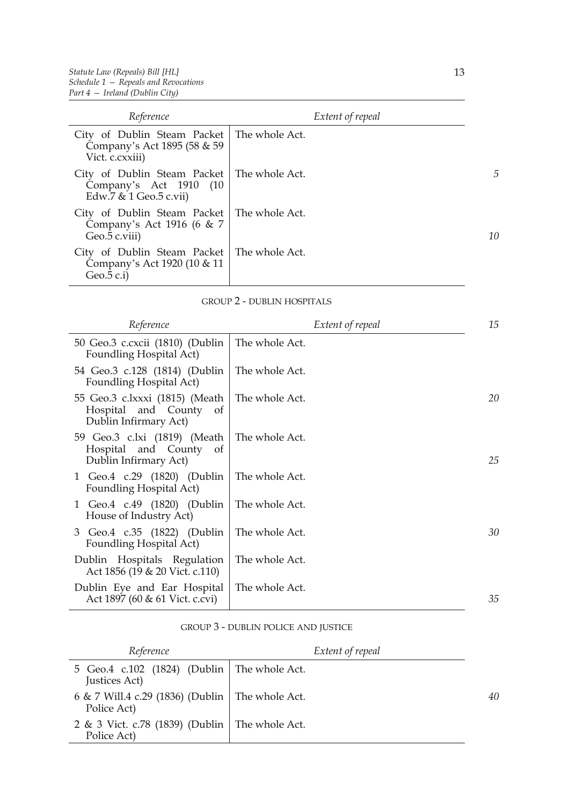| Reference                                                                                          |                | Extent of repeal |    |
|----------------------------------------------------------------------------------------------------|----------------|------------------|----|
| City of Dublin Steam Packet<br>Company's Act 1895 (58 & 59)<br>Vict. c.cxxiii)                     | The whole Act. |                  |    |
| City of Dublin Steam Packet   The whole Act.<br>Company's Act 1910 (10<br>Edw.7 $& 1$ Geo.5 c.vii) |                |                  | 5  |
| City of Dublin Steam Packet<br>Company's Act 1916 (6 & 7<br>Geo.5 c.viii)                          | The whole Act. |                  | 10 |
| City of Dublin Steam Packet<br>Company's Act 1920 (10 & 11)<br>Geo. $5$ c.i)                       | The whole Act. |                  |    |

#### GROUP 2 - DUBLIN HOSPITALS

| Reference                                                                            | Extent of repeal | 15 |
|--------------------------------------------------------------------------------------|------------------|----|
| 50 Geo.3 c.cxcii (1810) (Dublin<br>Foundling Hospital Act)                           | The whole Act.   |    |
| 54 Geo.3 c.128 (1814) (Dublin<br>Foundling Hospital Act)                             | The whole Act.   |    |
| 55 Geo.3 c.lxxxi (1815) (Meath<br>Hospital and County<br>of<br>Dublin Infirmary Act) | The whole Act.   | 20 |
| 59 Geo.3 c.lxi (1819) (Meath<br>Hospital and County of<br>Dublin Infirmary Act)      | The whole Act.   | 25 |
| 1 Geo.4 c.29 (1820) (Dublin<br>Foundling Hospital Act)                               | The whole Act.   |    |
| 1 Geo.4 c.49 (1820) (Dublin<br>House of Industry Act)                                | The whole Act.   |    |
| 3 Geo.4 c.35 (1822) (Dublin<br>Foundling Hospital Act)                               | The whole Act.   | 30 |
| Dublin Hospitals Regulation<br>Act 1856 (19 & 20 Vict. c.110)                        | The whole Act.   |    |
| Dublin Eye and Ear Hospital<br>Act 1897 (60 & 61 Vict. c.cvi)                        | The whole Act.   | 35 |

#### GROUP 3 - DUBLIN POLICE AND JUSTICE

| Reference                                                        | Extent of repeal |    |
|------------------------------------------------------------------|------------------|----|
| 5 Geo.4 c.102 (1824) (Dublin   The whole Act.<br>Justices Act)   |                  |    |
| 6 & 7 Will.4 c.29 (1836) (Dublin   The whole Act.<br>Police Act) |                  | 40 |
| 2 & 3 Vict. c.78 (1839) (Dublin   The whole Act.<br>Police Act)  |                  |    |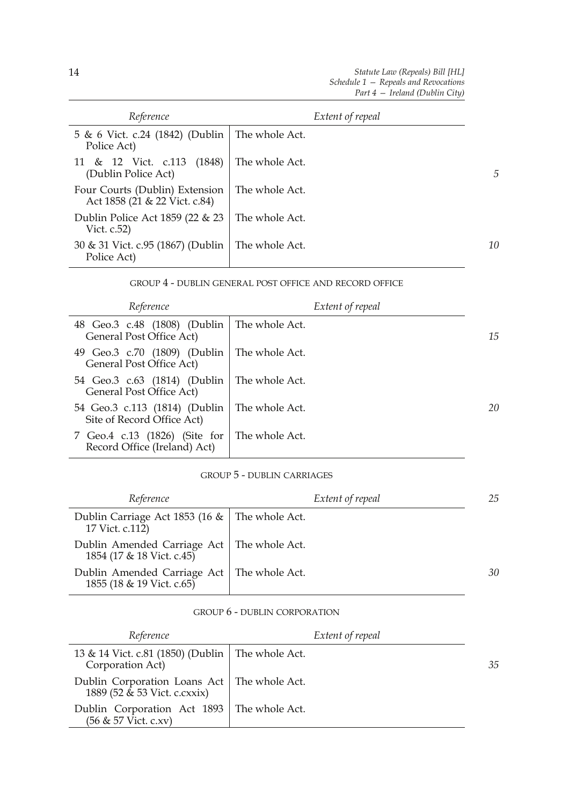| Reference                                                       |                | Extent of repeal |                |
|-----------------------------------------------------------------|----------------|------------------|----------------|
| 5 & 6 Vict. c.24 (1842) (Dublin<br>Police Act)                  | The whole Act. |                  |                |
| (1848)<br>11 & 12 Vict. c.113<br>(Dublin Police Act)            | The whole Act. |                  | $\overline{D}$ |
| Four Courts (Dublin) Extension<br>Act 1858 (21 & 22 Vict. c.84) | The whole Act. |                  |                |
| Dublin Police Act 1859 (22 & 23<br>Vict. $c.52$ )               | The whole Act. |                  |                |
| 30 & 31 Vict. c.95 (1867) (Dublin<br>Police Act)                | The whole Act. |                  | 10             |

#### GROUP 4 - DUBLIN GENERAL POST OFFICE AND RECORD OFFICE

| Reference                                                     | Extent of repeal |    |
|---------------------------------------------------------------|------------------|----|
| 48 Geo.3 c.48 (1808) (Dublin<br>General Post Office Act)      | The whole Act.   | 15 |
| 49 Geo.3 c.70 (1809) (Dublin<br>General Post Office Act)      | The whole Act.   |    |
| 54 Geo.3 c.63 (1814) (Dublin<br>General Post Office Act)      | The whole Act.   |    |
| 54 Geo.3 c.113 (1814) (Dublin<br>Site of Record Office Act)   | The whole Act.   | 20 |
| 7 Geo.4 c.13 (1826) (Site for<br>Record Office (Ireland) Act) | The whole Act.   |    |

#### GROUP 5 - DUBLIN CARRIAGES

| Reference                                                                 | Extent of repeal | 25 |
|---------------------------------------------------------------------------|------------------|----|
| Dublin Carriage Act 1853 (16 $\&$   The whole Act.<br>17 Vict. c.112)     |                  |    |
| Dublin Amended Carriage Act   The whole Act.<br>1854 (17 & 18 Vict. c.45) |                  |    |
| Dublin Amended Carriage Act   The whole Act.<br>1855 (18 & 19 Vict. c.65) |                  | 30 |

#### GROUP 6 - DUBLIN CORPORATION

| Reference                                                                     | Extent of repeal |    |
|-------------------------------------------------------------------------------|------------------|----|
| 13 & 14 Vict. c.81 (1850) (Dublin   The whole Act.<br>Corporation Act)        |                  | 35 |
| Dublin Corporation Loans Act   The whole Act.<br>1889 (52 & 53 Vict. c.cxxix) |                  |    |
| Dublin Corporation Act 1893   The whole Act.<br>(56 & 57 Vict. c.xv)          |                  |    |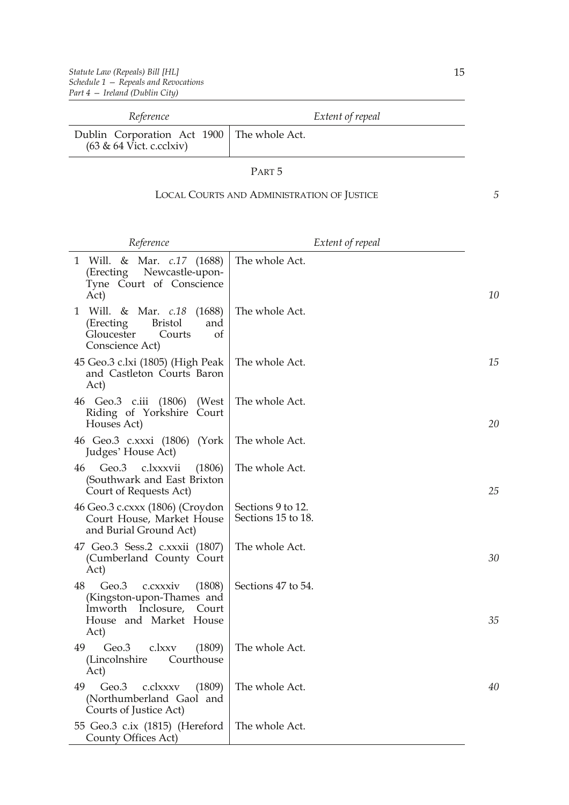| Reference                                                                            | Extent of repeal |
|--------------------------------------------------------------------------------------|------------------|
| Dublin Corporation Act 1900   The whole Act.<br>$(63 \& 64 \text{ V}$ ict. c.cclxiv) |                  |

#### PART 5

## LOCAL COURTS AND ADMINISTRATION OF JUSTICE

|   | ŕ |  |
|---|---|--|
| ٠ |   |  |

| Reference                                                                                                                          | Extent of repeal                        |    |
|------------------------------------------------------------------------------------------------------------------------------------|-----------------------------------------|----|
| Will. & Mar. <i>c.17</i> (1688)<br>1<br>Newcastle-upon-<br>(Erecting)<br>Tyne Court of Conscience<br>Act)                          | The whole Act.                          | 10 |
| Will. & Mar. <i>c.18</i><br>(1688)<br>1<br><b>Bristol</b><br>and<br>(Erecting)<br>Gloucester<br>Courts<br>of<br>Conscience Act)    | The whole Act.                          |    |
| 45 Geo.3 c.lxi (1805) (High Peak<br>and Castleton Courts Baron<br>Act)                                                             | The whole Act.                          | 15 |
| 46 Geo.3 c.iii<br>(1806)<br>(West)<br>Riding of Yorkshire Court<br>Houses Act)                                                     | The whole Act.                          | 20 |
| 46 Geo.3 c.xxxi (1806) (York<br>Judges' House Act)                                                                                 | The whole Act.                          |    |
| Geo.3<br>c.lxxxvii<br>(1806)<br>46<br>(Southwark and East Brixton<br>Court of Requests Act)                                        | The whole Act.                          | 25 |
| 46 Geo.3 c.cxxx (1806) (Croydon<br>Court House, Market House<br>and Burial Ground Act)                                             | Sections 9 to 12.<br>Sections 15 to 18. |    |
| 47 Geo.3 Sess.2 c.xxxii (1807)<br>(Cumberland County Court<br>Act)                                                                 | The whole Act.                          | 30 |
| 48<br>Geo.3<br>(1808)<br>c.cxxxiv<br>(Kingston-upon-Thames and<br>Imworth<br>Inclosure,<br>Court<br>House and Market House<br>Act) | Sections 47 to 54.                      | 35 |
| Geo.3<br>(1809)<br>49<br>c.lxxv<br>(Lincolnshire<br>Courthouse<br>Act)                                                             | The whole Act.                          |    |
| Geo.3<br>49<br>c.clxxxv<br>(1809)<br>(Northumberland Gaol and<br>Courts of Justice Act)                                            | The whole Act.                          | 40 |
| 55 Geo.3 c.ix (1815) (Hereford<br>County Offices Act)                                                                              | The whole Act.                          |    |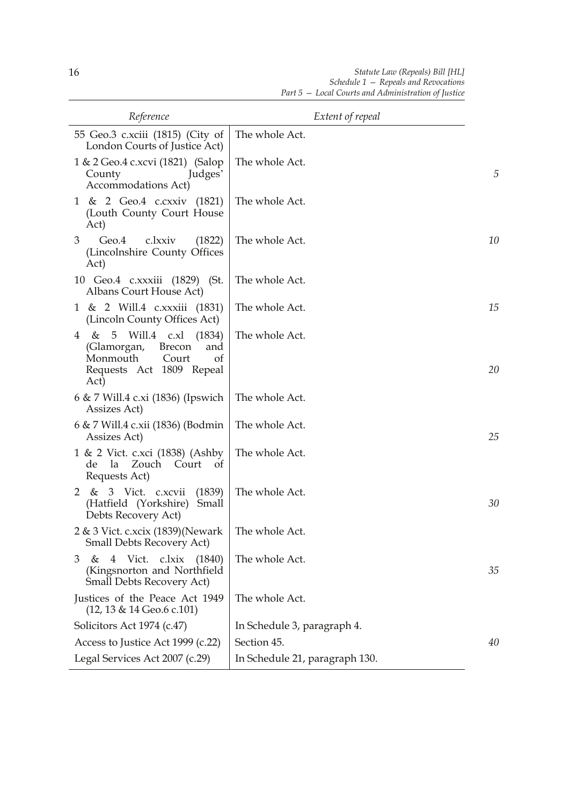| Reference                                                                                                                         | Extent of repeal               |    |
|-----------------------------------------------------------------------------------------------------------------------------------|--------------------------------|----|
| 55 Geo.3 c.xciii (1815) (City of<br>London Courts of Justice Act)                                                                 | The whole Act.                 |    |
| 1 & 2 Geo.4 c.xcvi (1821) (Salop<br>Judges'<br>County<br>Accommodations Act)                                                      | The whole Act.                 | 5  |
| 1 & 2 Geo.4 c.cxxiv (1821)<br>(Louth County Court House<br>Act)                                                                   | The whole Act.                 |    |
| Geo.4<br>c.lxxiv<br>3<br>(1822)<br>(Lincolnshire County Offices<br>Act)                                                           | The whole Act.                 | 10 |
| 10 Geo.4 c.xxxiii (1829) (St.<br>Albans Court House Act)                                                                          | The whole Act.                 |    |
| 1 & 2 Will.4 c.xxxiii (1831)<br>(Lincoln County Offices Act)                                                                      | The whole Act.                 | 15 |
| 4 & 5 Will.4 c.xl<br>(1834)<br>(Glamorgan,<br><b>Brecon</b><br>and<br>Monmouth<br>Court<br>of<br>Requests Act 1809 Repeal<br>Act) | The whole Act.                 | 20 |
| 6 & 7 Will.4 c.xi (1836) (Ipswich<br>Assizes Act)                                                                                 | The whole Act.                 |    |
| 6 & 7 Will.4 c.xii (1836) (Bodmin<br>Assizes Act)                                                                                 | The whole Act.                 | 25 |
| 1 & 2 Vict. c.xci (1838) (Ashby<br>de la Zouch<br>Court<br><sub>of</sub><br>Requests Act)                                         | The whole Act.                 |    |
| 2 & 3 Vict. c.xcvii<br>(1839)<br>(Hatfield (Yorkshire)<br>Small<br>Debts Recovery Act)                                            | The whole Act.                 | 30 |
| $2 \& 3$ Vict. c.xcix (1839)(Newark   The whole Act.<br><b>Small Debts Recovery Act)</b>                                          |                                |    |
| 4 Vict. c.lxix (1840)<br>3<br>&<br>(Kingsnorton and Northfield<br><b>Small Debts Recovery Act)</b>                                | The whole Act.                 | 35 |
| Justices of the Peace Act 1949<br>$(12, 13 \& 14 \text{ Geo.}6 \text{ c.}101)$                                                    | The whole Act.                 |    |
| Solicitors Act 1974 (c.47)                                                                                                        | In Schedule 3, paragraph 4.    |    |
| Access to Justice Act 1999 (c.22)                                                                                                 | Section 45.                    | 40 |
| Legal Services Act 2007 (c.29)                                                                                                    | In Schedule 21, paragraph 130. |    |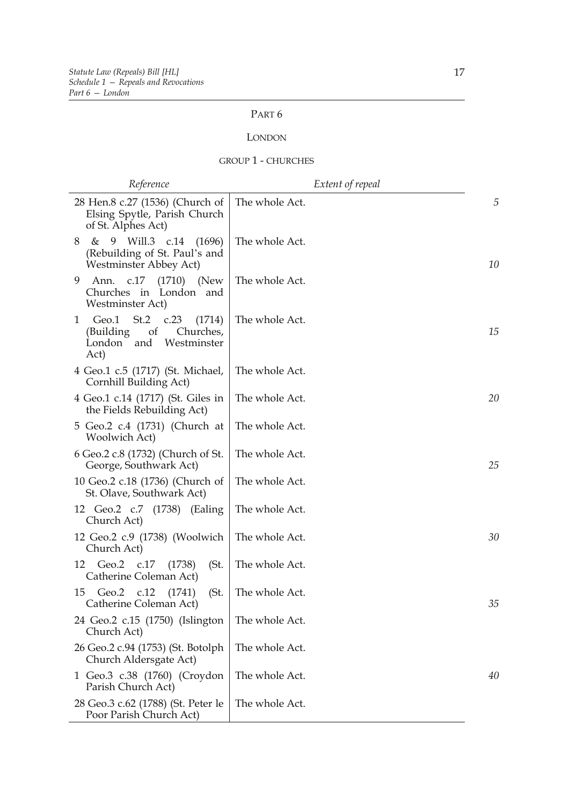## PART 6

#### LONDON

#### GROUP 1 - CHURCHES

| Reference                                                                                               | Extent of repeal |    |
|---------------------------------------------------------------------------------------------------------|------------------|----|
| 28 Hen.8 c.27 (1536) (Church of<br>Elsing Spytle, Parish Church<br>of St. Alphes Act)                   | The whole Act.   | 5  |
| 9 Will.3 c.14 (1696)<br>8<br>&<br>(Rebuilding of St. Paul's and<br>Westminster Abbey Act)               | The whole Act.   | 10 |
| Ann. c.17 (1710) (New<br>9<br>Churches in London and<br>Westminster Act)                                | The whole Act.   |    |
| Geo.1 St.2 c.23<br>1<br>(1714)<br>(Building)<br>of<br>Churches,<br>Westminster<br>London<br>and<br>Act) | The whole Act.   | 15 |
| 4 Geo.1 c.5 (1717) (St. Michael,<br>Cornhill Building Act)                                              | The whole Act.   |    |
| 4 Geo.1 c.14 (1717) (St. Giles in<br>the Fields Rebuilding Act)                                         | The whole Act.   | 20 |
| 5 Geo.2 c.4 (1731) (Church at<br>Woolwich Act)                                                          | The whole Act.   |    |
| 6 Geo.2 c.8 (1732) (Church of St.<br>George, Southwark Act)                                             | The whole Act.   | 25 |
| 10 Geo.2 c.18 (1736) (Church of<br>St. Olave, Southwark Act)                                            | The whole Act.   |    |
| 12 Geo.2 c.7 (1738) (Ealing<br>Church Act)                                                              | The whole Act.   |    |
| 12 Geo.2 c.9 (1738) (Woolwich<br>Church Act)                                                            | The whole Act.   | 30 |
| Geo.2 c.17<br>12<br>(1738)<br>(St.<br>Catherine Coleman Act)                                            | The whole Act.   |    |
| 15 Geo.2 c.12 (1741)<br>(St.<br>Catherine Coleman Act)                                                  | The whole Act.   | 35 |
| 24 Geo.2 c.15 (1750) (Islington<br>Church Act)                                                          | The whole Act.   |    |
| 26 Geo.2 c.94 (1753) (St. Botolph<br>Church Aldersgate Act)                                             | The whole Act.   |    |
| 1 Geo.3 c.38 (1760) (Croydon<br>Parish Church Act)                                                      | The whole Act.   | 40 |
| 28 Geo.3 c.62 (1788) (St. Peter le<br>Poor Parish Church Act)                                           | The whole Act.   |    |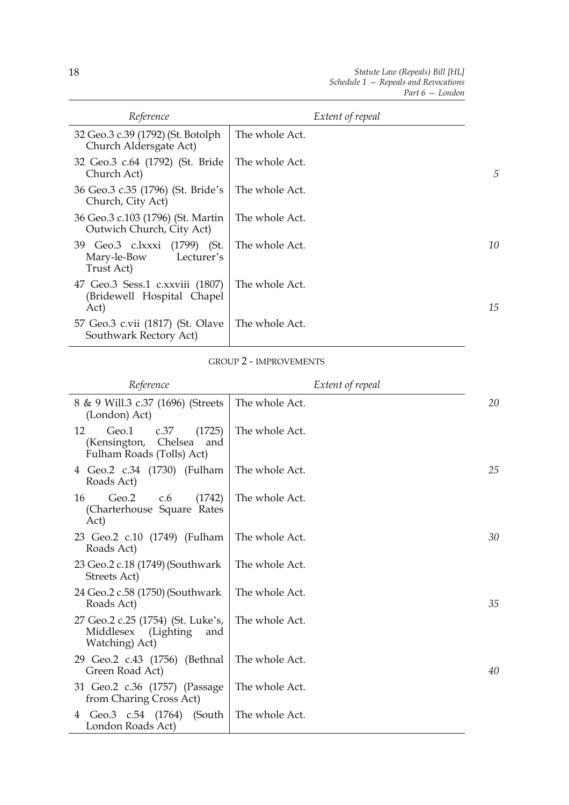| Reference                                                               | Extent of repeal |    |
|-------------------------------------------------------------------------|------------------|----|
| 32 Geo.3 c.39 (1792) (St. Botolph<br>Church Aldersgate Act)             | The whole Act.   |    |
| 32 Geo.3 c.64 (1792) (St. Bride<br>Church Act)                          | The whole Act.   | 5  |
| 36 Geo.3 c.35 (1796) (St. Bride's<br>Church, City Act)                  | The whole Act.   |    |
| 36 Geo.3 c.103 (1796) (St. Martin<br>Outwich Church, City Act)          | The whole Act.   |    |
| 39 Geo.3 c.lxxxi (1799) (St.<br>Mary-le-Bow<br>Lecturer's<br>Trust Act) | The whole Act.   | 10 |
| 47 Geo.3 Sess.1 c.xxviii (1807)<br>(Bridewell Hospital Chapel<br>Act)   | The whole Act.   | 15 |
| 57 Geo.3 c.vii (1817) (St. Olave<br>Southwark Rectory Act)              | The whole Act.   |    |

## GROUP 2 - IMPROVEMENTS

| Reference                                                                                    | Extent of repeal |    |
|----------------------------------------------------------------------------------------------|------------------|----|
| 8 & 9 Will.3 c.37 (1696) (Streets<br>(London) Act)                                           | The whole Act.   | 20 |
| Geo.1<br>c.37<br>(1725)<br>12<br>Chelsea<br>(Kensington,<br>and<br>Fulham Roads (Tolls) Act) | The whole Act.   |    |
| 4 Geo.2 c.34 (1730) (Fulham<br>Roads Act)                                                    | The whole Act.   | 25 |
| Geo.2<br>(1742)<br>16<br>c.6<br>(Charterhouse Square Rates<br>Act)                           | The whole Act.   |    |
| 23 Geo.2 c.10 (1749) (Fulham<br>Roads Act)                                                   | The whole Act.   | 30 |
| 23 Geo.2 c.18 (1749) (Southwark<br>Streets Act)                                              | The whole Act.   |    |
| 24 Geo.2 c.58 (1750) (Southwark<br>Roads Act)                                                | The whole Act.   | 35 |
| 27 Geo.2 c.25 (1754) (St. Luke's,<br>Middlesex<br>(Lighting)<br>and<br>Watching) Act)        | The whole Act.   |    |
| 29 Geo.2 c.43 (1756) (Bethnal<br>Green Road Act)                                             | The whole Act.   | 40 |
| 31 Geo.2 c.36 (1757) (Passage<br>from Charing Cross Act)                                     | The whole Act.   |    |
| Geo.3 c.54 (1764)<br>(South<br>4<br>London Roads Act)                                        | The whole Act.   |    |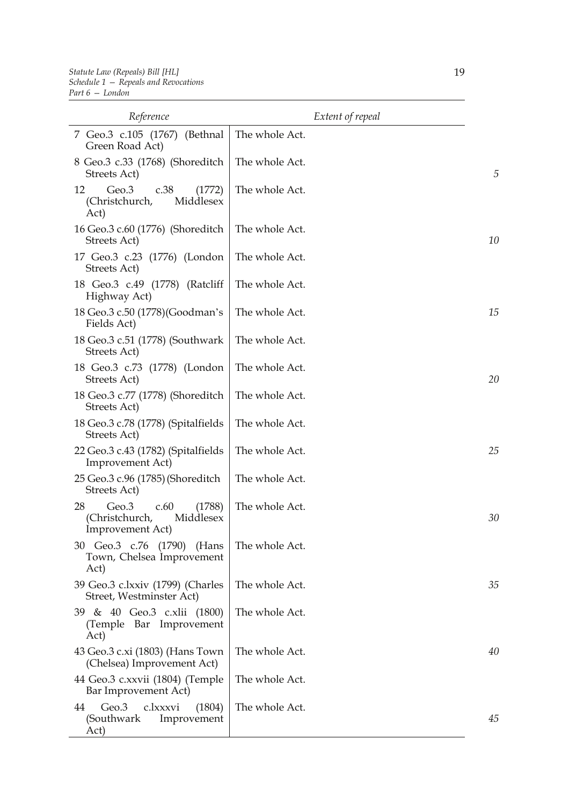| Reference                                                                              | Extent of repeal |    |
|----------------------------------------------------------------------------------------|------------------|----|
| 7 Geo.3 c.105 (1767) (Bethnal<br>Green Road Act)                                       | The whole Act.   |    |
| 8 Geo.3 c.33 (1768) (Shoreditch<br>Streets Act)                                        | The whole Act.   | 5  |
| Geo.3<br>c.38<br>12<br>(1772)<br>Middlesex<br>(Christchurch,<br>Act)                   | The whole Act.   |    |
| 16 Geo.3 c.60 (1776) (Shoreditch<br>Streets Act)                                       | The whole Act.   | 10 |
| 17 Geo.3 c.23 (1776) (London<br>Streets Act)                                           | The whole Act.   |    |
| 18 Geo.3 c.49 (1778) (Ratcliff<br>Highway Act)                                         | The whole Act.   |    |
| 18 Geo.3 c.50 (1778) (Goodman's<br>Fields Act)                                         | The whole Act.   | 15 |
| 18 Geo.3 c.51 (1778) (Southwark<br>Streets Act)                                        | The whole Act.   |    |
| 18 Geo.3 c.73 (1778) (London<br>Streets Act)                                           | The whole Act.   | 20 |
| 18 Geo.3 c.77 (1778) (Shoreditch<br>Streets Act)                                       | The whole Act.   |    |
| 18 Geo.3 c.78 (1778) (Spitalfields<br>Streets Act)                                     | The whole Act.   |    |
| 22 Geo.3 c.43 (1782) (Spitalfields<br><b>Improvement Act)</b>                          | The whole Act.   | 25 |
| 25 Geo.3 c.96 (1785) (Shoreditch<br>Streets Act)                                       | The whole Act.   |    |
| 28<br>Geo.3<br>c.60<br>(1788)<br>Middlesex<br>Christchurch,<br><b>Improvement Act)</b> | The whole Act.   | 30 |
| 30 Geo.3 c.76 (1790) (Hans<br>Town, Chelsea Improvement<br>Act)                        | The whole Act.   |    |
| 39 Geo.3 c.lxxiv (1799) (Charles<br>Street, Westminster Act)                           | The whole Act.   | 35 |
| 39 & 40 Geo.3 c.xlii (1800)<br>(Temple Bar Improvement<br>Act)                         | The whole Act.   |    |
| 43 Geo.3 c.xi (1803) (Hans Town<br>(Chelsea) Improvement Act)                          | The whole Act.   | 40 |
| 44 Geo.3 c.xxvii (1804) (Temple<br>Bar Improvement Act)                                | The whole Act.   |    |
| Geo.3<br>c.lxxxvi<br>(1804)<br>44<br>(Southwark<br>Improvement<br>Act)                 | The whole Act.   | 45 |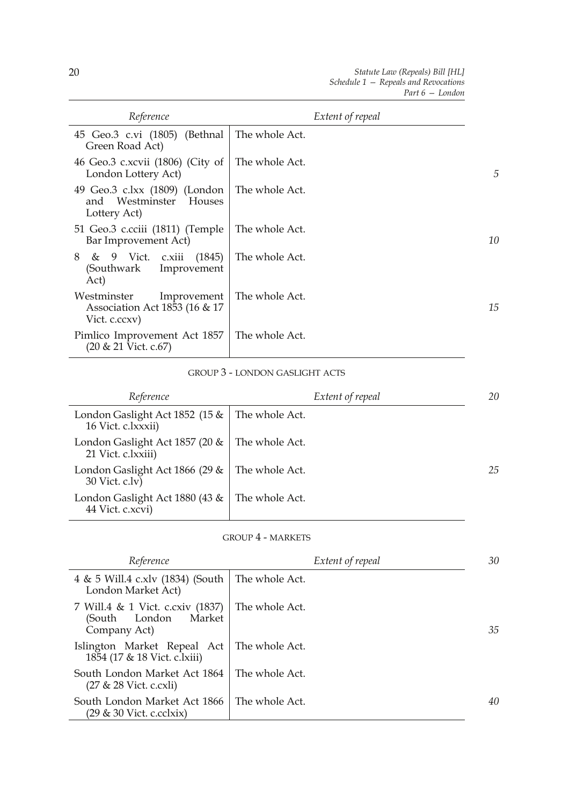| Reference                                                                    | Extent of repeal |    |
|------------------------------------------------------------------------------|------------------|----|
| 45 Geo.3 c.vi (1805) (Bethnal<br>Green Road Act)                             | The whole Act.   |    |
| 46 Geo.3 c.xcvii (1806) (City of<br>London Lottery Act)                      | The whole Act.   | 5  |
| 49 Geo.3 c.lxx (1809) (London<br>and Westminster Houses<br>Lottery Act)      | The whole Act.   |    |
| 51 Geo.3 c.cciii (1811) (Temple<br>Bar Improvement Act)                      | The whole Act.   | 10 |
| & 9 Vict. c.xiii (1845)<br>8<br>Improvement<br>(Southwark<br>Act)            | The whole Act.   |    |
| Westminster<br>Improvement<br>Association Act 1853 (16 & 17<br>Vict. c.ccxv) | The whole Act.   | 15 |
| Pimlico Improvement Act 1857<br>$(20 \& 21$ Vict. c.67)                      | The whole Act.   |    |

#### GROUP 3 - LONDON GASLIGHT ACTS

| Reference                                            | Extent of repeal | 20 |
|------------------------------------------------------|------------------|----|
| London Gaslight Act 1852 (15 &<br>16 Vict. c.lxxxii) | The whole Act.   |    |
| London Gaslight Act 1857 (20 &<br>21 Vict. c.lxxiii) | The whole Act.   |    |
| London Gaslight Act 1866 (29 &<br>30 Vict. c.lv)     | The whole Act.   | 25 |
| London Gaslight Act 1880 (43 &<br>44 Vict. c.xcvi)   | The whole Act.   |    |

#### GROUP 4 - MARKETS

| Reference                                                                      | Extent of repeal | 30 |
|--------------------------------------------------------------------------------|------------------|----|
| 4 & 5 Will.4 c.xlv (1834) (South<br>London Market Act)                         | The whole Act.   |    |
| 7 Will.4 & 1 Vict. c.cxiv (1837)<br>Market<br>(South<br>London<br>Company Act) | The whole Act.   | 35 |
| Islington Market Repeal Act<br>1854 (17 & 18 Vict. c.lxiii)                    | The whole Act.   |    |
| South London Market Act 1864<br>$(27 & 28$ Vict. c.cxli)                       | The whole Act.   |    |
| South London Market Act 1866<br>$(29 \& 30 \text{ Vict. c.cclxix})$            | The whole Act.   | 40 |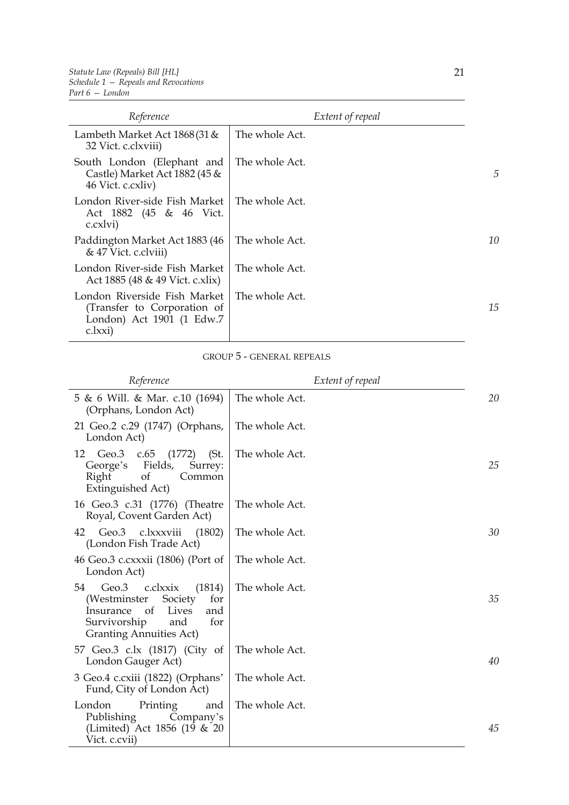| Reference                                                                                           | Extent of repeal |    |
|-----------------------------------------------------------------------------------------------------|------------------|----|
| Lambeth Market Act $1868(31 \&$<br>32 Vict. c.clxviii)                                              | The whole Act.   |    |
| South London (Elephant and<br>Castle) Market Act 1882 (45 &<br>46 Vict. c.cxliv)                    | The whole Act.   | 5  |
| London River-side Fish Market<br>Act 1882 (45 & 46 Vict.<br>c.cxlvi)                                | The whole Act.   |    |
| Paddington Market Act 1883 (46<br>& 47 Vict. c.clviii)                                              | The whole Act.   | 10 |
| London River-side Fish Market<br>Act 1885 (48 & 49 Vict. c.xlix)                                    | The whole Act.   |    |
| London Riverside Fish Market<br>(Transfer to Corporation of<br>London) Act 1901 (1 Edw.7<br>c.lxxi) | The whole Act.   | 15 |

## GROUP 5 - GENERAL REPEALS

| Reference                                                                                                                                                           | Extent of repeal |    |
|---------------------------------------------------------------------------------------------------------------------------------------------------------------------|------------------|----|
| 5 & 6 Will. & Mar. c.10 (1694)<br>(Orphans, London Act)                                                                                                             | The whole Act.   | 20 |
| 21 Geo.2 c.29 (1747) (Orphans,<br>London Act)                                                                                                                       | The whole Act.   |    |
| Geo.3 c.65<br>(1772)<br>12<br>(St.<br>Fields,<br>George's<br>Surrey:<br>of<br>Right<br>Common<br><b>Extinguished Act)</b>                                           | The whole Act.   | 25 |
| 16 Geo.3 c.31 (1776) (Theatre<br>Royal, Covent Garden Act)                                                                                                          | The whole Act.   |    |
| Geo.3 c.lxxxviii<br>(1802)<br>42<br>(London Fish Trade Act)                                                                                                         | The whole Act.   | 30 |
| 46 Geo.3 c.cxxxii (1806) (Port of<br>London Act)                                                                                                                    | The whole Act.   |    |
| 54<br>(1814)<br>Geo.3 c.clxxix<br>Society<br>(Westminster<br>for<br>of<br>Insurance<br>Lives<br>and<br>Survivorship<br>and<br>for<br><b>Granting Annuities Act)</b> | The whole Act.   | 35 |
| 57 Geo.3 c.lx (1817) (City of<br>London Gauger Act)                                                                                                                 | The whole Act.   | 40 |
| 3 Geo.4 c.cxiii (1822) (Orphans'<br>Fund, City of London Act)                                                                                                       | The whole Act.   |    |
| London<br>Printing<br>and<br>Company's<br>Publishing<br>(Limited) Act 1856 (19 & 20<br>Vict. c.cvii)                                                                | The whole Act.   | 45 |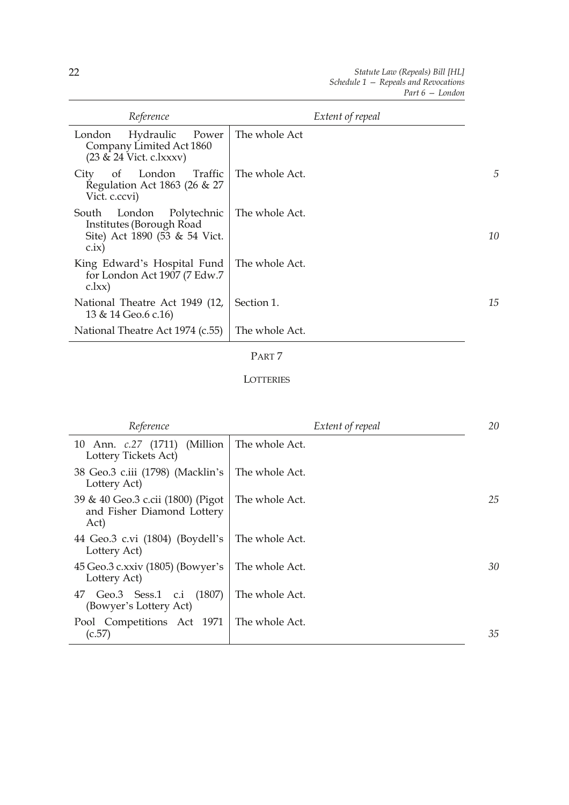| Reference                                                                                            | Extent of repeal |    |
|------------------------------------------------------------------------------------------------------|------------------|----|
| Hydraulic<br>London<br>Power<br>Company Limited Act 1860<br>$(23 \& 24$ Vict. c.lxxxv)               | The whole Act    |    |
| London Traffic<br>of<br>City<br>Regulation Act 1863 (26 & 27<br>Vict. c.ccvi)                        | The whole Act.   | 5  |
| Polytechnic<br>London<br>South<br>Institutes (Borough Road<br>Site) Act 1890 (53 & 54 Vict.<br>c.ix) | The whole Act.   | 10 |
| King Edward's Hospital Fund<br>for London Act 1907 (7 Edw.7)<br>c.lxx)                               | The whole Act.   |    |
| National Theatre Act 1949 (12,<br>13 & 14 Geo.6 c.16)                                                | Section 1.       | 15 |
| National Theatre Act 1974 (c.55)                                                                     | The whole Act.   |    |

## PART 7

#### **LOTTERIES**

| Reference                                                               | Extent of repeal | 20 |
|-------------------------------------------------------------------------|------------------|----|
| 10 Ann. <i>c.</i> 27 (1711) (Million<br>Lottery Tickets Act)            | The whole Act.   |    |
| 38 Geo.3 c.iii (1798) (Macklin's<br>Lottery Act)                        | The whole Act.   |    |
| 39 & 40 Geo.3 c.cii (1800) (Pigot<br>and Fisher Diamond Lottery<br>Act) | The whole Act.   | 25 |
| 44 Geo.3 c.vi (1804) (Boydell's<br>Lottery Act)                         | The whole Act.   |    |
| 45 Geo.3 c.xxiv (1805) (Bowyer's<br>Lottery Act)                        | The whole Act.   | 30 |
| 47 Geo.3 Sess.1 c.i (1807)<br>(Bowyer's Lottery Act)                    | The whole Act.   |    |
| Pool Competitions Act 1971<br>(c.57)                                    | The whole Act.   | 35 |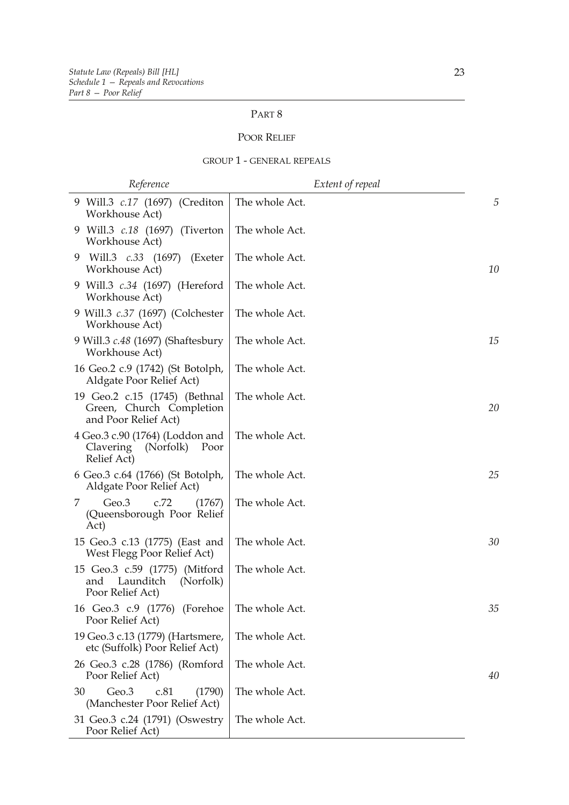## PART 8

#### POOR RELIEF

#### GROUP 1 - GENERAL REPEALS

| Reference                                                                          | Extent of repeal |    |
|------------------------------------------------------------------------------------|------------------|----|
| 9 Will.3 c.17 (1697) (Crediton<br>Workhouse Act)                                   | The whole Act.   | 5  |
| 9 Will.3 c.18 (1697) (Tiverton<br>Workhouse Act)                                   | The whole Act.   |    |
| Will.3 c.33 (1697) (Exeter<br>9<br>Workhouse Act)                                  | The whole Act.   | 10 |
| 9 Will.3 c.34 (1697) (Hereford<br>Workhouse Act)                                   | The whole Act.   |    |
| 9 Will.3 <i>c.37</i> (1697) (Colchester<br>Workhouse Act)                          | The whole Act.   |    |
| 9 Will.3 <i>c.48</i> (1697) (Shaftesbury<br>Workhouse Act)                         | The whole Act.   | 15 |
| 16 Geo.2 c.9 (1742) (St Botolph,<br>Aldgate Poor Relief Act)                       | The whole Act.   |    |
| 19 Geo.2 c.15 (1745) (Bethnal<br>Green, Church Completion<br>and Poor Relief Act)  | The whole Act.   | 20 |
| 4 Geo.3 c.90 (1764) (Loddon and<br>Clavering<br>(Norfolk)<br>Poor<br>Relief Act)   | The whole Act.   |    |
| 6 Geo.3 c.64 (1766) (St Botolph,<br>Aldgate Poor Relief Act)                       | The whole Act.   | 25 |
| Geo.3<br>c.72<br>(1767)<br>Z<br>(Queensborough Poor Relief<br>Act)                 | The whole Act.   |    |
| 15 Geo.3 c.13 (1775) (East and<br>West Flegg Poor Relief Act)                      | The whole Act.   | 30 |
| 15 Geo.3 c.59 (1775) (Mitford<br>Launditch<br>(Norfolk)<br>and<br>Poor Relief Act) | The whole Act.   |    |
| 16 Geo.3 c.9 (1776) (Forehoe<br>Poor Relief Act)                                   | The whole Act.   | 35 |
| 19 Geo.3 c.13 (1779) (Hartsmere,<br>etc (Suffolk) Poor Relief Act)                 | The whole Act.   |    |
| 26 Geo.3 c.28 (1786) (Romford<br>Poor Relief Act)                                  | The whole Act.   | 40 |
| 30<br>Geo.3<br>(1790)<br>c.81<br>(Manchester Poor Relief Act)                      | The whole Act.   |    |
| 31 Geo.3 c.24 (1791) (Oswestry<br>Poor Relief Act)                                 | The whole Act.   |    |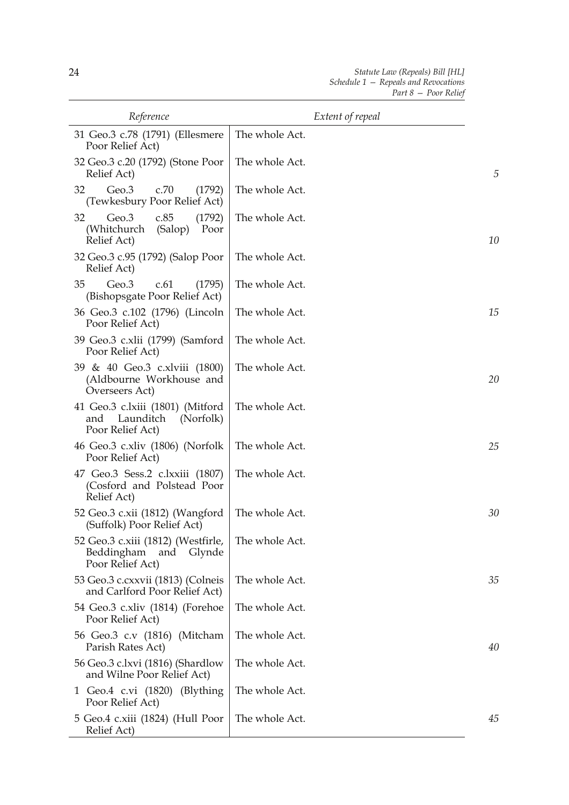| Reference                                                                             | Extent of repeal |    |
|---------------------------------------------------------------------------------------|------------------|----|
| 31 Geo.3 c.78 (1791) (Ellesmere<br>Poor Relief Act)                                   | The whole Act.   |    |
| 32 Geo.3 c.20 (1792) (Stone Poor<br>Relief Act)                                       | The whole Act.   | 5  |
| 32<br>Geo.3<br>c.70<br>(1792)<br>(Tewkesbury Poor Relief Act)                         | The whole Act.   |    |
| Geo.3<br>32<br>c.85<br>(1792)<br>(Whitchurch<br>(Salop)<br>Poor<br>Relief Act)        | The whole Act.   | 10 |
| 32 Geo.3 c.95 (1792) (Salop Poor<br>Relief Act)                                       | The whole Act.   |    |
| 35<br>Geo.3<br>c.61<br>(1795)<br>(Bishopsgate Poor Relief Act)                        | The whole Act.   |    |
| 36 Geo.3 c.102 (1796) (Lincoln<br>Poor Relief Act)                                    | The whole Act.   | 15 |
| 39 Geo.3 c.xlii (1799) (Samford<br>Poor Relief Act)                                   | The whole Act.   |    |
| 39 & 40 Geo.3 c.xlviii (1800)<br>(Aldbourne Workhouse and<br>Overseers Act)           | The whole Act.   | 20 |
| 41 Geo.3 c.lxiii (1801) (Mitford<br>Launditch<br>(Norfolk)<br>and<br>Poor Relief Act) | The whole Act.   |    |
| 46 Geo.3 c.xliv (1806) (Norfolk<br>Poor Relief Act)                                   | The whole Act.   | 25 |
| 47 Geo.3 Sess.2 c.lxxiii (1807)<br>(Cosford and Polstead Poor<br>Relief Act)          | The whole Act.   |    |
| 52 Geo.3 c.xii (1812) (Wangford<br>(Suffolk) Poor Relief Act)                         | The whole Act.   | 30 |
| 52 Geo.3 c.xiii (1812) (Westfirle,<br>Beddingham<br>and<br>Glynde<br>Poor Relief Act) | The whole Act.   |    |
| 53 Geo.3 c.cxxvii (1813) (Colneis<br>and Carlford Poor Relief Act)                    | The whole Act.   | 35 |
| 54 Geo.3 c.xliv (1814) (Forehoe<br>Poor Relief Act)                                   | The whole Act.   |    |
| 56 Geo.3 c.v (1816) (Mitcham<br>Parish Rates Act)                                     | The whole Act.   | 40 |
| 56 Geo.3 c.lxvi (1816) (Shardlow<br>and Wilne Poor Relief Act)                        | The whole Act.   |    |
| 1 Geo.4 c.vi (1820) (Blything<br>Poor Relief Act)                                     | The whole Act.   |    |
| 5 Geo.4 c.xiii (1824) (Hull Poor<br>Relief Act)                                       | The whole Act.   | 45 |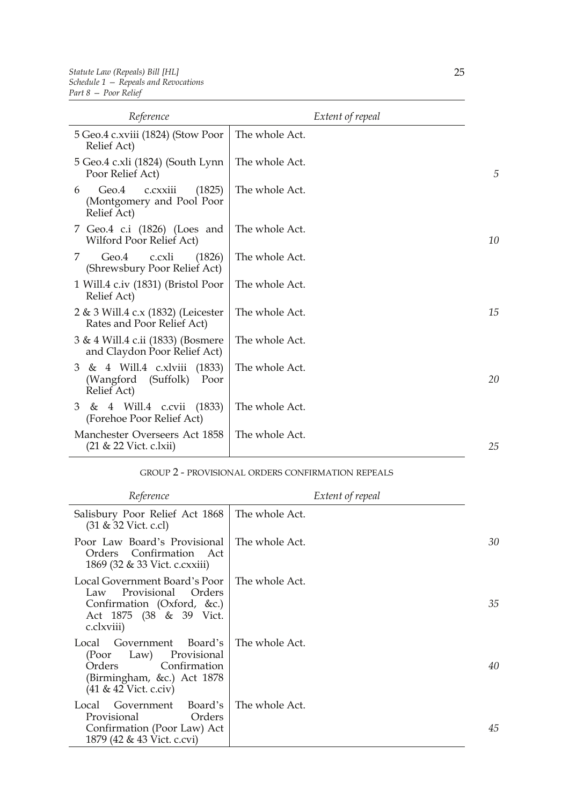| Reference                                                                        | Extent of repeal |    |
|----------------------------------------------------------------------------------|------------------|----|
| 5 Geo.4 c.xviii (1824) (Stow Poor<br>Relief Act)                                 | The whole Act.   |    |
| 5 Geo.4 c.xli (1824) (South Lynn<br>Poor Relief Act)                             | The whole Act.   | 5  |
| (1825)<br>Geo.4<br>c.cxxiii<br>6<br>(Montgomery and Pool Poor<br>Relief Act)     | The whole Act.   |    |
| 7 Geo.4 c.i (1826) (Loes and<br>Wilford Poor Relief Act)                         | The whole Act.   | 10 |
| Geo.4<br>c.cxli<br>(1826)<br>7<br>(Shrewsbury Poor Relief Act)                   | The whole Act.   |    |
| 1 Will.4 c.iv (1831) (Bristol Poor<br>Relief Act)                                | The whole Act.   |    |
| 2 & 3 Will.4 c.x (1832) (Leicester<br>Rates and Poor Relief Act)                 | The whole Act.   | 15 |
| 3 & 4 Will.4 c.ii (1833) (Bosmere<br>and Claydon Poor Relief Act)                | The whole Act.   |    |
| & 4 Will.4 c.xlviii (1833)<br>3<br>(Suffolk)<br>(Wangford<br>Poor<br>Relief Act) | The whole Act.   | 20 |
| 3 & 4 Will.4 c.cvii (1833)<br>(Forehoe Poor Relief Act)                          | The whole Act.   |    |
| Manchester Overseers Act 1858<br>(21 & 22 Vict. c.lxii)                          | The whole Act.   | 25 |

#### GROUP 2 - PROVISIONAL ORDERS CONFIRMATION REPEALS

| Reference                                                                                                                                       | Extent of repeal |    |
|-------------------------------------------------------------------------------------------------------------------------------------------------|------------------|----|
| Salisbury Poor Relief Act 1868<br>$(31 & 32$ Vict. c.cl)                                                                                        | The whole Act.   |    |
| Poor Law Board's Provisional<br>Orders Confirmation Act<br>1869 (32 & 33 Vict. c. cxxiii)                                                       | The whole Act.   | 30 |
| Local Government Board's Poor<br>Provisional Orders<br>Law<br>Confirmation (Oxford, &c.)<br>Act 1875 (38 & 39 Vict.<br>c.clxviii)               | The whole Act.   | 35 |
| Board's<br>Government<br>Local<br>Provisional<br>(Poor<br>Law)<br>Confirmation<br>Orders<br>(Birmingham, &c.) Act 1878<br>(41 & 42 Vict. c.civ) | The whole Act.   | 40 |
| Board's<br>Government<br>Local<br>Provisional<br>Orders<br>Confirmation (Poor Law) Act<br>1879 (42 & 43 Vict. c.cvi)                            | The whole Act.   | 45 |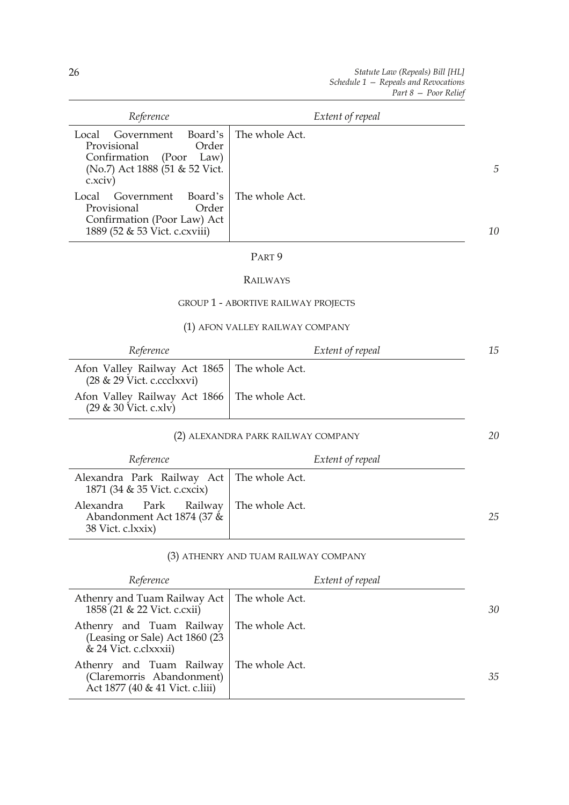*20*

| Reference                                                                                                                      | Extent of repeal |                |
|--------------------------------------------------------------------------------------------------------------------------------|------------------|----------------|
| Government Board's<br>Local<br>Provisional<br>Order<br>Confirmation (Poor<br>Law)<br>(No.7) Act 1888 (51 & 52 Vict.<br>c.xciv) | The whole Act.   | $\overline{5}$ |
| Board's<br>Government<br>Local<br>Order<br>Provisional<br>Confirmation (Poor Law) Act<br>1889 (52 & 53 Vict. c. cxviii)        | The whole Act.   | 10             |

#### PART 9

#### RAILWAYS

#### GROUP 1 - ABORTIVE RAILWAY PROJECTS

#### (1) AFON VALLEY RAILWAY COMPANY

| Reference                                                                             | Extent of repeal | 15 |
|---------------------------------------------------------------------------------------|------------------|----|
| Afon Valley Railway Act 1865   The whole Act.<br>$(28 \& 29 \text{ Vict. c.cclxxvi})$ |                  |    |
| Afon Valley Railway Act 1866   The whole Act.<br>$(29 \& 30 \text{ Vict. } c.xlv)$    |                  |    |

#### (2) ALEXANDRA PARK RAILWAY COMPANY

| Reference                                                                                  | Extent of repeal |    |
|--------------------------------------------------------------------------------------------|------------------|----|
| Alexandra Park Railway Act   The whole Act.<br>1871 (34 & 35 Vict. c.cxcix)                |                  |    |
| Alexandra Park Railway   The whole Act.<br>Abandonment Act 1874 (37 &<br>38 Vict. c.lxxix) |                  | 25 |

#### (3) ATHENRY AND TUAM RAILWAY COMPANY

| Reference                                                                                                 | Extent of repeal |    |
|-----------------------------------------------------------------------------------------------------------|------------------|----|
| Athenry and Tuam Railway Act   The whole Act.<br>1858 (21 & 22 Vict. c.cxii)                              |                  | 30 |
| Athenry and Tuam Railway   The whole Act.<br>(Leasing or Sale) Act 1860 (23)<br>& 24 Vict. c.clxxxii)     |                  |    |
| Athenry and Tuam Railway   The whole Act.<br>(Claremorris Abandonment)<br>Act 1877 (40 & 41 Vict. c.liii) |                  | 35 |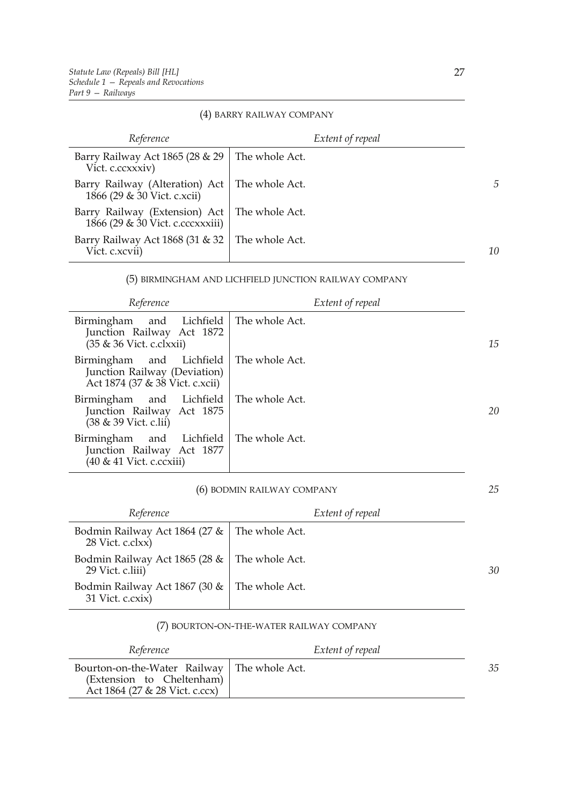#### (4) BARRY RAILWAY COMPANY

| Reference                                                                          |                | Extent of repeal |
|------------------------------------------------------------------------------------|----------------|------------------|
| Barry Railway Act 1865 (28 & 29<br>Vict. c.ccxxxiv)                                | The whole Act. |                  |
| Barry Railway (Alteration) Act   The whole Act.<br>1866 (29 & 30 Vict. c.xcii)     |                | $\sqrt{2}$       |
| Barry Railway (Extension) Act   The whole Act.<br>1866 (29 & 30 Vict. c.cccxxxiii) |                |                  |
| Barry Railway Act 1868 (31 $\&$ 32   The whole Act.<br>Vict. c.xcvii)              |                | 10               |

#### (5) BIRMINGHAM AND LICHFIELD JUNCTION RAILWAY COMPANY

| Reference                                                                                       | Extent of repeal |    |
|-------------------------------------------------------------------------------------------------|------------------|----|
| and Lichfield<br>Birmingham<br>Junction Railway Act 1872<br>(35 & 36 Vict. c.clxxii)            | The whole Act.   | 15 |
| Birmingham and Lichfield<br>Junction Railway (Deviation)<br>Act 1874 (37 & 38 Vict. c.xcii)     | The whole Act.   |    |
| Birmingham and Lichfield   The whole Act.<br>Junction Railway Act 1875<br>(38 & 39 Vict. c.lii) |                  | 20 |
| Birmingham and Lichfield<br>Junction Railway Act 1877<br>$(40 \& 41$ Vict. c.ccxiii)            | The whole Act.   |    |

#### (6) BODMIN RAILWAY COMPANY

| Reference                                                             | Extent of repeal |    |
|-----------------------------------------------------------------------|------------------|----|
| Bodmin Railway Act 1864 (27 $\&$   The whole Act.<br>28 Vict. c.clxx) |                  |    |
| Bodmin Railway Act 1865 (28 &   The whole Act.<br>29 Vict. c.liii)    |                  | 30 |
| Bodmin Railway Act 1867 (30 &   The whole Act.<br>31 Vict. c.cxix)    |                  |    |

#### (7) BOURTON-ON-THE-WATER RAILWAY COMPANY

| Reference                                                                                                    | Extent of repeal |    |
|--------------------------------------------------------------------------------------------------------------|------------------|----|
| Bourton-on-the-Water Railway   The whole Act.<br>(Extension to Cheltenham)<br>Act 1864 (27 & 28 Vict. c.ccx) |                  | 35 |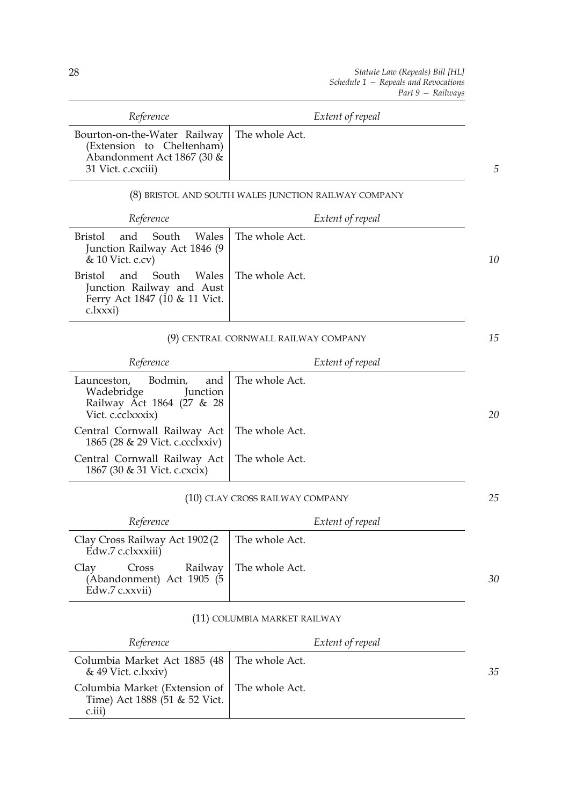| Reference                                                                                                      | Extent of repeal                                     |    |
|----------------------------------------------------------------------------------------------------------------|------------------------------------------------------|----|
| Bourton-on-the-Water Railway<br>(Extension to Cheltenham)<br>Abandonment Act 1867 (30 &<br>31 Vict. c. cxciii) | The whole Act.                                       | 5  |
|                                                                                                                | (8) BRISTOL AND SOUTH WALES JUNCTION RAILWAY COMPANY |    |
| Reference                                                                                                      | Extent of repeal                                     |    |
| South<br>Wales<br>Bristol<br>and<br>Junction Railway Act 1846 (9<br>& 10 Vict. c.cv)                           | The whole Act.                                       | 10 |
| South<br>Bristol<br>and<br>Wales<br>Junction Railway and Aust<br>Ferry Act 1847 (10 & 11 Vict.<br>c.lxxxi)     | The whole Act.                                       |    |
|                                                                                                                | (9) CENTRAL CORNWALL RAILWAY COMPANY                 | 15 |
| Reference                                                                                                      | Extent of repeal                                     |    |
| Bodmin,<br>Launceston,<br>and<br>Wadebridge<br>Junction<br>Railway Act 1864 (27 & 28<br>Vict. c.cclxxxix)      | The whole Act.                                       | 20 |
| $Countual$ $Countall$ $Dail linear$ $A$ $A$ $\Box$                                                             |                                                      |    |

| Central Cornwall Railway Act   The whole Act.<br>1865 (28 & 29 Vict. c.ccclxxiv) |  |
|----------------------------------------------------------------------------------|--|
| Central Cornwall Railway Act   The whole Act.<br>1867 (30 & 31 Vict. c.cxcix)    |  |

## (10) CLAY CROSS RAILWAY COMPANY

| Reference                                                                             | Extent of repeal |    |
|---------------------------------------------------------------------------------------|------------------|----|
| Clay Cross Railway Act 1902 (2<br>Edw.7 c.clxxxiii)                                   | The whole Act.   |    |
| Cross Railway   The whole Act.<br>Clay<br>(Abandonment) Act 1905 (5<br>Edw.7 c.xxvii) |                  | 30 |

## (11) COLUMBIA MARKET RAILWAY

| Reference                                                                                  | Extent of repeal |    |
|--------------------------------------------------------------------------------------------|------------------|----|
| Columbia Market Act 1885 (48 The whole Act.<br>$& 49$ Vict. c.lxxiv)                       |                  | 35 |
| Columbia Market (Extension of The whole Act.<br>Time) Act 1888 (51 & 52 Vict.<br>$c$ .iii) |                  |    |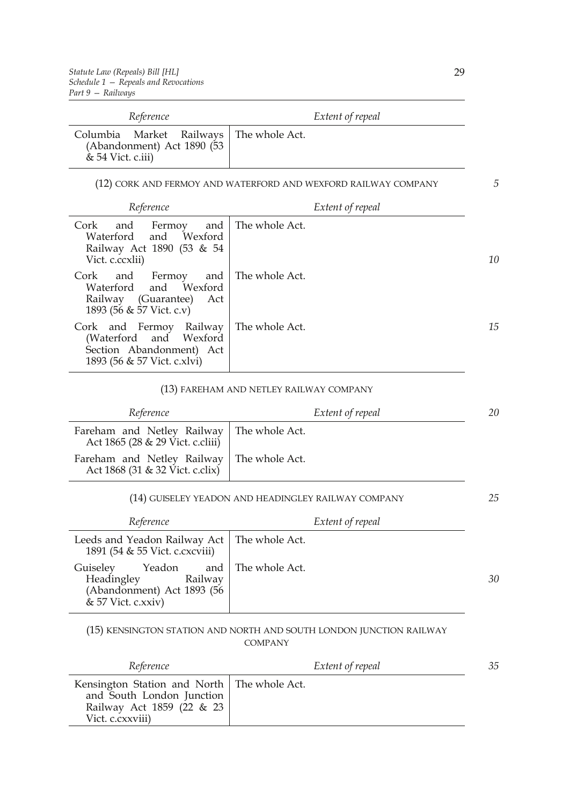| Reference                                                                                    | Extent of repeal |
|----------------------------------------------------------------------------------------------|------------------|
| Columbia Market Railways   The whole Act.<br>(Abandonment) Act 1890 (53<br>& 54 Vict. c.iii) |                  |

(12) CORK AND FERMOY AND WATERFORD AND WEXFORD RAILWAY COMPANY

| Reference                                                                                      | Extent of repeal     |
|------------------------------------------------------------------------------------------------|----------------------|
| Cork<br>Fermoy<br>and<br>Waterford and Wexford<br>Railway Act 1890 (53 & 54<br>Vict. c.ccxlii) | and The whole Act.   |
| and Fermoy<br>Cork<br>Waterford and Wexford<br>Railway (Guarantee)<br>Act                      | and   The whole Act. |

| Ratiway (Oddiance) Tel<br>1893 (56 & 57 Vict. c.v)                                                                            |    |
|-------------------------------------------------------------------------------------------------------------------------------|----|
| Cork and Fermoy Railway   The whole Act.<br>(Waterford and Wexford<br>Section Abandonment) Act<br>1893 (56 & 57 Vict. c.xlvi) | 15 |

## (13) FAREHAM AND NETLEY RAILWAY COMPANY

| Reference                                                      | Extent of repeal                                    | 20 |
|----------------------------------------------------------------|-----------------------------------------------------|----|
| Fareham and Netley Railway<br>Act 1865 (28 & 29 Vict. c.cliii) | The whole Act.                                      |    |
| Fareham and Netley Railway<br>Act 1868 (31 & 32 Vict. c.clix)  | The whole Act.                                      |    |
|                                                                | (14) GUISELEY YEADON AND HEADINGLEY RAILWAY COMPANY | 25 |
| Reference                                                      | Extent of repeal                                    |    |

| Leeds and Yeadon Railway Act   The whole Act.<br>1891 (54 & 55 Vict. c. cx cviii)                                    |    |
|----------------------------------------------------------------------------------------------------------------------|----|
| Yeadon and The whole Act.<br>Guiseley<br>Headingley<br>Railway<br>(Abandonment) Act 1893 (56<br>$& 57$ Vict. c.xxiv) | 30 |

#### (15) KENSINGTON STATION AND NORTH AND SOUTH LONDON JUNCTION RAILWAY COMPANY

| Reference                                                                                                                   | Extent of repeal | 35 |
|-----------------------------------------------------------------------------------------------------------------------------|------------------|----|
| Kensington Station and North   The whole Act.<br>and South London Junction<br>Railway Act 1859 (22 & 23<br>Vict. c.cxxviii) |                  |    |

*5*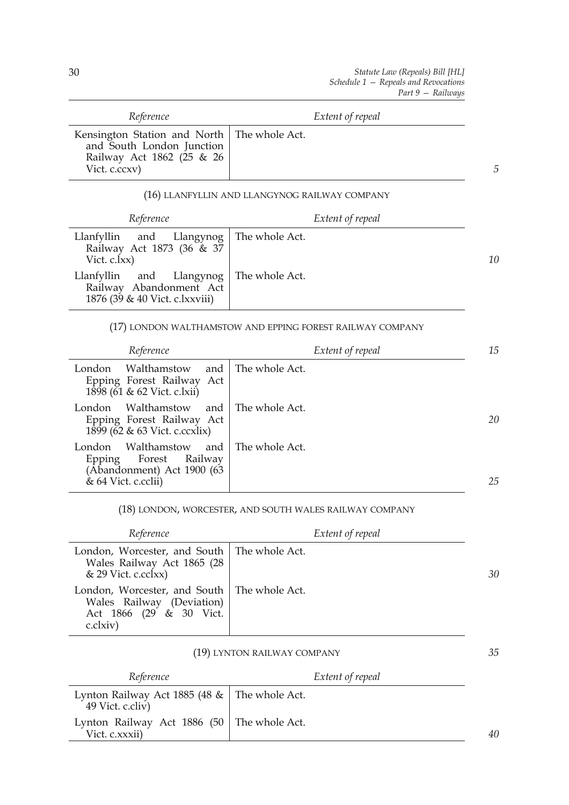*35*

| Reference                                                                                               | Extent of repeal                                          |    |
|---------------------------------------------------------------------------------------------------------|-----------------------------------------------------------|----|
| Kensington Station and North<br>and South London Junction<br>Railway Act 1862 (25 & 26<br>Vict. c.ccxv) | The whole Act.                                            | .5 |
|                                                                                                         | (16) LLANFYLLIN AND LLANGYNOG RAILWAY COMPANY             |    |
| Reference                                                                                               | Extent of repeal                                          |    |
| Llanfyllin<br>Llangynog<br>and<br>Railway Act 1873 (36 & 37<br>Vict. c.lxx)                             | The whole Act.                                            | 10 |
| Llanfyllin and Llangynog<br>Railway Abandonment Act<br>1876 (39 & 40 Vict. c.lxxviii)                   | The whole Act.                                            |    |
|                                                                                                         | (17) LONDON WALTHAMSTOW AND EPPING FOREST RAILWAY COMPANY |    |
| Reference                                                                                               | Extent of repeal                                          | 15 |
| London Walthamstow<br>and<br>Epping Forest Railway Act                                                  | The whole Act.                                            |    |

| 1898 (61 & 62 Vict. c.lxii)                                                                                             |    |
|-------------------------------------------------------------------------------------------------------------------------|----|
| Walthamstow and The whole Act.<br>London<br>Epping Forest Railway Act<br>1899 (62 & 63 Vict. c.ccxlix)                  | 20 |
| Walthamstow and The whole Act.<br>London.<br>Epping Forest Railway<br>(Abandonment) Act 1900 (63<br>& 64 Vict. c.cclii) | 25 |

(18) LONDON, WORCESTER, AND SOUTH WALES RAILWAY COMPANY

| Reference                                                                                                               | Extent of repeal |    |
|-------------------------------------------------------------------------------------------------------------------------|------------------|----|
| London, Worcester, and South   The whole Act.<br>Wales Railway Act 1865 (28<br>$& 29$ Vict. c.cclxx)                    |                  | 30 |
| London, Worcester, and South   The whole Act.<br>Wales Railway (Deviation)<br>Act 1866 (29 & 30 Vict.<br>$c$ . $clxiv)$ |                  |    |

## (19) LYNTON RAILWAY COMPANY

| Reference                                                             | Extent of repeal |    |
|-----------------------------------------------------------------------|------------------|----|
| Lynton Railway Act 1885 (48 $\&$   The whole Act.<br>49 Vict. c.cliv) |                  |    |
| Lynton Railway Act 1886 (50   The whole Act.<br>Vict. c.xxxii)        |                  | 40 |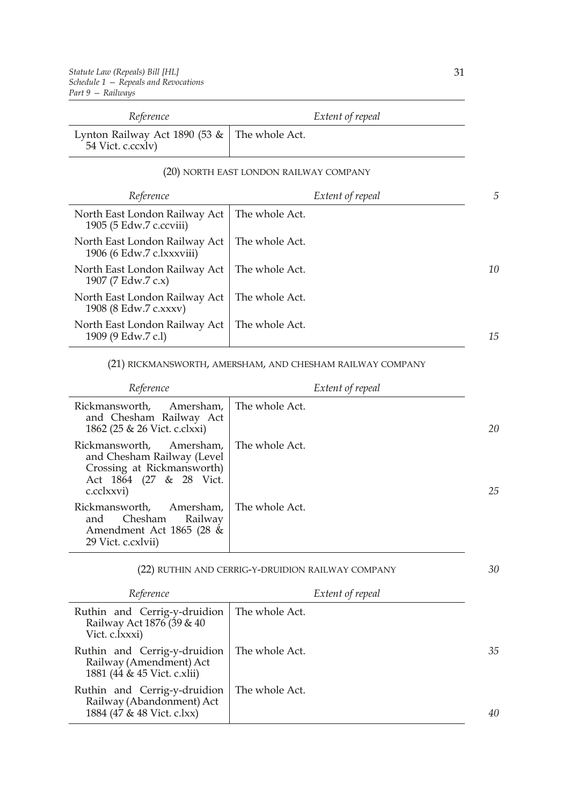| Reference                                                  | Extent of repeal                       |    |
|------------------------------------------------------------|----------------------------------------|----|
| Lynton Railway Act 1890 (53 &<br>54 Vict. c.ccxlv)         | The whole Act.                         |    |
|                                                            | (20) NORTH EAST LONDON RAILWAY COMPANY |    |
| Reference                                                  | Extent of repeal                       | 5  |
| North East London Railway Act<br>1905 (5 Edw.7 c.ccviii)   | The whole Act.                         |    |
| North East London Railway Act<br>1906 (6 Edw.7 c.lxxxviii) | The whole Act.                         |    |
| North East London Railway Act<br>1907 (7 Edw.7 c.x)        | The whole Act.                         | 10 |
| North East London Railway Act<br>1908 (8 Edw.7 c.xxxv)     | The whole Act.                         |    |
| North East London Railway Act<br>1909 (9 Edw.7 c.l)        | The whole Act.                         | 15 |

## (21) RICKMANSWORTH, AMERSHAM, AND CHESHAM RAILWAY COMPANY

| Reference                                                                                                                                    | Extent of repeal |    |
|----------------------------------------------------------------------------------------------------------------------------------------------|------------------|----|
| Rickmansworth, Amersham,   The whole Act.<br>and Chesham Railway Act<br>1862 (25 & 26 Vict. c.clxxi)                                         |                  | 20 |
| Rickmansworth, Amersham, The whole Act.<br>and Chesham Railway (Level<br>Crossing at Rickmansworth)<br>Act 1864 (27 & 28 Vict.<br>c.cclxxvi) |                  | 25 |
| Rickmansworth, Amersham, The whole Act.<br>and Chesham Railway<br>Amendment Act 1865 (28 &<br>29 Vict. c.cxlvii)                             |                  |    |

| (22) RUTHIN AND CERRIG-Y-DRUIDION RAILWAY COMPANY |
|---------------------------------------------------|
|---------------------------------------------------|

| Reference                                                                               | Extent of repeal |    |
|-----------------------------------------------------------------------------------------|------------------|----|
| Ruthin and Cerrig-y-druidion<br>Railway Act 1876 (39 & 40<br>Vict. c.lxxxi)             | The whole Act.   |    |
| Ruthin and Cerrig-y-druidion<br>Railway (Amendment) Act<br>1881 (44 & 45 Vict. c.xlii)  | The whole Act.   | 35 |
| Ruthin and Cerrig-y-druidion<br>Railway (Abandonment) Act<br>1884 (47 & 48 Vict. c.lxx) | The whole Act.   | 40 |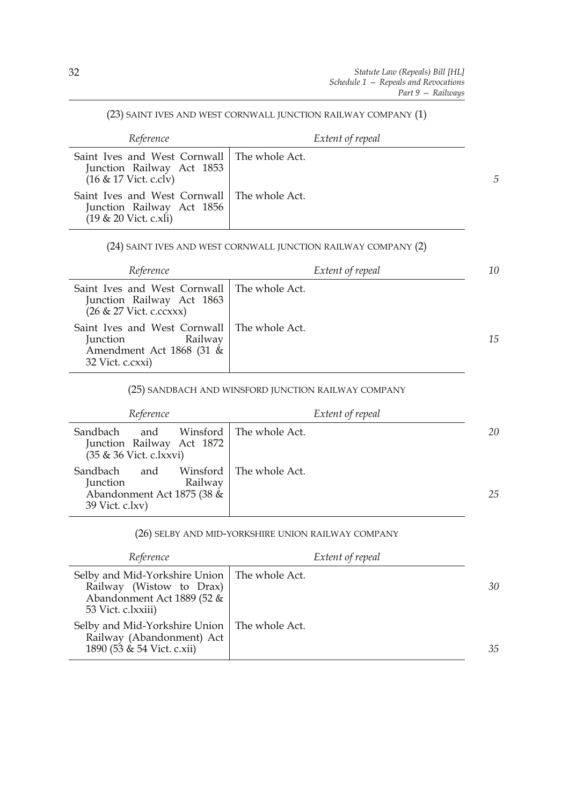#### (23) SAINT IVES AND WEST CORNWALL JUNCTION RAILWAY COMPANY (1)

| Reference                                                                                              | Extent of repeal |   |
|--------------------------------------------------------------------------------------------------------|------------------|---|
| Saint Ives and West Cornwall   The whole Act.<br>Junction Railway Act 1853<br>$(16 \& 17$ Vict. c.clv) |                  | 5 |
| Saint Ives and West Cornwall   The whole Act.<br>Junction Railway Act 1856<br>$(19 & 20$ Vict. c.xli)  |                  |   |

## (24) SAINT IVES AND WEST CORNWALL JUNCTION RAILWAY COMPANY (2)

| Reference                                                                                                                   | Extent of repeal | 10 |
|-----------------------------------------------------------------------------------------------------------------------------|------------------|----|
| Saint Ives and West Cornwall   The whole Act.<br>Junction Railway Act 1863<br>(26 & 27 Vict. c.ccxxx)                       |                  |    |
| Saint Ives and West Cornwall   The whole Act.<br>Railway<br><i>Junction</i><br>Amendment Act 1868 (31 &<br>32 Vict. c.cxxi) |                  | 15 |

#### (25) SANDBACH AND WINSFORD JUNCTION RAILWAY COMPANY

| Reference                                                                               | Extent of repeal          |    |
|-----------------------------------------------------------------------------------------|---------------------------|----|
| Sandbach<br>and<br>Junction Railway Act 1872<br>(35 & 36 Vict. c.lxxvi)                 | Winsford   The whole Act. | 20 |
| Sandbach<br>and<br>Railway<br>Junction<br>Abandonment Act 1875 (38 &<br>39 Vict. c.lxv) | Winsford   The whole Act. | 25 |

## (26) SELBY AND MID-YORKSHIRE UNION RAILWAY COMPANY

| Reference                                                                                                                      | Extent of repeal |    |
|--------------------------------------------------------------------------------------------------------------------------------|------------------|----|
| Selby and Mid-Yorkshire Union   The whole Act.<br>Railway (Wistow to Drax)<br>Abandonment Act 1889 (52 &<br>53 Vict. c.lxxiii) |                  | 30 |
| Selby and Mid-Yorkshire Union   The whole Act.<br>Railway (Abandonment) Act<br>1890 (53 & 54 Vict. c.xii)                      |                  | 35 |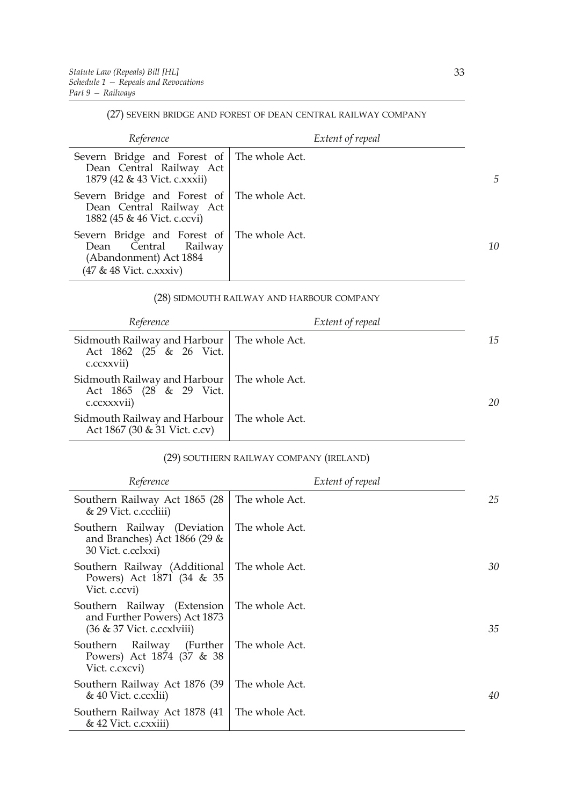l,

#### (27) SEVERN BRIDGE AND FOREST OF DEAN CENTRAL RAILWAY COMPANY

| Reference                                                                                                               | Extent of repeal |    |
|-------------------------------------------------------------------------------------------------------------------------|------------------|----|
| Severn Bridge and Forest of The whole Act.<br>Dean Central Railway Act<br>1879 (42 & 43 Vict. c.xxxii)                  |                  | 5  |
| Severn Bridge and Forest of The whole Act.<br>Dean Central Railway Act<br>1882 (45 & 46 Vict. c.ccvi)                   |                  |    |
| Severn Bridge and Forest of The whole Act.<br>Dean Central Railway<br>(Abandonment) Act 1884<br>(47 & 48 Vict. c.xxxiv) |                  | 10 |

#### (28) SIDMOUTH RAILWAY AND HARBOUR COMPANY

| Reference                                                                               | Extent of repeal |    |
|-----------------------------------------------------------------------------------------|------------------|----|
| Sidmouth Railway and Harbour   The whole Act.<br>Act 1862 (25 & 26 Vict.<br>c.ccxxvii)  |                  | 15 |
| Sidmouth Railway and Harbour   The whole Act.<br>Act 1865 (28 & 29 Vict.<br>c.ccxxxvii) |                  | 20 |
| Sidmouth Railway and Harbour<br>Act 1867 (30 & 31 Vict. c.cv)                           | The whole Act.   |    |

## (29) SOUTHERN RAILWAY COMPANY (IRELAND)

| Reference                                                                                 | Extent of repeal |    |
|-------------------------------------------------------------------------------------------|------------------|----|
| Southern Railway Act 1865 (28<br>& 29 Vict. c.cccliii)                                    | The whole Act.   | 25 |
| Southern Railway (Deviation<br>and Branches) Act 1866 (29 $\&$<br>30 Vict. c.cclxxi)      | The whole Act.   |    |
| Southern Railway (Additional<br>Powers) Act 1871 (34 & 35<br>Vict. c.ccvi)                | The whole Act.   | 30 |
| Southern Railway (Extension<br>and Further Powers) Act 1873<br>(36 & 37 Vict. c.ccxlviii) | The whole Act.   | 35 |
| Railway (Further<br>Southern<br>Powers) Act 1874 (37 & 38<br>Vict. c.cxcvi)               | The whole Act.   |    |
| Southern Railway Act 1876 (39<br>& 40 Vict. c.ccxlii)                                     | The whole Act.   | 40 |
| Southern Railway Act 1878 (41<br>& 42 Vict. c.cxxiii)                                     | The whole Act.   |    |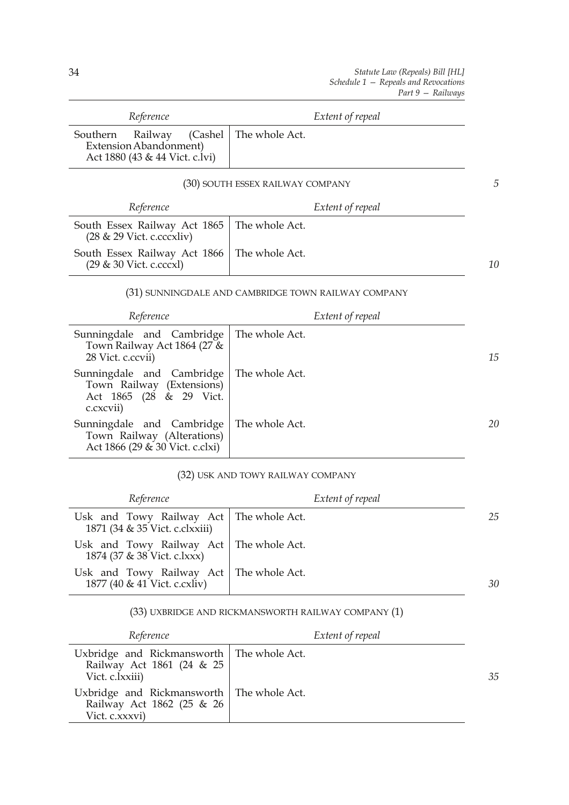| Reference                                                                                         | Extent of repeal                                    |    |
|---------------------------------------------------------------------------------------------------|-----------------------------------------------------|----|
| (Cashel<br>Southern<br>Railway<br><b>Extension Abandonment)</b><br>Act 1880 (43 & 44 Vict. c.lvi) | The whole Act.                                      |    |
|                                                                                                   | (30) SOUTH ESSEX RAILWAY COMPANY                    | 5  |
| Reference                                                                                         | Extent of repeal                                    |    |
| South Essex Railway Act 1865<br>$(28 \& 29 \text{ Vict. c.cccxliv})$                              | The whole Act.                                      |    |
| South Essex Railway Act 1866<br>(29 & 30 Vict. c.cccxl)                                           | The whole Act.                                      | 10 |
|                                                                                                   | (31) SUNNINGDALE AND CAMBRIDGE TOWN RAILWAY COMPANY |    |
| Reference                                                                                         | Extent of repeal                                    |    |
| Sunningdale and Cambridge<br>Town Railway Act 1864 (27 &<br>28 Vict. c.ccvii)                     | The whole Act.                                      | 15 |
| Sunningdale and Cambridge<br>Town Railway (Extensions)<br>Act 1865 (28 & 29 Vict.<br>c.cxcvii)    | The whole Act.                                      |    |
| Sunningdale and Cambridge<br>Town Railway (Alterations)<br>Act 1866 (29 & 30 Vict. c.clxi)        | The whole Act.                                      | 20 |
|                                                                                                   | (32) USK AND TOWY RAILWAY COMPANY                   |    |

| Reference                                                                   | Extent of repeal |    |
|-----------------------------------------------------------------------------|------------------|----|
| Usk and Towy Railway Act   The whole Act.<br>1871 (34 & 35 Vict. c.clxxiii) |                  | 25 |
| Usk and Towy Railway Act   The whole Act.<br>1874 (37 & 38 Vict. c.lxxx)    |                  |    |
| Usk and Towy Railway Act   The whole Act.<br>1877 (40 & 41 Vict. c.cxliv)   |                  | 30 |

# (33) UXBRIDGE AND RICKMANSWORTH RAILWAY COMPANY (1)

| Reference                                                                                   | Extent of repeal |    |
|---------------------------------------------------------------------------------------------|------------------|----|
| Uxbridge and Rickmansworth   The whole Act.<br>Railway Act 1861 (24 & 25<br>Vict. c.lxxiii) |                  | 35 |
| Uxbridge and Rickmansworth   The whole Act.<br>Railway Act 1862 (25 & 26<br>Vict. c.xxxvi)  |                  |    |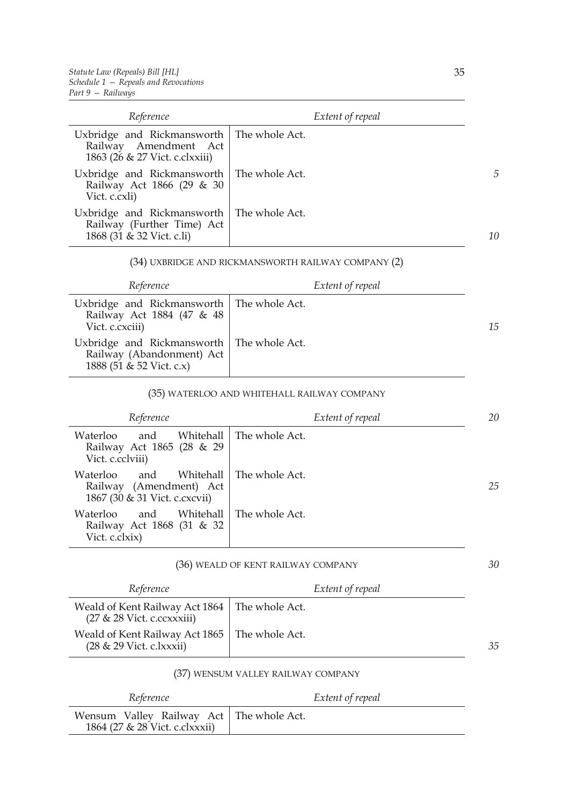| Reference                                                                                              | Extent of repeal |    |
|--------------------------------------------------------------------------------------------------------|------------------|----|
| Uxbridge and Rickmansworth   The whole Act.<br>Railway Amendment Act<br>1863 (26 & 27 Vict. c.clxxiii) |                  |    |
| Uxbridge and Rickmansworth   The whole Act.<br>Railway Act 1866 (29 & 30<br>Vict. c.cxli)              |                  | 5  |
| Uxbridge and Rickmansworth   The whole Act.<br>Railway (Further Time) Act<br>1868 (31 & 32 Vict. c.li) |                  | 10 |

## (34) UXBRIDGE AND RICKMANSWORTH RAILWAY COMPANY (2)

| Reference                                                                                            | Extent of repeal |    |
|------------------------------------------------------------------------------------------------------|------------------|----|
| Uxbridge and Rickmansworth   The whole Act.<br>Railway Act 1884 (47 & 48<br>Vict. c.cxciii)          |                  | 15 |
| Uxbridge and Rickmansworth   The whole Act.<br>Railway (Abandonment) Act<br>1888 (51 & 52 Vict. c.x) |                  |    |

#### (35) WATERLOO AND WHITEHALL RAILWAY COMPANY

| Reference                                                                                 | Extent of repeal | 20 |
|-------------------------------------------------------------------------------------------|------------------|----|
| Whitehall<br>Waterloo<br>and<br>Railway Act 1865 (28 & 29<br>Vict. c.cclviii)             | The whole Act.   |    |
| Waterloo<br>Whitehall<br>and<br>Railway (Amendment) Act<br>1867 (30 & 31 Vict. c. cxcvii) | The whole Act.   | 25 |
| Whitehall  <br>Waterloo<br>and<br>Railway Act 1868 (31 & 32<br>Vict. c.clxix)             | l The whole Act. |    |

#### (36) WEALD OF KENT RAILWAY COMPANY

| Reference                                                                              | Extent of repeal |    |
|----------------------------------------------------------------------------------------|------------------|----|
| Weald of Kent Railway Act 1864   The whole Act.<br>$(27 \& 28$ Vict. c.ccxxxiii)       |                  |    |
| Weald of Kent Railway Act 1865   The whole Act.<br>$(28 \& 29 \text{ Vict. c.lxxxii})$ |                  | 35 |

#### (37) WENSUM VALLEY RAILWAY COMPANY

| Reference                                                                    | Extent of repeal |
|------------------------------------------------------------------------------|------------------|
| Wensum Valley Railway Act   The whole Act.<br>1864 (27 & 28 Vict. c.clxxxii) |                  |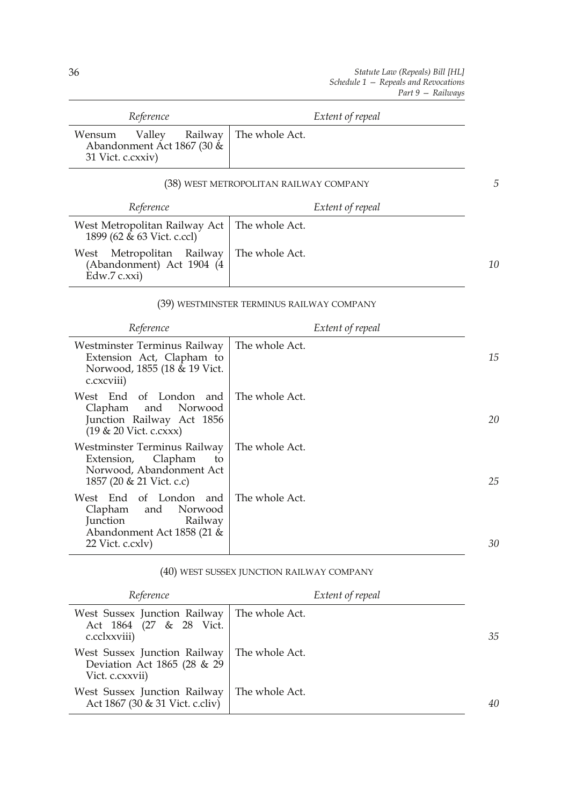| Reference                                                                                                                       | Extent of repeal                          |    |
|---------------------------------------------------------------------------------------------------------------------------------|-------------------------------------------|----|
| Wensum<br>Railway<br>Valley<br>Abandonment Act 1867 (30 &<br>31 Vict. c.cxxiv)                                                  | The whole Act.                            |    |
|                                                                                                                                 | (38) WEST METROPOLITAN RAILWAY COMPANY    | 5  |
| Reference                                                                                                                       | Extent of repeal                          |    |
| West Metropolitan Railway Act<br>1899 (62 & 63 Vict. c.ccl)                                                                     | The whole Act.                            |    |
| Railway<br>Metropolitan<br>West<br>(Abandonment) Act 1904 (4<br>Edw.7 c.xxi)                                                    | The whole Act.                            | 10 |
|                                                                                                                                 | (39) WESTMINSTER TERMINUS RAILWAY COMPANY |    |
| Reference                                                                                                                       | Extent of repeal                          |    |
| Westminster Terminus Railway<br>Extension Act, Clapham to<br>Norwood, 1855 (18 & 19 Vict.<br>c.cxcviii)                         | The whole Act.                            | 15 |
| West End<br>of London and<br>and<br>Norwood<br>Clapham<br>Junction Railway Act 1856<br>(19 & 20 Vict. c.cxxx)                   | The whole Act.                            | 20 |
| Westminster Terminus Railway<br>Clapham<br>Extension,<br>to<br>Norwood, Abandonment Act<br>1857 (20 & 21 Vict. c.c)             | The whole Act.                            | 25 |
| West End of<br>London and<br>Clapham<br>Norwood<br>and<br>Junction<br>Railway<br>Abandonment Act 1858 (21 &<br>22 Vict. c.cxlv) | The whole Act.                            | 30 |

## (40) WEST SUSSEX JUNCTION RAILWAY COMPANY

| Reference                                                                      | Extent of repeal |    |
|--------------------------------------------------------------------------------|------------------|----|
| West Sussex Junction Railway<br>Act 1864 (27 & 28 Vict.<br>c.cclxxviii)        | The whole Act.   | 35 |
| West Sussex Junction Railway<br>Deviation Act 1865 (28 & 29<br>Vict. c.cxxvii) | The whole Act.   |    |
| West Sussex Junction Railway<br>Act 1867 (30 & 31 Vict. c.cliv)                | The whole Act.   | 40 |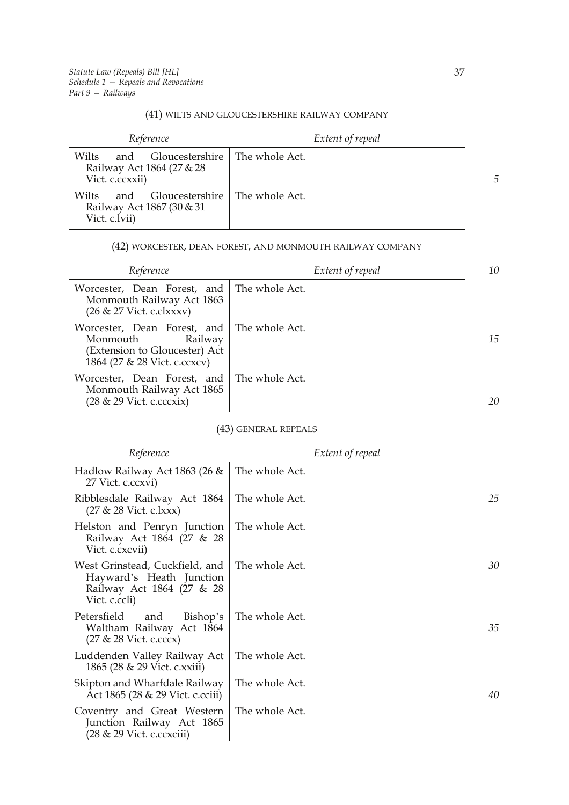#### (41) WILTS AND GLOUCESTERSHIRE RAILWAY COMPANY

| Reference                                                                                        | Extent of repeal |   |
|--------------------------------------------------------------------------------------------------|------------------|---|
| Gloucestershire   The whole Act.<br>Wilts<br>and<br>Railway Act 1864 (27 & 28<br>Vict. c.ccxxii) |                  | 5 |
| - Gloucestershire   The whole Act.<br>Wilts<br>and<br>Railway Act 1867 (30 & 31<br>Vict. c.lvii) |                  |   |

#### (42) WORCESTER, DEAN FOREST, AND MONMOUTH RAILWAY COMPANY

| Reference                                                                                                                          | Extent of repeal | 10 |
|------------------------------------------------------------------------------------------------------------------------------------|------------------|----|
| Worcester, Dean Forest, and   The whole Act.<br>Monmouth Railway Act 1863<br>$(26 \& 27 \text{ Vict. c.}clxxxv)$                   |                  |    |
| Worcester, Dean Forest, and The whole Act.<br>Monmouth<br>Railway<br>(Extension to Gloucester) Act<br>1864 (27 & 28 Vict. c.ccxcv) |                  | 15 |
| Worcester, Dean Forest, and<br>Monmouth Railway Act 1865<br>$(28 \& 29 \text{ Vict. c.cccxix})$                                    | The whole Act.   | 20 |

(43) GENERAL REPEALS

| Reference                                                                                                | Extent of repeal |    |
|----------------------------------------------------------------------------------------------------------|------------------|----|
| Hadlow Railway Act 1863 (26 &<br>27 Vict. c.ccxvi)                                                       | The whole Act.   |    |
| Ribblesdale Railway Act 1864<br>$(27 \& 28$ Vict. c.lxxx)                                                | The whole Act.   | 25 |
| Helston and Penryn Junction<br>Railway Act 1864 (27 & 28<br>Vict. c.cxcvii)                              | The whole Act.   |    |
| West Grinstead, Cuckfield, and<br>Hayward's Heath Junction<br>Railway Act 1864 (27 & 28<br>Vict. c.ccli) | The whole Act.   | 30 |
| Petersfield<br>and<br>Bishop's<br>Waltham Railway Act 1864<br>$(27 \& 28$ Vict. c.cccx)                  | The whole Act.   | 35 |
| Luddenden Valley Railway Act<br>1865 (28 & 29 Vict. c.xxiii)                                             | The whole Act.   |    |
| Skipton and Wharfdale Railway<br>Act 1865 (28 & 29 Vict. c.cciii)                                        | The whole Act.   | 40 |
| Coventry and Great Western<br>Junction Railway Act 1865<br>(28 & 29 Vict. c.ccxciii)                     | The whole Act.   |    |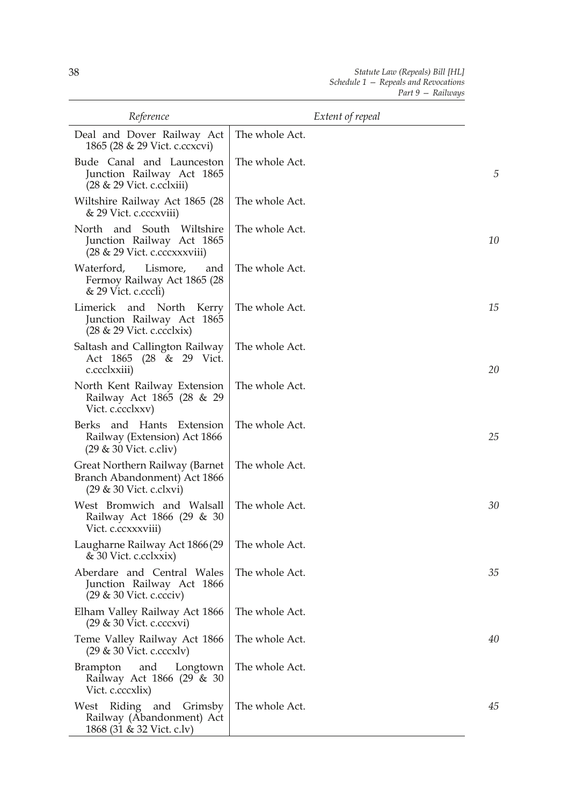| Reference                                                                                              | Extent of repeal |    |
|--------------------------------------------------------------------------------------------------------|------------------|----|
| Deal and Dover Railway Act<br>1865 (28 & 29 Vict. c.ccxcvi)                                            | The whole Act.   |    |
| Bude Canal and Launceston<br>Junction Railway Act 1865<br>$(28 \& 29 \text{ Vict. c.cclxiii})$         | The whole Act.   | 5  |
| Wiltshire Railway Act 1865 (28<br>& 29 Vict. c.cccxviii)                                               | The whole Act.   |    |
| and South<br>North<br>Wiltshire<br>Junction Railway Act 1865<br>$(28 \& 29 \text{ Vict. c.cccxxviii})$ | The whole Act.   | 10 |
| Waterford,<br>Lismore,<br>and<br>Fermoy Railway Act 1865 (28<br>& 29 Vict. c.cccli)                    | The whole Act.   |    |
| Limerick and North<br>Kerry<br>Junction Railway Act 1865<br>$(28 \& 29 \text{ Vict. c.cclxix})$        | The whole Act.   | 15 |
| Saltash and Callington Railway<br>Act 1865 (28 & 29 Vict.<br>c.ccclxxiii)                              | The whole Act.   | 20 |
| North Kent Railway Extension<br>Railway Act 1865 (28 & 29<br>Vict. c.ccclxxv)                          | The whole Act.   |    |
| Berks and Hants Extension<br>Railway (Extension) Act 1866<br>$(29 \& 30$ Vict. c.cliv)                 | The whole Act.   | 25 |
| Great Northern Railway (Barnet<br>Branch Abandonment) Act 1866<br>$(29 \& 30$ Vict. c.clxvi)           | The whole Act.   |    |
| West Bromwich and Walsall<br>Railway Act 1866 (29 & 30<br>Vict. c.ccxxxviii)                           | The whole Act.   | 30 |
| Laugharne Railway Act 1866 (29<br>& 30 Vict. c.cclxxix)                                                | The whole Act.   |    |
| Aberdare and Central Wales<br>Junction Railway Act 1866<br>$(29 \& 30$ Vict. c.ccciv)                  | The whole Act.   | 35 |
| Elham Valley Railway Act 1866<br>(29 & 30 Vict. c.cccxvi)                                              | The whole Act.   |    |
| Teme Valley Railway Act 1866<br>$(29 \& 30$ Vict. c.cccxlv)                                            | The whole Act.   | 40 |
| and<br><b>Brampton</b><br>Longtown<br>Railway Act 1866 (29 & 30<br>Vict. c.cccxlix)                    | The whole Act.   |    |
| West Riding and Grimsby<br>Railway (Abandonment) Act<br>1868 (31 & 32 Vict. c.lv)                      | The whole Act.   | 45 |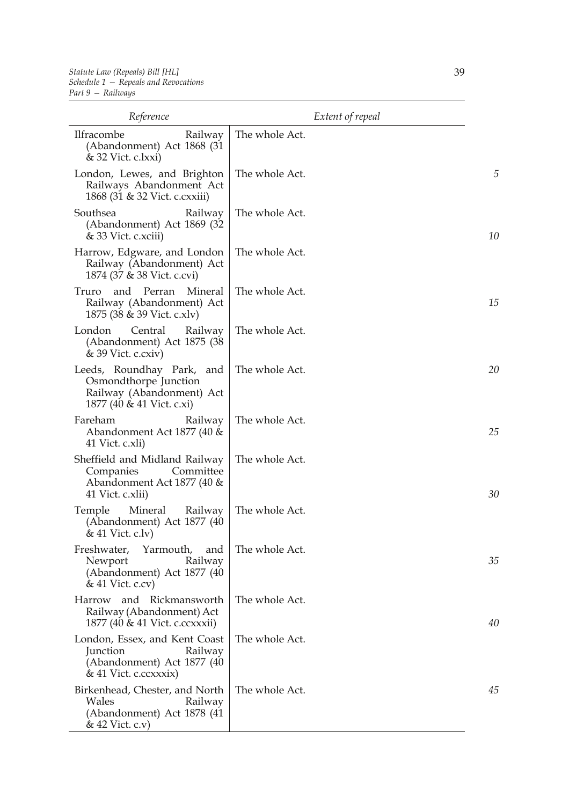| Reference                                                                                                    | Extent of repeal |    |
|--------------------------------------------------------------------------------------------------------------|------------------|----|
| Ilfracombe<br>Railway<br>(Abandonment) Act 1868 (31<br>& 32 Vict. c.lxxi)                                    | The whole Act.   |    |
| London, Lewes, and Brighton<br>Railways Abandonment Act<br>1868 (31 & 32 Vict. c. cxxiii)                    | The whole Act.   | 5  |
| Southsea<br>Railway<br>(Abandonment) Act 1869 (32)<br>& 33 Vict. c.xciii)                                    | The whole Act.   | 10 |
| Harrow, Edgware, and London<br>Railway (Abandonment) Act<br>1874 (37 & 38 Vict. c.cvi)                       | The whole Act.   |    |
| Perran<br>Mineral<br>Truro<br>and<br>Railway (Abandonment) Act<br>1875 (38 & 39 Vict. c.xlv)                 | The whole Act.   | 15 |
| London<br>Central<br>Railway<br>(Abandonment) Act 1875 (38<br>$& 39$ Vict. c.cxiv)                           | The whole Act.   |    |
| Leeds, Roundhay Park, and<br>Osmondthorpe Junction<br>Railway (Abandonment) Act<br>1877 (40 & 41 Vict. c.xi) | The whole Act.   | 20 |
| Fareham<br>Railway<br>Abandonment Act 1877 (40 &<br>41 Vict. c.xli)                                          | The whole Act.   | 25 |
| Sheffield and Midland Railway<br>Committee<br>Companies<br>Abandonment Act 1877 (40 &<br>41 Vict. c.xlii)    | The whole Act.   | 30 |
| Mineral<br>Temple<br>Railway<br>(Abandonment) Act 1877 (40)<br>& 41 Vict. c.lv)                              | The whole Act.   |    |
| Yarmouth,<br>Freshwater,<br>and<br>Newport<br>Railway<br>(Abandonment) Act 1877 (40<br>$& 41$ Vict. c.cv)    | The whole Act.   | 35 |
| Harrow and Rickmansworth<br>Railway (Abandonment) Act<br>1877 (40 & 41 Vict. c.ccxxxii)                      | The whole Act.   | 40 |
| London, Essex, and Kent Coast<br>Junction<br>Railway<br>(Abandonment) Act 1877 (40<br>& 41 Vict. c.ccxxxix)  | The whole Act.   |    |
| Birkenhead, Chester, and North<br>Wales<br>Railway<br>(Abandonment) Act 1878 (41<br>& 42 Vict. c.v)          | The whole Act.   | 45 |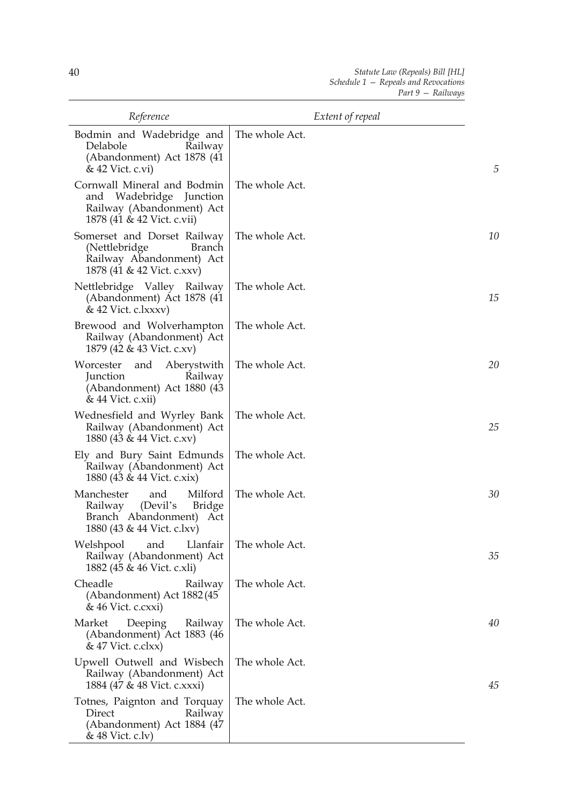| Reference                                                                                                                 | Extent of repeal |    |
|---------------------------------------------------------------------------------------------------------------------------|------------------|----|
| Bodmin and Wadebridge and<br>Delabole<br>Railway<br>(Abandonment) Act 1878 (41)<br>& 42 Vict. c.vi)                       | The whole Act.   | 5  |
| Cornwall Mineral and Bodmin<br>and Wadebridge Junction<br>Railway (Abandonment) Act<br>1878 (41 & 42 Vict. c.vii)         | The whole Act.   |    |
| Somerset and Dorset Railway<br>(Nettlebridge<br>Branch<br>Railway Abandonment) Act<br>1878 (41 & 42 Vict. c.xxv)          | The whole Act.   | 10 |
| Nettlebridge Valley Railway<br>(Abandonment) Act 1878 (41)<br>& 42 Vict. c.lxxxv)                                         | The whole Act.   | 15 |
| Brewood and Wolverhampton<br>Railway (Abandonment) Act<br>1879 (42 & 43 Vict. c.xv)                                       | The whole Act.   |    |
| Worcester<br>and<br>Aberystwith<br>Junction<br>Railway<br>(Abandonment) Act 1880 (43<br>& 44 Vict. c.xii)                 | The whole Act.   | 20 |
| Wednesfield and Wyrley Bank<br>Railway (Abandonment) Act<br>1880 (43 & 44 Vict. c.xv)                                     | The whole Act.   | 25 |
| Ely and Bury Saint Edmunds<br>Railway (Abandonment) Act<br>1880 (43 & 44 Vict. c.xix)                                     | The whole Act.   |    |
| Manchester<br>Milford<br>and<br>(Devil's<br>Bridge<br>Railway<br>Branch Abandonment)<br>Act<br>1880 (43 & 44 Vict. c.lxv) | The whole Act.   | 30 |
| Llanfair<br>Welshpool<br>and<br>Railway (Abandonment) Act<br>1882 (45 & 46 Vict. c.xli)                                   | The whole Act.   | 35 |
| Cheadle<br>Railway<br>(Abandonment) Act 1882 (45<br>& 46 Vict. c.cxxi)                                                    | The whole Act.   |    |
| Market<br>Deeping<br>Railway<br>(Abandonment) Act 1883 (46<br>& 47 Vict. c.clxx)                                          | The whole Act.   | 40 |
| Upwell Outwell and Wisbech<br>Railway (Abandonment) Act<br>1884 (47 & 48 Vict. c.xxxi)                                    | The whole Act.   | 45 |
| Totnes, Paignton and Torquay<br>Direct<br>Railway<br>(Abandonment) Act 1884 (47<br>& 48 Vict. c.lv)                       | The whole Act.   |    |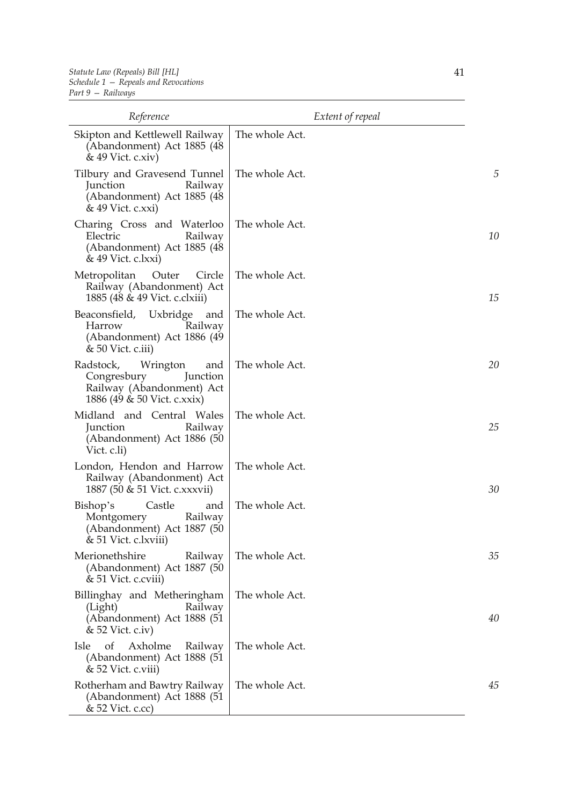| Reference                                                                                                           | Extent of repeal |    |
|---------------------------------------------------------------------------------------------------------------------|------------------|----|
| Skipton and Kettlewell Railway<br>(Abandonment) Act 1885 (48<br>& 49 Vict. c.xiv)                                   | The whole Act.   |    |
| Tilbury and Gravesend Tunnel<br>Junction<br>Railway<br>(Abandonment) Act 1885 (48)<br>& 49 Vict. c.xxi)             | The whole Act.   | 5  |
| Charing Cross and Waterloo<br>Electric<br>Railway<br>(Abandonment) Act 1885 (48)<br>& 49 Vict. c.lxxi)              | The whole Act.   | 10 |
| Metropolitan<br>Outer<br>Circle<br>Railway (Abandonment) Act<br>1885 (48 & 49 Vict. c.clxiii)                       | The whole Act.   | 15 |
| Beaconsfield, Uxbridge and<br>Harrow<br>Railway<br>(Abandonment) Act 1886 (49)<br>& 50 Vict. c.iii)                 | The whole Act.   |    |
| Wrington<br>Radstock,<br>and<br>Congresbury<br>Junction<br>Railway (Abandonment) Act<br>1886 (49 & 50 Vict. c.xxix) | The whole Act.   | 20 |
| Midland and Central Wales<br>Junction<br>Railway<br>(Abandonment) Act 1886 (50<br>Vict. c.li)                       | The whole Act.   | 25 |
| London, Hendon and Harrow<br>Railway (Abandonment) Act<br>1887 (50 & 51 Vict. c.xxxvii)                             | The whole Act.   | 30 |
| Castle<br>Bishop's<br>and<br>Montgomery<br>Railway<br>(Abandonment) Act 1887 (50<br>& 51 Vict. c.lxviii)            | The whole Act.   |    |
| Merionethshire<br>Railway<br>(Abandonment) Act 1887 (50<br>& 51 Vict. c.cviii)                                      | The whole Act.   | 35 |
| Billinghay and Metheringham<br>(Light)<br>Railway<br>(Abandonment) Act 1888 (51<br>& 52 Vict. c.iv)                 | The whole Act.   | 40 |
| <sub>of</sub><br>Axholme<br>Isle<br>Railway<br>(Abandonment) Act 1888 (51<br>& 52 Vict. c.viii)                     | The whole Act.   |    |
| Rotherham and Bawtry Railway<br>(Abandonment) Act 1888 (51<br>& 52 Vict. c.cc)                                      | The whole Act.   | 45 |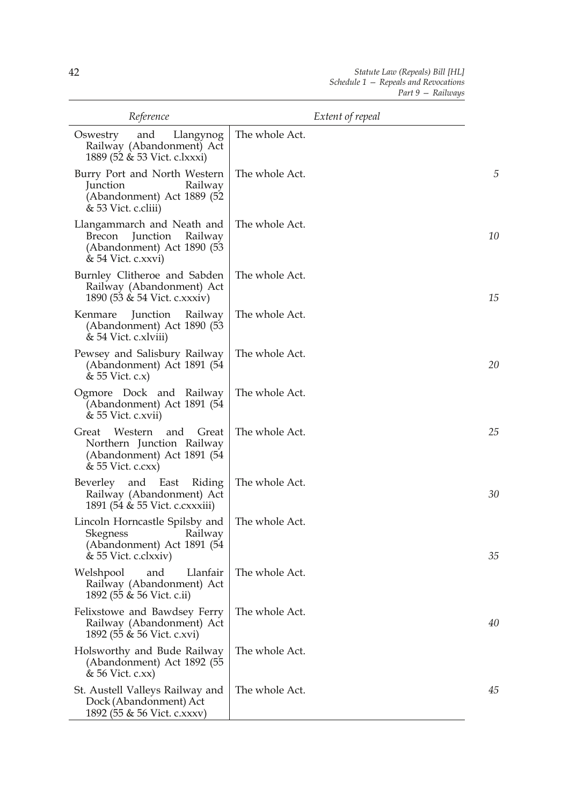| Reference                                                                                                          | Extent of repeal |    |
|--------------------------------------------------------------------------------------------------------------------|------------------|----|
| Oswestry<br>Llangynog<br>and<br>Railway (Abandonment) Act<br>1889 (52 & 53 Vict. c.lxxxi)                          | The whole Act.   |    |
| Burry Port and North Western<br>Junction<br>Railway<br>(Abandonment) Act 1889 (52<br>& 53 Vict. c.cliii)           | The whole Act.   | 5  |
| Llangammarch and Neath and<br>Railway<br>Brecon<br>Junction<br>(Abandonment) Act 1890 (53<br>& 54 Vict. c.xxvi)    | The whole Act.   | 10 |
| Burnley Clitheroe and Sabden<br>Railway (Abandonment) Act<br>1890 (53 & 54 Vict. c.xxxiv)                          | The whole Act.   | 15 |
| Junction<br>Kenmare<br>Railway<br>(Abandonment) Act 1890 (53<br>& 54 Vict. c.xlviii)                               | The whole Act.   |    |
| Pewsey and Salisbury Railway<br>(Abandonment) Act 1891 (54<br>& 55 Vict. c.x)                                      | The whole Act.   | 20 |
| Ogmore Dock and Railway<br>(Abandonment) Act 1891 (54<br>& 55 Vict. c.xvii)                                        | The whole Act.   |    |
| Western<br>Great<br>and<br>Great<br>Northern Junction Railway<br>(Abandonment) Act 1891 (54<br>$& 55$ Vict. c.cxx) | The whole Act.   | 25 |
| Beverley and East<br>Riding<br>Railway (Abandonment) Act<br>1891 (54 & 55 Vict. c. cx xxiii)                       | The whole Act.   | 30 |
| Lincoln Horncastle Spilsby and<br>Skegness Railway<br>(Abandonment) Act 1891 (54<br>& 55 Vict. c.clxxiv)           | The whole Act.   | 35 |
| Llanfair<br>Welshpool<br>and<br>Railway (Abandonment) Act<br>1892 (55 & 56 Vict. c.ii)                             | The whole Act.   |    |
| Felixstowe and Bawdsey Ferry<br>Railway (Abandonment) Act<br>1892 (55 & 56 Vict. c.xvi)                            | The whole Act.   | 40 |
| Holsworthy and Bude Railway<br>(Abandonment) Act 1892 (55<br>$& 56$ Vict. c.xx)                                    | The whole Act.   |    |
| St. Austell Valleys Railway and<br>Dock (Abandonment) Act<br>1892 (55 & 56 Vict. c.xxxv)                           | The whole Act.   | 45 |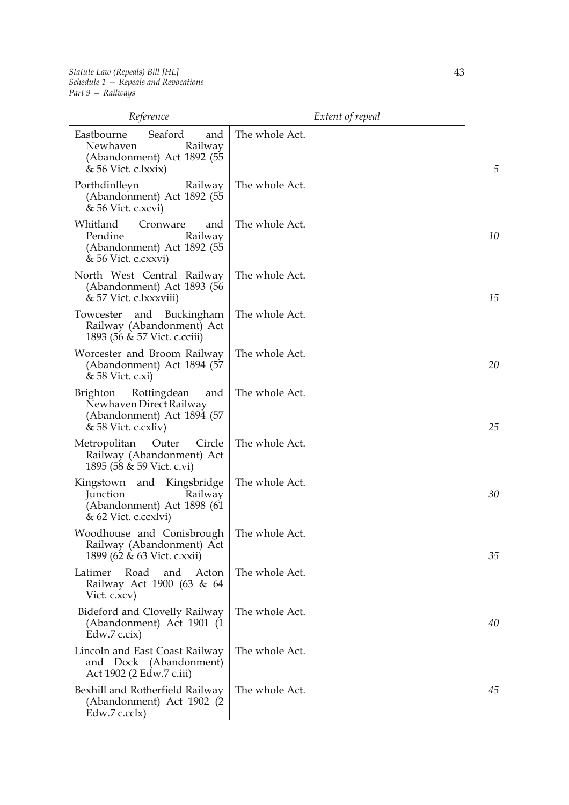| Reference                                                                                                      | Extent of repeal |    |
|----------------------------------------------------------------------------------------------------------------|------------------|----|
| Seaford<br>Eastbourne<br>and<br>Newhaven<br>Railway<br>(Abandonment) Act 1892 (55<br>& 56 Vict. c.lxxix)       | The whole Act.   | 5  |
| Porthdinlleyn<br>Railway<br>(Abandonment) Act 1892 (55<br>& 56 Vict. c.xcvi)                                   | The whole Act.   |    |
| Whitland<br>Cronware<br>and<br>Pendine<br>Railway<br>(Abandonment) Act 1892 (55<br>& 56 Vict. c.cxxvi)         | The whole Act.   | 10 |
| North West Central Railway<br>(Abandonment) Act 1893 (56<br>& 57 Vict. c.lxxxviii)                             | The whole Act.   | 15 |
| Buckingham<br>Towcester<br>and<br>Railway (Abandonment) Act<br>1893 (56 & 57 Vict. c.cciii)                    | The whole Act.   |    |
| Worcester and Broom Railway<br>(Abandonment) Act 1894 (57<br>& 58 Vict. c.xi)                                  | The whole Act.   | 20 |
| Rottingdean<br>Brighton<br>and<br>Newhaven Direct Railway<br>(Abandonment) Act 1894 (57<br>& 58 Vict. c.cxliv) | The whole Act.   | 25 |
| Outer<br>Metropolitan<br>Circle<br>Railway (Abandonment) Act<br>1895 (58 & 59 Vict. c.vi)                      | The whole Act.   |    |
| Kingstown and Kingsbridge<br>Junction<br>Railway<br>(Abandonment) Act 1898 (61)<br>& 62 Vict. c.ccxlvi)        | The whole Act.   | 30 |
| Woodhouse and Conisbrough   The whole Act.<br>Railway (Abandonment) Act<br>1899 (62 & 63 Vict. c.xxii)         |                  | 35 |
| Road<br>Latimer<br>and<br>Acton<br>Railway Act 1900 (63 & 64<br>Vict. c.xcv)                                   | The whole Act.   |    |
| Bideford and Clovelly Railway<br>(Abandonment) Act 1901 (1<br>Edw.7 c.cix)                                     | The whole Act.   | 40 |
| Lincoln and East Coast Railway<br>and Dock (Abandonment)<br>Act 1902 (2 Edw.7 c.iii)                           | The whole Act.   |    |
| Bexhill and Rotherfield Railway<br>(Abandonment) Act 1902 (2)<br>Edw.7 c.cclx)                                 | The whole Act.   | 45 |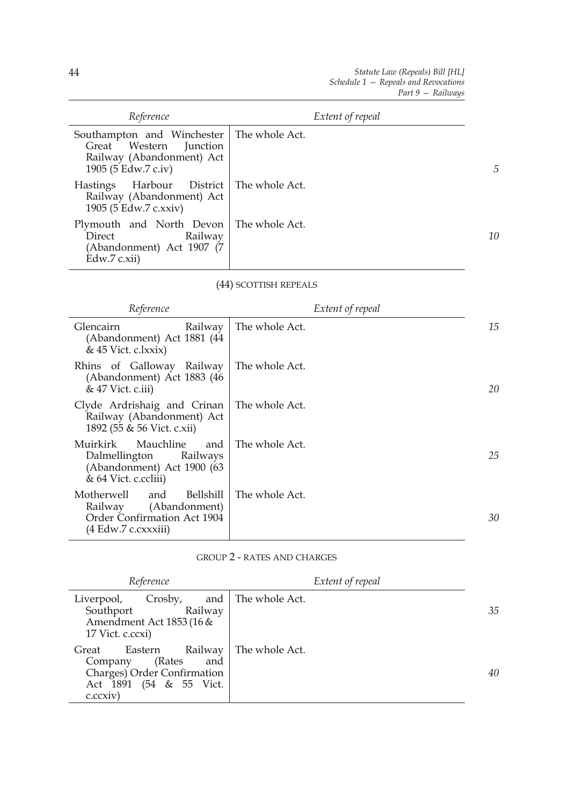| Reference                                                                                                                 | Extent of repeal |    |
|---------------------------------------------------------------------------------------------------------------------------|------------------|----|
| Southampton and Winchester   The whole Act.<br>Great Western Junction<br>Railway (Abandonment) Act<br>1905 (5 Edw.7 c.iv) |                  | 5  |
| Harbour District   The whole Act.<br>Hastings<br>Railway (Abandonment) Act<br>1905 (5 Edw.7 c.xxiv)                       |                  |    |
| Plymouth and North Devon   The whole Act.<br>Railway<br>Direct<br>(Abandonment) Act 1907 (7<br>Edw.7 c.xii)               |                  | 10 |

## (44) SCOTTISH REPEALS

| Reference                                                                                                     | Extent of repeal |    |
|---------------------------------------------------------------------------------------------------------------|------------------|----|
| <b>Glencairn</b><br>Railway<br>(Abandonment) Act 1881 (44<br>$& 45$ Vict. c.lxxix)                            | The whole Act.   | 15 |
| Rhins of Galloway Railway<br>(Abandonment) Act 1883 (46<br>$& 47$ Vict. c.iii)                                | The whole Act.   | 20 |
| Clyde Ardrishaig and Crinan<br>Railway (Abandonment) Act<br>1892 (55 & 56 Vict. c.xii)                        | The whole Act.   |    |
| Mauchline<br>Muirkirk<br>and<br>Dalmellington Railways<br>(Abandonment) Act 1900 (63<br>& 64 Vict. c.ccliii)  | The whole Act.   | 25 |
| Motherwell<br>Bellshill<br>and<br>Railway (Abandonment)<br>Order Confirmation Act 1904<br>(4 Edw.7 c.cxxxiii) | The whole Act.   | 30 |

GROUP 2 - RATES AND CHARGES

| Reference                                                                                                                                    | Extent of repeal |    |
|----------------------------------------------------------------------------------------------------------------------------------------------|------------------|----|
| and<br>Crosby,<br>Liverpool,<br>Southport<br>Railway<br>Amendment Act 1853 (16 &<br>17 Vict. c.ccxi)                                         | The whole Act.   | 35 |
| Railway<br>Eastern<br>Great<br>(Rates<br>Company<br>and<br>Charges) Order Confirmation<br>$(54 \& 55 \text{ Vict.})$<br>Act 1891<br>c.cexiv) | The whole Act.   | 40 |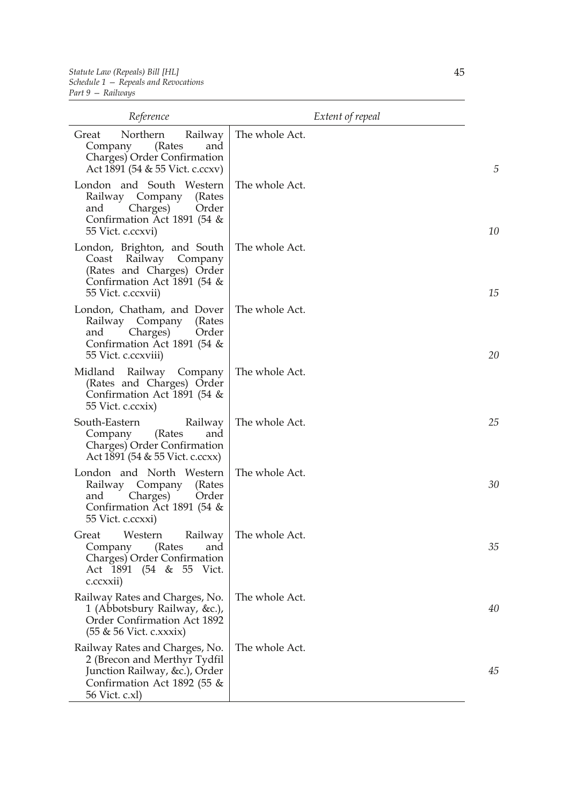| Reference                                                                                                                                        | Extent of repeal |    |
|--------------------------------------------------------------------------------------------------------------------------------------------------|------------------|----|
| Great<br>Northern<br>Railway<br>(Rates<br>and<br>Company<br>Charges) Order Confirmation<br>Act 1891 (54 & 55 Vict. c.ccxv)                       | The whole Act.   | 5  |
| London and South Western<br>Railway Company<br>(Rates<br>Charges)<br>Order<br>and<br>Confirmation Act 1891 (54 &<br>55 Vict. c.ccxvi)            | The whole Act.   | 10 |
| London, Brighton, and South<br>Coast Railway Company<br>(Rates and Charges) Order<br>Confirmation Act 1891 (54 &<br>55 Vict. c.ccxvii)           | The whole Act.   | 15 |
| London, Chatham, and Dover<br>Railway Company (Rates<br>Charges)<br>Order<br>and<br>Confirmation Act 1891 (54 &<br>55 Vict. c.ccxviii)           | The whole Act.   | 20 |
| Midland<br>Railway Company<br>(Rates and Charges) Order<br>Confirmation Act 1891 (54 &<br>55 Vict. c.ccxix)                                      | The whole Act.   |    |
| South-Eastern<br>Railway<br>Company<br>(Rates<br>and<br>Charges) Order Confirmation<br>Act 1891 (54 & 55 Vict. c.ccxx)                           | The whole Act.   | 25 |
| London and North Western<br>Railway Company<br>(Rates<br>Charges)<br>Order<br>and<br>Confirmation Act 1891 (54 &<br>55 Vict. c.ccxxi)            | The whole Act.   | 30 |
| Great Western Railway<br>(Rates<br>and<br>Company<br>Charges) Order Confirmation<br>Act 1891 (54 & 55 Vict.<br>c.ccxxii)                         | The whole Act.   | 35 |
| Railway Rates and Charges, No.<br>1 (Abbotsbury Railway, &c.),<br>Order Confirmation Act 1892<br>(55 & 56 Vict. c.xxxix)                         | The whole Act.   | 40 |
| Railway Rates and Charges, No.<br>2 (Brecon and Merthyr Tydfil<br>Junction Railway, &c.), Order<br>Confirmation Act 1892 (55 &<br>56 Vict. c.xl) | The whole Act.   | 45 |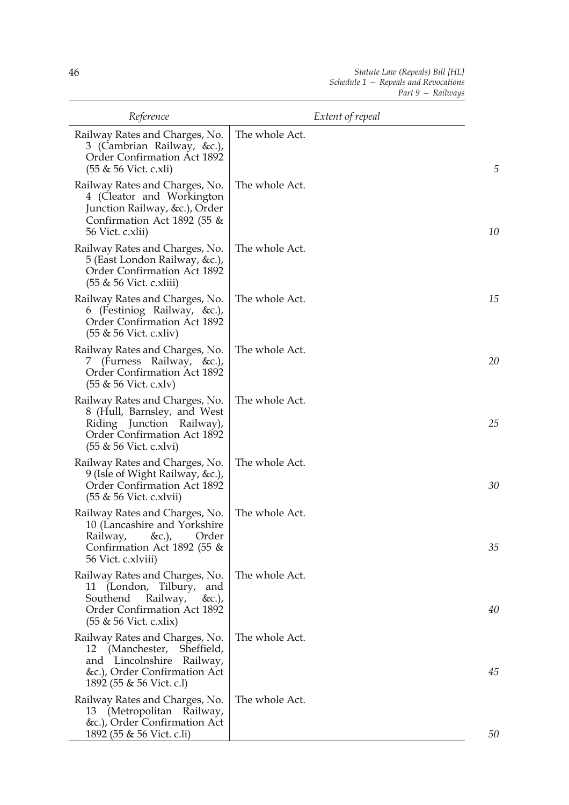| Reference                                                                                                                                                     | Extent of repeal |    |
|---------------------------------------------------------------------------------------------------------------------------------------------------------------|------------------|----|
| Railway Rates and Charges, No.<br>3 (Cambrian Railway, &c.),<br>Order Confirmation Act 1892<br>(55 & 56 Vict. c.xli)                                          | The whole Act.   | 5  |
| Railway Rates and Charges, No.<br>4 (Cleator and Workington<br>Junction Railway, &c.), Order<br>Confirmation Act 1892 (55 $\&$<br>56 Vict. c.xlii)            | The whole Act.   | 10 |
| Railway Rates and Charges, No.<br>5 (East London Railway, &c.),<br>Order Confirmation Act 1892<br>(55 & 56 Vict. c.xliii)                                     | The whole Act.   |    |
| Railway Rates and Charges, No.<br>6 (Festiniog Railway, &c.),<br>Order Confirmation Act 1892<br>$(55 \& 56$ Vict. c.xliv)                                     | The whole Act.   | 15 |
| Railway Rates and Charges, No.<br>(Furness Railway, &c.),<br>$\mathcal{L}$<br>Order Confirmation Act 1892<br>$(55 \& 56$ Vict. c.xlv)                         | The whole Act.   | 20 |
| Railway Rates and Charges, No.<br>8 (Hull, Barnsley, and West<br>Riding Junction Railway),<br><b>Order Confirmation Act 1892</b><br>$(55 \& 56$ Vict. c.xlvi) | The whole Act.   | 25 |
| Railway Rates and Charges, No.<br>9 (Isle of Wight Railway, &c.),<br>Order Confirmation Act 1892<br>$(55 \& 56$ Vict. c.xlvii)                                | The whole Act.   | 30 |
| Railway Rates and Charges, No.<br>10 (Lancashire and Yorkshire<br>Railway, &c.), Order<br>Confirmation Act 1892 (55 $\&$<br>56 Vict. c.xlviii)                | The whole Act.   | 35 |
| Railway Rates and Charges, No.<br>11 (London, Tilbury,<br>and<br>Railway,<br>Southend<br>&c.),<br>Order Confirmation Act 1892<br>$(55 \& 56$ Vict. c.xlix)    | The whole Act.   | 40 |
| Railway Rates and Charges, No.<br>12 (Manchester, Sheffield,<br>and Lincolnshire Railway,<br>&c.), Order Confirmation Act<br>1892 (55 & 56 Vict. c.l)         | The whole Act.   | 45 |
| Railway Rates and Charges, No.<br>13 (Metropolitan Railway,<br>&c.), Order Confirmation Act<br>1892 (55 & 56 Vict. c.li)                                      | The whole Act.   | 50 |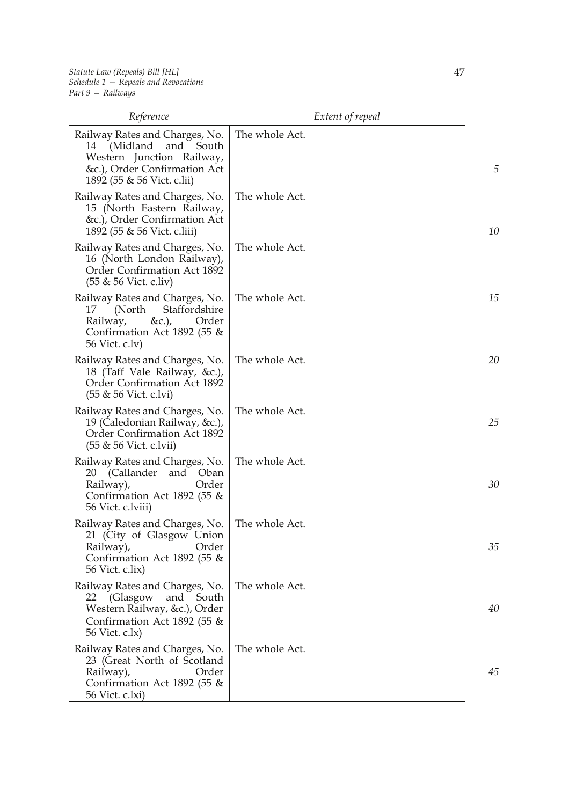| Reference                                                                                                                                             | Extent of repeal |    |
|-------------------------------------------------------------------------------------------------------------------------------------------------------|------------------|----|
| Railway Rates and Charges, No.<br>and South<br>14 (Midland<br>Western Junction Railway,<br>&c.), Order Confirmation Act<br>1892 (55 & 56 Vict. c.lii) | The whole Act.   | 5  |
| Railway Rates and Charges, No.<br>15 (North Eastern Railway,<br>&c.), Order Confirmation Act<br>1892 (55 & 56 Vict. c.liii)                           | The whole Act.   | 10 |
| Railway Rates and Charges, No.<br>16 (North London Railway),<br>Order Confirmation Act 1892<br>(55 & 56 Vict. c.liv)                                  | The whole Act.   |    |
| Railway Rates and Charges, No.<br>Staffordshire<br>(North)<br>17<br>&c.),<br>Railway,<br>Order<br>Confirmation Act 1892 (55 &<br>56 Vict. c.lv)       | The whole Act.   | 15 |
| Railway Rates and Charges, No.<br>18 (Taff Vale Railway, &c.),<br>Order Confirmation Act 1892<br>$(55 \& 56$ Vict. c.lvi)                             | The whole Act.   | 20 |
| Railway Rates and Charges, No.<br>19 (Caledonian Railway, &c.),<br>Order Confirmation Act 1892<br>(55 & 56 Vict. c.lvii)                              | The whole Act.   | 25 |
| Railway Rates and Charges, No.<br>20<br>(Callander<br>and Oban<br>Railway),<br>Order<br>Confirmation Act 1892 (55 $\&$<br>56 Vict. c.lviii)           | The whole Act.   | 30 |
| Railway Rates and Charges, No.<br>21 (City of Glasgow Union<br>Order<br>Railway),<br>Confirmation Act 1892 (55 &<br>56 Vict. c.lix)                   | The whole Act.   | 35 |
| Railway Rates and Charges, No.<br>22 (Glasgow<br>and South<br>Western Railway, &c.), Order<br>Confirmation Act 1892 (55 &<br>56 Vict. c.lx)           | The whole Act.   | 40 |
| Railway Rates and Charges, No.<br>23 (Great North of Scotland<br>Order<br>Railway),<br>Confirmation Act 1892 (55 &<br>56 Vict. c.lxi)                 | The whole Act.   | 45 |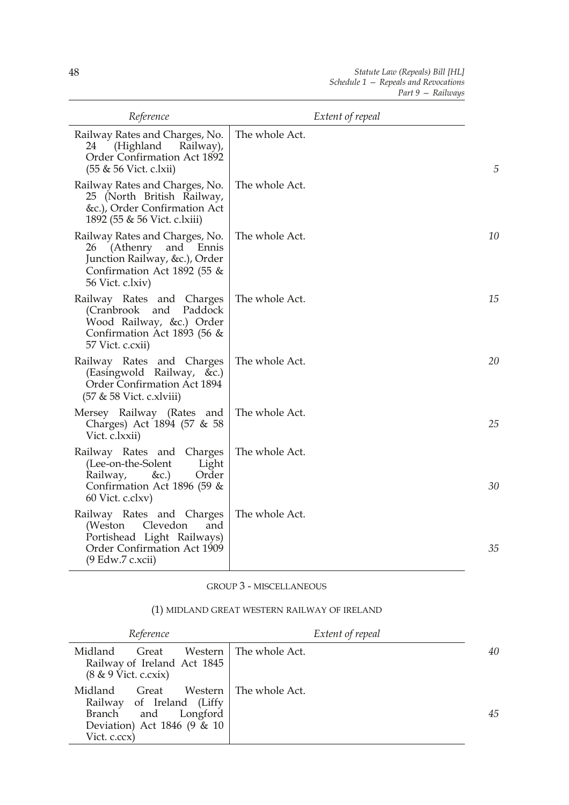| Reference                                                                                                                                      | Extent of repeal |    |
|------------------------------------------------------------------------------------------------------------------------------------------------|------------------|----|
| Railway Rates and Charges, No.<br>24<br>(Highland<br>Railway),<br>Order Confirmation Act 1892<br>$(55 \& 56$ Vict. c.lxii)                     | The whole Act.   | 5  |
| Railway Rates and Charges, No.<br>25 (North British Railway,<br>&c.), Order Confirmation Act<br>1892 (55 & 56 Vict. c.lxiii)                   | The whole Act.   |    |
| Railway Rates and Charges, No.<br>(Athenry and Ennis<br>26<br>Junction Railway, &c.), Order<br>Confirmation Act 1892 (55 &<br>56 Vict. c.lxiv) | The whole Act.   | 10 |
| Railway Rates and Charges<br>(Cranbrook<br>and<br>Paddock<br>Wood Railway, &c.) Order<br>Confirmation Act 1893 (56 $\&$<br>57 Vict. c.cxii)    | The whole Act.   | 15 |
| Railway Rates and Charges<br>(Easingwold Railway, &c.)<br>Order Confirmation Act 1894<br>(57 & 58 Vict. c.xlviii)                              | The whole Act.   | 20 |
| Mersey Railway (Rates and<br>Charges) Act 1894 (57 & 58<br>Vict. c.lxxii)                                                                      | The whole Act.   | 25 |
| Railway Rates and Charges<br>(Lee-on-the-Solent<br>Light<br>Railway,<br>$\&c.$<br>Order<br>Confirmation Act 1896 (59 $\&$<br>60 Vict. c.clxv)  | The whole Act.   | 30 |
| Railway Rates and Charges<br>(Weston<br>Clevedon<br>and<br>Portishead Light Railways)<br>Order Confirmation Act 1909<br>$(9$ Edw.7 c.xcii)     | The whole Act.   | 35 |

## GROUP 3 - MISCELLANEOUS

#### (1) MIDLAND GREAT WESTERN RAILWAY OF IRELAND

| Reference                                                                                                                 | Extent of repeal         |    |
|---------------------------------------------------------------------------------------------------------------------------|--------------------------|----|
| Midland<br>Great<br>Railway of Ireland Act 1845<br>$(8 \& 9 \text{ Vict. c.cxix})$                                        | Western   The whole Act. | 40 |
| Midland<br>Great<br>Railway of Ireland (Liffy<br>Branch and<br>Longford<br>Deviation) Act 1846 (9 $\&$ 10<br>Vict. c.ccx) | Western   The whole Act. | 45 |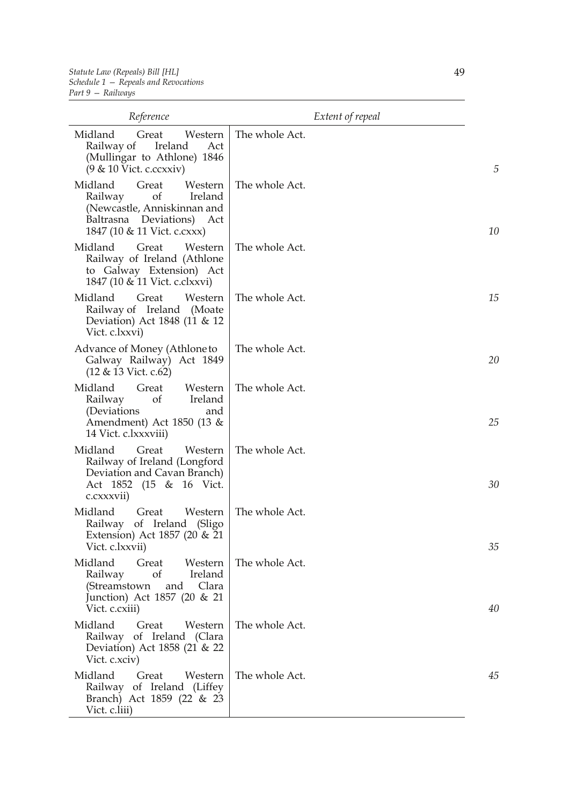| Reference                                                                                                                                             | Extent of repeal |    |
|-------------------------------------------------------------------------------------------------------------------------------------------------------|------------------|----|
| Midland<br>Great<br>Western<br>Ireland<br>Railway of<br>Act<br>(Mullingar to Athlone) 1846<br>(9 & 10 Vict. c.ccxxiv)                                 | The whole Act.   | 5  |
| Midland<br>Great<br>Western<br>Ireland<br>Railway<br>of<br>(Newcastle, Anniskinnan and<br>Baltrasna Deviations)<br>Act<br>1847 (10 & 11 Vict. c.cxxx) | The whole Act.   | 10 |
| Midland<br>Great<br>Western<br>Railway of Ireland (Athlone<br>to Galway Extension) Act<br>1847 (10 & 11 Vict. c.clxxvi)                               | The whole Act.   |    |
| Midland<br>Great<br>Western<br>Railway of Ireland (Moate<br>Deviation) Act 1848 (11 & 12<br>Vict. c.lxxvi)                                            | The whole Act.   | 15 |
| Advance of Money (Athlone to<br>Galway Railway) Act 1849<br>(12 & 13 Vict. c.62)                                                                      | The whole Act.   | 20 |
| Midland<br>Great<br>Western<br>Railway<br>of<br>Ireland<br>(Deviations)<br>and<br>Amendment) Act 1850 (13 &<br>14 Vict. c.lxxxviii)                   | The whole Act.   | 25 |
| Midland<br>Great<br>Western<br>Railway of Ireland (Longford<br>Deviation and Cavan Branch)<br>Act 1852 (15 & 16 Vict.<br>c.cxxxvii)                   | The whole Act.   | 30 |
| Midland<br>Great<br>Western<br>of Ireland (Sligo<br>Railway<br>Extension) Act 1857 (20 & 21<br>Vict. c.lxxvii)                                        | The whole Act.   | 35 |
| Midland<br>Great<br>Western<br>Ireland<br>Railway<br>of<br>(Streamstown<br>Clara<br>and<br>Junction) Act 1857 (20 & 21<br>Vict. c.cxiii)              | The whole Act.   | 40 |
| Midland<br>Great<br>Western<br>Railway of Ireland (Clara<br>Deviation) Act 1858 (21 & 22<br>Vict. c.xciv)                                             | The whole Act.   |    |
| Midland<br>Western<br>Great<br>Railway of Ireland (Liffey<br>Branch) Act 1859 (22 & 23<br>Vict. c.liii)                                               | The whole Act.   | 45 |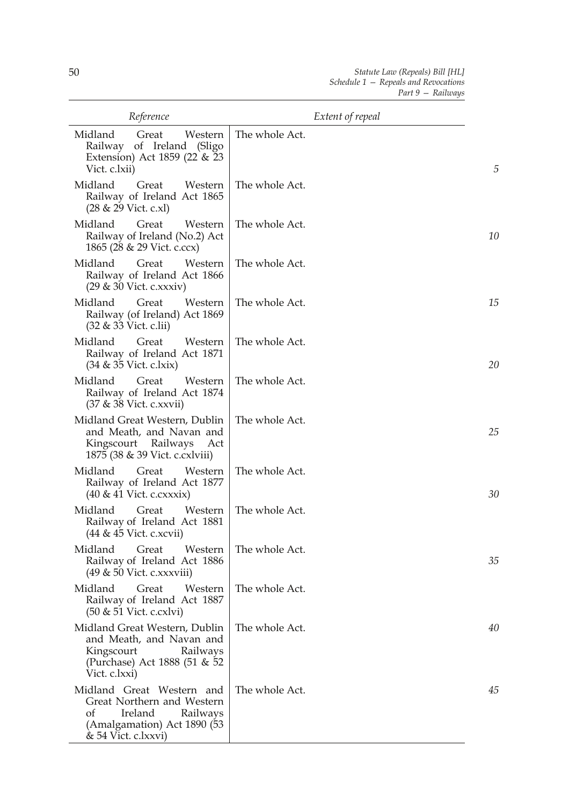| Reference                                                                                                                                  | Extent of repeal |    |
|--------------------------------------------------------------------------------------------------------------------------------------------|------------------|----|
| Midland<br>Great<br>Western<br>of Ireland (Sligo<br>Railway<br>Extension) Act 1859 (22 & 23<br>Vict. c.lxii)                               | The whole Act.   | 5  |
| Midland<br>Great<br>Western<br>Railway of Ireland Act 1865<br>(28 & 29 Vict. c.xl)                                                         | The whole Act.   |    |
| Midland<br>Great<br>Western<br>Railway of Ireland (No.2) Act<br>1865 (28 & 29 Vict. c.ccx)                                                 | The whole Act.   | 10 |
| Midland<br>Western<br>Great<br>Railway of Ireland Act 1866<br>$(29 \& 30$ Vict. c.xxxiv)                                                   | The whole Act.   |    |
| Midland<br>Great<br>Western<br>Railway (of Ireland) Act 1869<br>(32 & 33 Vict. c.lii)                                                      | The whole Act.   | 15 |
| Midland<br>Great<br>Western<br>Railway of Ireland Act 1871<br>$(34 \& 35$ Vict. c.lxix)                                                    | The whole Act.   | 20 |
| Midland<br>Western<br>Great<br>Railway of Ireland Act 1874<br>(37 & 38 Vict. c.xxvii)                                                      | The whole Act.   |    |
| Midland Great Western, Dublin<br>and Meath, and Navan and<br>Kingscourt Railways<br>Act<br>1875 (38 & 39 Vict. c. cxlviii)                 | The whole Act.   | 25 |
| Midland<br>Great<br>Western<br>Railway of Ireland Act 1877<br>$(40 \& 41$ Vict. c.cxxxix)                                                  | The whole Act.   | 30 |
| Midland<br>Western<br>Great<br>Railway of Ireland Act 1881<br>(44 & 45 Vict. c.xcvii)                                                      | The whole Act.   |    |
| Midland<br>Great<br>Western<br>Railway of Ireland Act 1886<br>$(49 \& 50$ Vict. c.xxxviii)                                                 | The whole Act.   | 35 |
| Midland<br>Great<br>Western<br>Railway of Ireland Act 1887<br>(50 & 51 Vict. c.cxlvi)                                                      | The whole Act.   |    |
| Midland Great Western, Dublin<br>and Meath, and Navan and<br>Kingscourt<br>Railways<br>(Purchase) Act 1888 (51 & 52<br>Vict. c.lxxi)       | The whole Act.   | 40 |
| Midland Great Western and<br>Great Northern and Western<br>of<br>Railways<br>Ireland<br>(Amalgamation) Act 1890 (53<br>& 54 Vict. c.lxxvi) | The whole Act.   | 45 |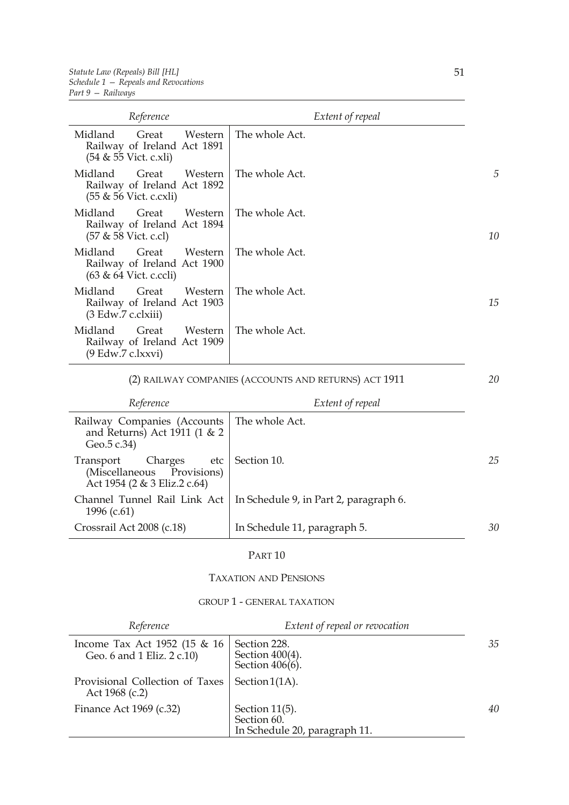| Reference                                                                            | Extent of repeal |    |
|--------------------------------------------------------------------------------------|------------------|----|
| Midland<br>Western<br>Great<br>Railway of Ireland Act 1891<br>(54 & 55 Vict. c.xli)  | The whole Act.   |    |
| Midland<br>Great<br>Western<br>Railway of Ireland Act 1892<br>(55 & 56 Vict. c.cxli) | The whole Act.   | 5  |
| Midland<br>Great<br>Western<br>Railway of Ireland Act 1894<br>(57 & 58 Vict. c.cl)   | The whole Act.   | 10 |
| Midland<br>Great<br>Western<br>Railway of Ireland Act 1900<br>(63 & 64 Vict. c.ccli) | The whole Act.   |    |
| Midland<br>Great<br>Western<br>Railway of Ireland Act 1903<br>(3 Edw.7 c.clxiii)     | The whole Act.   | 15 |
| Midland<br>Great<br>Western<br>Railway of Ireland Act 1909<br>(9 Edw.7 c.lxxvi)      | The whole Act.   |    |

## (2) RAILWAY COMPANIES (ACCOUNTS AND RETURNS) ACT 1911

*20*

| Reference                                                                                   | Extent of repeal                       |    |
|---------------------------------------------------------------------------------------------|----------------------------------------|----|
| Railway Companies (Accounts   The whole Act.<br>and Returns) Act 1911 (1 & 2<br>Geo.5 c.34) |                                        |    |
| Charges<br>etc<br>Transport<br>(Miscellaneous Provisions)<br>Act 1954 (2 & 3 Eliz.2 c.64)   | Section 10.                            | 25 |
| Channel Tunnel Rail Link Act<br>1996 (c.61)                                                 | In Schedule 9, in Part 2, paragraph 6. |    |
| Crossrail Act 2008 (c.18)                                                                   | In Schedule 11, paragraph 5.           | 30 |

## PART 10

TAXATION AND PENSIONS

#### GROUP 1 - GENERAL TAXATION

| Reference                                                     | Extent of repeal or revocation                                    |    |
|---------------------------------------------------------------|-------------------------------------------------------------------|----|
| Income Tax Act 1952 (15 $\&$ 16<br>Geo. 6 and 1 Eliz. 2 c.10) | Section 228.<br>Section $400(4)$ .<br>Section 406(6).             | 35 |
| Provisional Collection of Taxes<br>Act $1968$ (c.2)           | Section $1(1A)$ .                                                 |    |
| Finance Act 1969 (c.32)                                       | Section $11(5)$ .<br>Section 60.<br>In Schedule 20, paragraph 11. | 40 |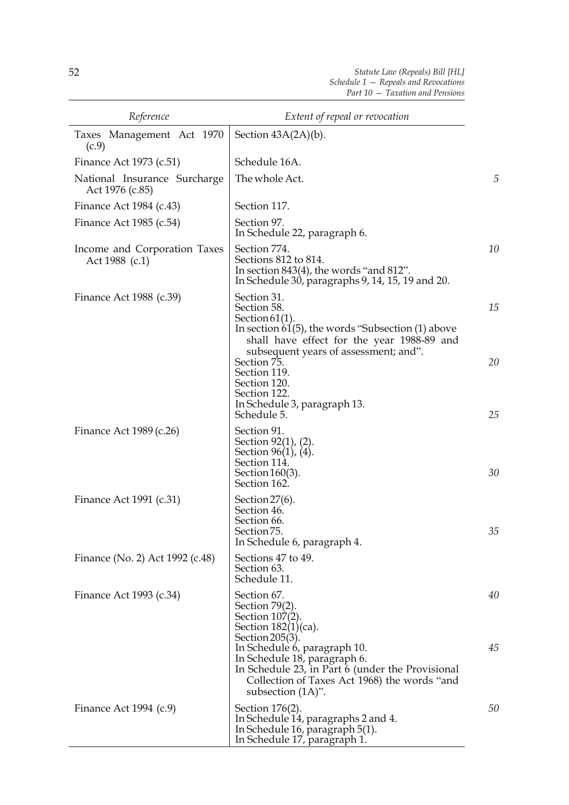| Reference                                       | Extent of repeal or revocation                                                                                                                                                                   |          |
|-------------------------------------------------|--------------------------------------------------------------------------------------------------------------------------------------------------------------------------------------------------|----------|
| Taxes Management Act 1970<br>(c.9)              | Section $43A(2A)(b)$ .                                                                                                                                                                           |          |
| Finance Act 1973 (c.51)                         | Schedule 16A.                                                                                                                                                                                    |          |
| National Insurance Surcharge<br>Act 1976 (c.85) | The whole Act.                                                                                                                                                                                   | 5        |
| Finance Act 1984 (c.43)                         | Section 117.                                                                                                                                                                                     |          |
| Finance Act 1985 (c.54)                         | Section 97.<br>In Schedule 22, paragraph 6.                                                                                                                                                      |          |
| Income and Corporation Taxes<br>Act 1988 (c.1)  | Section 774.<br>Sections 812 to 814.<br>In section $843(4)$ , the words "and $812$ ".<br>In Schedule 30, paragraphs 9, 14, 15, 19 and 20.                                                        | 10       |
| Finance Act 1988 (c.39)                         | Section 31.<br>Section 58.<br>Section $61(1)$ .<br>In section $61(5)$ , the words "Subsection $(1)$ above<br>shall have effect for the year 1988-89 and<br>subsequent years of assessment; and". | 15       |
|                                                 | Section 75.<br>Section 119.<br>Section 120.<br>Section 122.<br>In Schedule 3, paragraph 13.<br>Schedule 5.                                                                                       | 20<br>25 |
| Finance Act 1989 (c.26)                         | Section 91.<br>Section 92(1), (2).<br>Section 96(1), (4).<br>Section 114.<br>Section $160(3)$ .<br>Section 162.                                                                                  | 30       |
| Finance Act 1991 (c.31)                         | Section $27(6)$ .<br>Section 46.<br>Section 66.<br>Section 75.<br>In Schedule 6, paragraph 4.                                                                                                    | 35       |
| Finance (No. 2) Act 1992 (c.48)                 | Sections 47 to 49.<br>Section 63.<br>Schedule 11.                                                                                                                                                |          |
| Finance Act 1993 (c.34)                         | Section 67.<br>Section 79(2).<br>Section 107(2).<br>Section 182(1)(ca).<br>Section 205(3).                                                                                                       | 40       |
|                                                 | In Schedule 6, paragraph 10.<br>In Schedule 18, paragraph 6.<br>In Schedule 23, in Part 6 (under the Provisional<br>Collection of Taxes Act 1968) the words "and<br>subsection $(1A)$ ".         | 45       |
| Finance Act $1994$ (c.9)                        | Section 176(2).<br>In Schedule 14, paragraphs 2 and 4.<br>In Schedule 16, paragraph 5(1).<br>In Schedule 17, paragraph 1.                                                                        | 50       |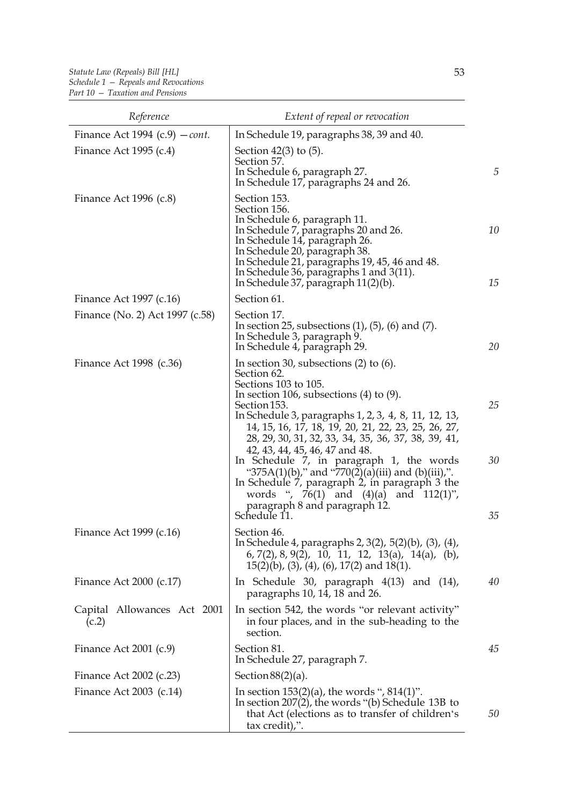| Reference                                | Extent of repeal or revocation                                                                                                                                                                                                                                                                                                                                                                                                                                                                                                                                                                                  |                |
|------------------------------------------|-----------------------------------------------------------------------------------------------------------------------------------------------------------------------------------------------------------------------------------------------------------------------------------------------------------------------------------------------------------------------------------------------------------------------------------------------------------------------------------------------------------------------------------------------------------------------------------------------------------------|----------------|
| Finance Act 1994 (c.9) $-$ <i>cont</i> . | In Schedule 19, paragraphs 38, 39 and 40.                                                                                                                                                                                                                                                                                                                                                                                                                                                                                                                                                                       |                |
| Finance Act 1995 $(c.4)$                 | Section $42(3)$ to $(5)$ .<br>Section 57.<br>In Schedule 6, paragraph 27.<br>In Schedule 17, paragraphs 24 and 26.                                                                                                                                                                                                                                                                                                                                                                                                                                                                                              | 5              |
| Finance Act 1996 $(c.8)$                 | Section 153.<br>Section 156.<br>In Schedule 6, paragraph 11.<br>In Schedule 7, paragraphs 20 and 26.<br>In Schedule 14, paragraph 26.<br>In Schedule 20, paragraph 38.<br>In Schedule 21, paragraphs 19, 45, 46 and 48.<br>In Schedule 36, paragraphs 1 and $3(11)$ .<br>In Schedule 37, paragraph $11(2)(b)$ .                                                                                                                                                                                                                                                                                                 | 10<br>15       |
| Finance Act 1997 (c.16)                  | Section 61.                                                                                                                                                                                                                                                                                                                                                                                                                                                                                                                                                                                                     |                |
| Finance (No. 2) Act 1997 (c.58)          | Section 17.<br>In section 25, subsections $(1)$ , $(5)$ , $(6)$ and $(7)$ .<br>In Schedule 3, paragraph 9.<br>In Schedule 4, paragraph 29.                                                                                                                                                                                                                                                                                                                                                                                                                                                                      | 20             |
| Finance Act 1998 (c.36)                  | In section 30, subsections $(2)$ to $(6)$ .<br>Section 62.<br>Sections 103 to 105.<br>In section 106, subsections $(4)$ to $(9)$ .<br>Section 153.<br>In Schedule 3, paragraphs 1, 2, 3, 4, 8, 11, 12, 13,<br>14, 15, 16, 17, 18, 19, 20, 21, 22, 23, 25, 26, 27,<br>28, 29, 30, 31, 32, 33, 34, 35, 36, 37, 38, 39, 41,<br>42, 43, 44, 45, 46, 47 and 48.<br>In Schedule 7, in paragraph 1, the words<br>"375A(1)(b)," and "770(2)(a)(iii) and (b)(iii),".<br>In Schedule 7, paragraph 2, in paragraph 3 the<br>words ", $76(1)$ and $(4)(a)$ and $112(1)$ ",<br>paragraph 8 and paragraph 12.<br>Schedule 11. | 25<br>30<br>35 |
| Finance Act 1999 (c.16)                  | Section 46<br>In Schedule 4, paragraphs 2, 3(2), 5(2)(b), (3), (4),<br>$(6, 7(2), 8, 9(2), 10, 11, 12, 13(a), 14(a), (b),$<br>$15(2)(b)$ , (3), (4), (6), 17(2) and 18(1).                                                                                                                                                                                                                                                                                                                                                                                                                                      |                |
| Finance Act 2000 (c.17)                  | In Schedule 30, paragraph 4(13) and (14),<br>paragraphs 10, 14, 18 and 26.                                                                                                                                                                                                                                                                                                                                                                                                                                                                                                                                      | 40             |
| Capital Allowances Act 2001<br>(c.2)     | In section 542, the words "or relevant activity"<br>in four places, and in the sub-heading to the<br>section.                                                                                                                                                                                                                                                                                                                                                                                                                                                                                                   |                |
| Finance Act $2001$ (c.9)                 | Section 81.<br>In Schedule 27, paragraph 7.                                                                                                                                                                                                                                                                                                                                                                                                                                                                                                                                                                     | 45             |
| Finance Act 2002 (c.23)                  | Section $88(2)(a)$ .                                                                                                                                                                                                                                                                                                                                                                                                                                                                                                                                                                                            |                |
| Finance Act $2003$ (c.14)                | In section $153(2)(a)$ , the words ", $814(1)$ ".<br>In section $207(2)$ , the words "(b) Schedule 13B to<br>that Act (elections as to transfer of children's<br>tax credit),".                                                                                                                                                                                                                                                                                                                                                                                                                                 | 50             |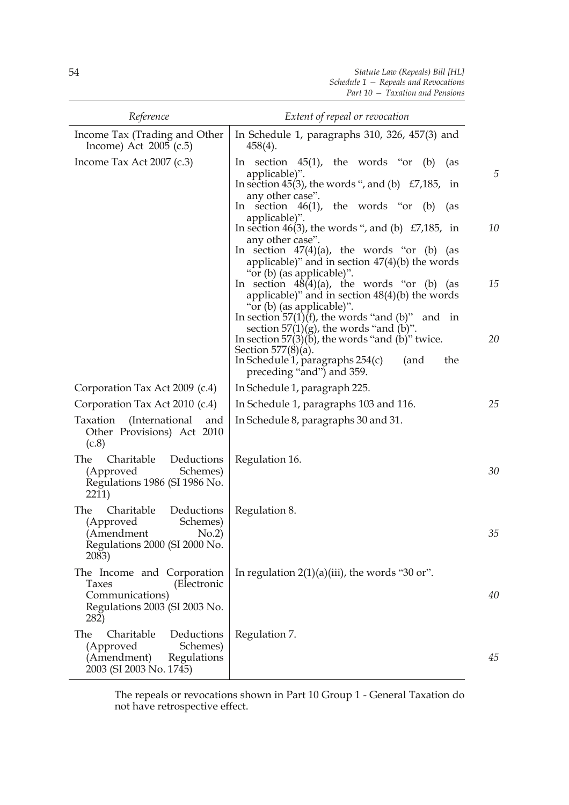| Reference                                                                                                              | Extent of repeal or revocation                                                                                                                                                                                                                                                                                                                                                                                                                                                                                                                                                                                                                                                                                                                     |                     |
|------------------------------------------------------------------------------------------------------------------------|----------------------------------------------------------------------------------------------------------------------------------------------------------------------------------------------------------------------------------------------------------------------------------------------------------------------------------------------------------------------------------------------------------------------------------------------------------------------------------------------------------------------------------------------------------------------------------------------------------------------------------------------------------------------------------------------------------------------------------------------------|---------------------|
| Income Tax (Trading and Other<br>Income) Act $2005$ (c.5)                                                              | In Schedule 1, paragraphs $310$ , $326$ , $457(3)$ and<br>$458(4)$ .                                                                                                                                                                                                                                                                                                                                                                                                                                                                                                                                                                                                                                                                               |                     |
| Income Tax Act 2007 (c.3)                                                                                              | In section $45(1)$ , the words "or (b)<br>(as<br>applicable)".<br>In section 45(3), the words ", and (b) $E7,185$ , in<br>any other case".<br>In section $46(1)$ , the words "or (b)<br>(as<br>applicable)".<br>In section 46(3), the words ", and (b) $E7,185$ , in<br>any other case".<br>In section $47(4)(a)$ , the words "or (b) (as<br>applicable)" and in section $47(4)(b)$ the words<br>"or (b) (as applicable)".<br>In section $48(4)(a)$ , the words "or (b) (as<br>applicable)" and in section $48(4)(b)$ the words<br>"or (b) (as applicable)".<br>In section $57(1)(f)$ , the words "and (b)" and in<br>section $57(1)(g)$ , the words "and (b)".<br>In section 57 $(3)(b)$ , the words "and $(b)$ " twice.<br>Section $577(8)(a)$ . | 5<br>10<br>15<br>20 |
| Corporation Tax Act 2009 (c.4)                                                                                         | the<br>In Schedule 1, paragraphs $254(c)$<br>(and<br>preceding "and") and 359.<br>In Schedule 1, paragraph 225.                                                                                                                                                                                                                                                                                                                                                                                                                                                                                                                                                                                                                                    |                     |
| Corporation Tax Act 2010 (c.4)                                                                                         | In Schedule 1, paragraphs 103 and 116.                                                                                                                                                                                                                                                                                                                                                                                                                                                                                                                                                                                                                                                                                                             | 25                  |
| (International<br>Taxation<br>and<br>Other Provisions) Act 2010<br>(c.8)                                               | In Schedule 8, paragraphs 30 and 31.                                                                                                                                                                                                                                                                                                                                                                                                                                                                                                                                                                                                                                                                                                               |                     |
| The<br>Charitable<br>Deductions<br>(Approved<br>Schemes)<br>Regulations 1986 (SI 1986 No.<br>2211)                     | Regulation 16.                                                                                                                                                                                                                                                                                                                                                                                                                                                                                                                                                                                                                                                                                                                                     | 30                  |
| The<br>Charitable<br>Deductions<br>(Approved<br>Schemes)<br>(Amendment No.2)<br>Regulations 2000 (SI 2000 No.<br>2083) | Regulation 8.                                                                                                                                                                                                                                                                                                                                                                                                                                                                                                                                                                                                                                                                                                                                      | 35                  |
| The Income and Corporation<br>(Electronic<br>Taxes<br>Communications)<br>Regulations 2003 (SI 2003 No.<br>282)         | In regulation $2(1)(a)(iii)$ , the words "30 or".                                                                                                                                                                                                                                                                                                                                                                                                                                                                                                                                                                                                                                                                                                  | 40                  |
| Charitable<br>The<br>Deductions<br>(Approved<br>Schemes)<br>(Amendment)<br>Regulations<br>2003 (SI 2003 No. 1745)      | Regulation 7.                                                                                                                                                                                                                                                                                                                                                                                                                                                                                                                                                                                                                                                                                                                                      | 45                  |

The repeals or revocations shown in Part 10 Group 1 - General Taxation do not have retrospective effect.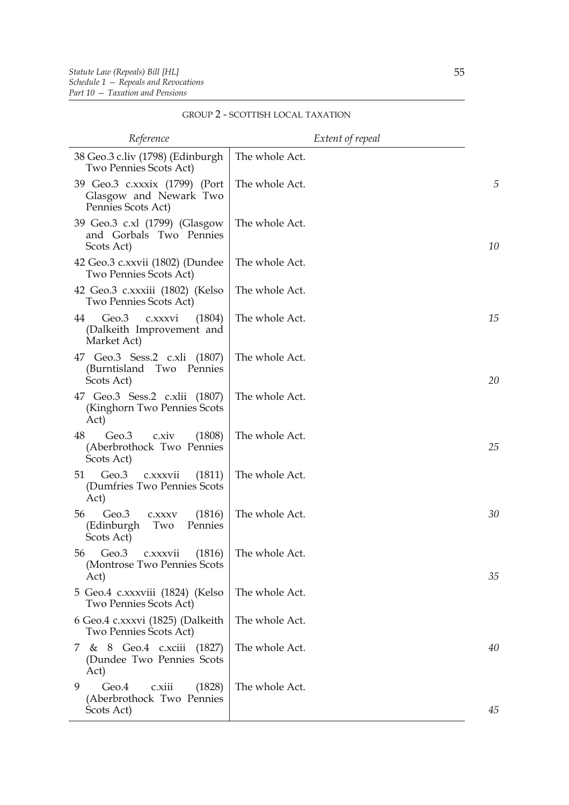| Reference                                                                     | Extent of repeal |    |
|-------------------------------------------------------------------------------|------------------|----|
| 38 Geo.3 c.liv (1798) (Edinburgh<br>Two Pennies Scots Act)                    | The whole Act.   |    |
| 39 Geo.3 c.xxxix (1799) (Port<br>Glasgow and Newark Two<br>Pennies Scots Act) | The whole Act.   | 5  |
| 39 Geo.3 c.xl (1799) (Glasgow<br>and Gorbals Two Pennies<br>Scots Act)        | The whole Act.   | 10 |
| 42 Geo.3 c.xxvii (1802) (Dundee<br>Two Pennies Scots Act)                     | The whole Act.   |    |
| 42 Geo.3 c.xxxiii (1802) (Kelso<br>Two Pennies Scots Act)                     | The whole Act.   |    |
| Geo.3<br>44<br>c.xxxvi<br>(1804)<br>(Dalkeith Improvement and<br>Market Act)  | The whole Act.   | 15 |
| 47 Geo.3 Sess.2 c.xli (1807)<br>(Burntisland Two Pennies<br>Scots Act)        | The whole Act.   | 20 |
| 47 Geo.3 Sess.2 c.xlii (1807)<br>(Kinghorn Two Pennies Scots<br>Act)          | The whole Act.   |    |
| 48<br>Geo.3<br>c.xiv<br>(1808)<br>(Aberbrothock Two Pennies<br>Scots Act)     | The whole Act.   | 25 |
| 51<br>Geo.3<br>(1811)<br>c.xxxvii<br>(Dumfries Two Pennies Scots<br>Act)      | The whole Act.   |    |
| Geo.3<br>(1816)<br>56<br>C.XXXV<br>(Edinburgh<br>Two<br>Pennies<br>Scots Act) | The whole Act.   | 30 |
| Geo.3<br>(1816)<br>56<br>C.XXXVII<br>(Montrose Two Pennies Scots<br>Act)      | The whole Act.   | 35 |
| 5 Geo.4 c.xxxviii (1824) (Kelso<br>Two Pennies Scots Act)                     | The whole Act.   |    |
| 6 Geo.4 c.xxxvi (1825) (Dalkeith<br>Two Pennies Scots Act)                    | The whole Act.   |    |
| 8 Geo.4 c.xciii (1827)<br>7<br>《文<br>(Dundee Two Pennies Scots<br>Act)        | The whole Act.   | 40 |
| Geo.4<br>9<br>c.xiii<br>(1828)<br>(Aberbrothock Two Pennies<br>Scots Act)     | The whole Act.   | 45 |

## GROUP 2 - SCOTTISH LOCAL TAXATION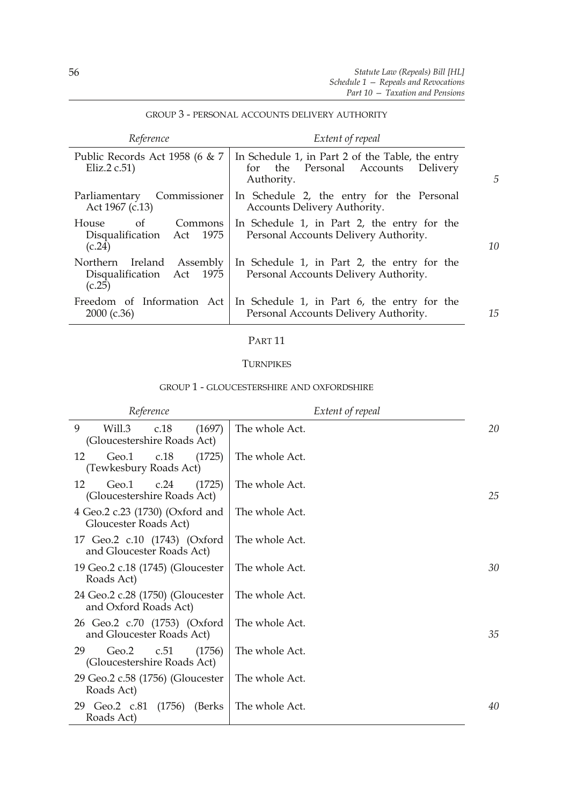| Reference                                                           | Extent of repeal                                                                                        |    |
|---------------------------------------------------------------------|---------------------------------------------------------------------------------------------------------|----|
| Public Records Act 1958 (6 & 7<br>Eliz. $2 c.51$ )                  | In Schedule 1, in Part 2 of the Table, the entry<br>for the Personal Accounts<br>Delivery<br>Authority. | 5  |
| Commissioner<br>Parliamentary<br>Act 1967 (c.13)                    | In Schedule 2, the entry for the Personal<br>Accounts Delivery Authority.                               |    |
| House<br>of<br>Commons<br>Disqualification Act 1975<br>(c.24)       | In Schedule 1, in Part 2, the entry for the<br>Personal Accounts Delivery Authority.                    | 10 |
| Ireland Assembly<br>Northern<br>Disqualification Act 1975<br>(c.25) | In Schedule 1, in Part 2, the entry for the<br>Personal Accounts Delivery Authority.                    |    |
| Freedom of Information Act<br>$2000$ (c.36)                         | In Schedule 1, in Part 6, the entry for the<br>Personal Accounts Delivery Authority.                    | 15 |

## GROUP 3 - PERSONAL ACCOUNTS DELIVERY AUTHORITY

#### PART 11

#### **TURNPIKES**

#### GROUP 1 - GLOUCESTERSHIRE AND OXFORDSHIRE

| Reference                                                    | Extent of repeal |    |
|--------------------------------------------------------------|------------------|----|
| 9<br>Will.3<br>(1697)<br>c.18<br>(Gloucestershire Roads Act) | The whole Act.   | 20 |
| 12<br>Geo.1<br>c.18<br>(1725)<br>(Tewkesbury Roads Act)      | The whole Act.   |    |
| (1725)<br>12<br>Geo.1<br>c.24<br>(Gloucestershire Roads Act) | The whole Act.   | 25 |
| 4 Geo.2 c.23 (1730) (Oxford and<br>Gloucester Roads Act)     | The whole Act.   |    |
| 17 Geo.2 c.10 (1743) (Oxford<br>and Gloucester Roads Act)    | The whole Act.   |    |
| 19 Geo.2 c.18 (1745) (Gloucester<br>Roads Act)               | The whole Act.   | 30 |
| 24 Geo.2 c.28 (1750) (Gloucester<br>and Oxford Roads Act)    | The whole Act.   |    |
| 26 Geo.2 c.70 (1753) (Oxford<br>and Gloucester Roads Act)    | The whole Act.   | 35 |
| Geo.2<br>(1756)<br>29<br>c.51<br>(Gloucestershire Roads Act) | The whole Act.   |    |
| 29 Geo.2 c.58 (1756) (Gloucester<br>Roads Act)               | The whole Act.   |    |
| 29 Geo.2 c.81<br>(1756)<br>(Berks)<br>Roads Act)             | The whole Act.   | 40 |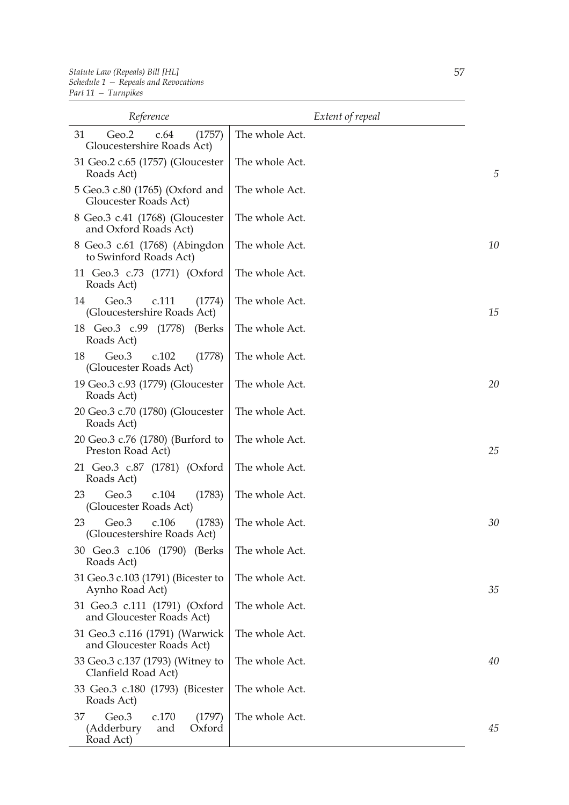| Reference                                                                  | Extent of repeal |    |
|----------------------------------------------------------------------------|------------------|----|
| 31<br>Geo.2<br>c.64<br>(1757)<br>Gloucestershire Roads Act)                | The whole Act.   |    |
| 31 Geo.2 c.65 (1757) (Gloucester<br>Roads Act)                             | The whole Act.   | 5  |
| 5 Geo.3 c.80 (1765) (Oxford and<br>Gloucester Roads Act)                   | The whole Act.   |    |
| 8 Geo.3 c.41 (1768) (Gloucester<br>and Oxford Roads Act)                   | The whole Act.   |    |
| 8 Geo.3 c.61 (1768) (Abingdon<br>to Swinford Roads Act)                    | The whole Act.   | 10 |
| 11 Geo.3 c.73 (1771) (Oxford<br>Roads Act)                                 | The whole Act.   |    |
| Geo.3<br>14<br>c.111<br>(1774)<br>(Gloucestershire Roads Act)              | The whole Act.   | 15 |
| 18 Geo.3 c.99 (1778)<br>(Berks)<br>Roads Act)                              | The whole Act.   |    |
| 18<br>Geo.3<br>c.102<br>(1778)<br>(Gloucester Roads Act)                   | The whole Act.   |    |
| 19 Geo.3 c.93 (1779) (Gloucester<br>Roads Act)                             | The whole Act.   | 20 |
| 20 Geo.3 c.70 (1780) (Gloucester<br>Roads Act)                             | The whole Act.   |    |
| 20 Geo.3 c.76 (1780) (Burford to<br>Preston Road Act)                      | The whole Act.   | 25 |
| 21 Geo.3 c.87 (1781) (Oxford<br>Roads Act)                                 | The whole Act.   |    |
| 23<br>Geo.3<br>c.104<br>(1783)<br>(Gloucester Roads Act)                   | The whole Act.   |    |
| Geo.3<br>23<br>c.106<br>(1783)<br>(Gloucestershire Roads Act)              | The whole Act.   | 30 |
| 30 Geo.3 c.106 (1790) (Berks<br>Roads Act)                                 | The whole Act.   |    |
| 31 Geo.3 c.103 (1791) (Bicester to<br>Aynho Road Act)                      | The whole Act.   | 35 |
| 31 Geo.3 c.111 (1791) (Oxford<br>and Gloucester Roads Act)                 | The whole Act.   |    |
| 31 Geo.3 c.116 (1791) (Warwick<br>and Gloucester Roads Act)                | The whole Act.   |    |
| 33 Geo.3 c.137 (1793) (Witney to<br>Clanfield Road Act)                    | The whole Act.   | 40 |
| 33 Geo.3 c.180 (1793) (Bicester<br>Roads Act)                              | The whole Act.   |    |
| Geo.3<br>c.170<br>(1797)<br>37<br>Oxford<br>(Adderbury<br>and<br>Road Act) | The whole Act.   | 45 |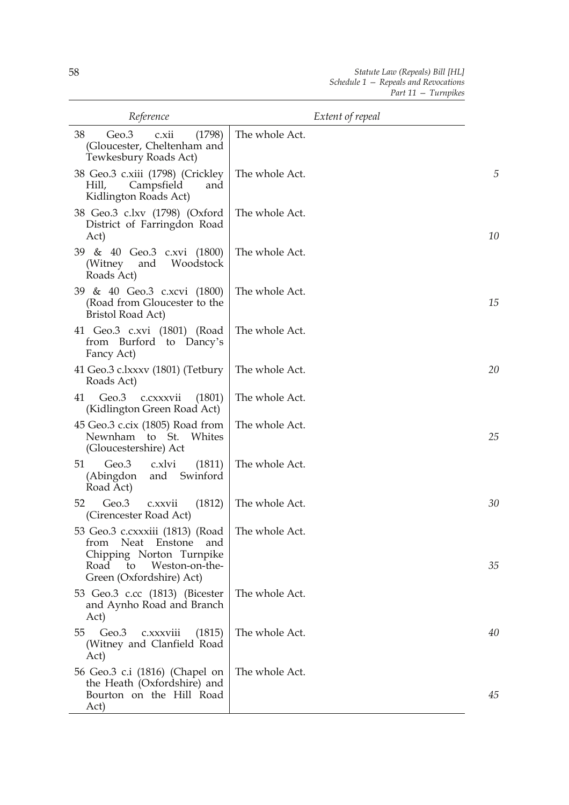| Reference                                                                                                                                                               | Extent of repeal |    |
|-------------------------------------------------------------------------------------------------------------------------------------------------------------------------|------------------|----|
| 38<br>Geo.3<br>(1798)<br>c.xii<br>(Gloucester, Cheltenham and<br>Tewkesbury Roads Act)                                                                                  | The whole Act.   |    |
| 38 Geo.3 c.xiii (1798) (Crickley<br>Campsfield<br>Hill,<br>and<br>Kidlington Roads Act)                                                                                 | The whole Act.   | 5  |
| 38 Geo.3 c.lxv (1798) (Oxford<br>District of Farringdon Road<br>Act)                                                                                                    | The whole Act.   | 10 |
| 39 & 40 Geo.3 c.xvi (1800)<br>Woodstock<br>(Witney)<br>and<br>Roads Act)                                                                                                | The whole Act.   |    |
| 39 & 40 Geo.3 c.xcvi (1800)<br>(Road from Gloucester to the<br><b>Bristol Road Act)</b>                                                                                 | The whole Act.   | 15 |
| 41 Geo.3 c.xvi (1801) (Road<br>from Burford to Dancy's<br>Fancy Act)                                                                                                    | The whole Act.   |    |
| 41 Geo.3 c.lxxxv (1801) (Tetbury<br>Roads Act)                                                                                                                          | The whole Act.   | 20 |
| Geo.3<br>41<br>c.cxxxvii<br>(1801)<br>(Kidlington Green Road Act)                                                                                                       | The whole Act.   |    |
| 45 Geo.3 c.cix (1805) Road from<br>Newnham to St. Whites<br>(Gloucestershire) Act                                                                                       | The whole Act.   | 25 |
| 51<br>Geo.3<br>c.xlvi<br>(1811)<br>(Abingdon<br>and Swinford<br>Road Act)                                                                                               | The whole Act.   |    |
| 52<br>Geo.3<br>(1812)<br>c.xxvii<br>(Cirencester Road Act)                                                                                                              | The whole Act.   | 30 |
| 53 Geo.3 c.cxxxiii (1813) (Road   The whole Act.<br>from<br>Neat<br>Enstone<br>and<br>Chipping Norton Turnpike<br>Weston-on-the-<br>Road to<br>Green (Oxfordshire) Act) |                  | 35 |
| 53 Geo.3 c.cc (1813) (Bicester<br>and Aynho Road and Branch<br>Act)                                                                                                     | The whole Act.   |    |
| Geo.3<br>55<br>(1815)<br>c.xxxviii<br>(Witney and Clanfield Road<br>Act)                                                                                                | The whole Act.   | 40 |
| 56 Geo.3 c.i (1816) (Chapel on<br>the Heath (Oxfordshire) and<br>Bourton on the Hill Road<br>Act)                                                                       | The whole Act.   | 45 |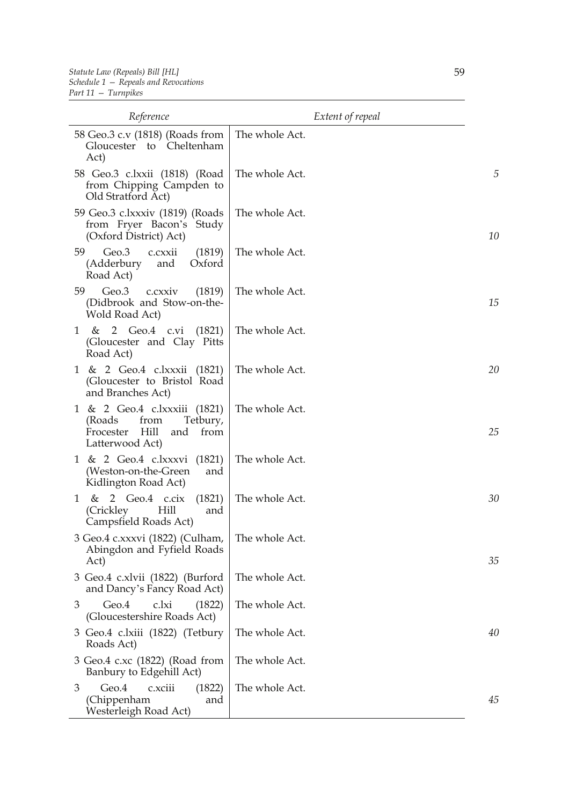| Reference                                                                                                          | Extent of repeal |    |
|--------------------------------------------------------------------------------------------------------------------|------------------|----|
| 58 Geo.3 c.v (1818) (Roads from<br>Gloucester to Cheltenham<br>Act)                                                | The whole Act.   |    |
| 58 Geo.3 c.lxxii (1818) (Road<br>from Chipping Campden to<br>Old Stratford Act)                                    | The whole Act.   | 5  |
| 59 Geo.3 c.lxxxiv (1819) (Roads<br>from Fryer Bacon's Study<br>(Oxford District) Act)                              | The whole Act.   | 10 |
| 59<br>Geo.3<br>c.cxxii<br>(1819)<br>(Adderbury<br>Oxford<br>and<br>Road Act)                                       | The whole Act.   |    |
| 59<br>Geo.3<br>c.cxxiv<br>(1819)<br>(Didbrook and Stow-on-the-<br>Wold Road Act)                                   | The whole Act.   | 15 |
| 2 Geo.4 c.vi<br>(1821)<br>&<br>1<br>(Gloucester and Clay Pitts)<br>Road Act)                                       | The whole Act.   |    |
| 1 & 2 Geo.4 c.lxxxii (1821)<br>(Gloucester to Bristol Road<br>and Branches Act)                                    | The whole Act.   | 20 |
| 1 & 2 Geo.4 c.lxxxiii (1821)<br>(Roads)<br>Tetbury,<br>from<br>Hill<br>Frocester<br>and<br>from<br>Latterwood Act) | The whole Act.   | 25 |
| 1 & 2 Geo.4 c.lxxxvi (1821)<br>(Weston-on-the-Green<br>and<br>Kidlington Road Act)                                 | The whole Act.   |    |
| $& 2$ Geo.4 c.cix<br>(1821)<br>1<br>Hill<br>(Crickley)<br>and<br>Campsfield Roads Act)                             | The whole Act.   | 30 |
| 3 Geo.4 c.xxxvi (1822) (Culham,<br>Abingdon and Fyfield Roads<br>Act)                                              | The whole Act.   | 35 |
| 3 Geo.4 c.xlvii (1822) (Burford<br>and Dancy's Fancy Road Act)                                                     | The whole Act.   |    |
| Geo.4<br>c.lxi<br>3<br>(1822)<br>(Gloucestershire Roads Act)                                                       | The whole Act.   |    |
| 3 Geo.4 c.lxiii (1822) (Tetbury<br>Roads Act)                                                                      | The whole Act.   | 40 |
| 3 Geo.4 c.xc (1822) (Road from<br>Banbury to Edgehill Act)                                                         | The whole Act.   |    |
| 3<br>Geo.4<br>c.xciii<br>(1822)<br>(Chippenham<br>and<br>Westerleigh Road Act)                                     | The whole Act.   | 45 |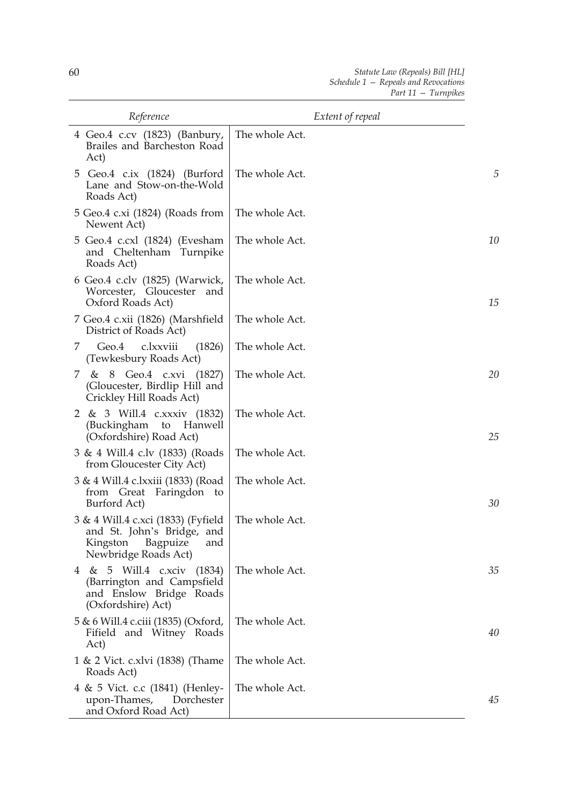| Reference                                                                                                            | Extent of repeal |    |
|----------------------------------------------------------------------------------------------------------------------|------------------|----|
| 4 Geo.4 c.cv (1823) (Banbury,<br>Brailes and Barcheston Road<br>Act)                                                 | The whole Act.   |    |
| 5 Geo.4 c.ix (1824) (Burford<br>Lane and Stow-on-the-Wold<br>Roads Act)                                              | The whole Act.   | 5  |
| 5 Geo.4 c.xi (1824) (Roads from<br>Newent Act)                                                                       | The whole Act.   |    |
| 5 Geo.4 c.cxl (1824) (Evesham<br>and Cheltenham Turnpike<br>Roads Act)                                               | The whole Act.   | 10 |
| 6 Geo.4 c.clv (1825) (Warwick,<br>Worcester, Gloucester<br>and<br>Oxford Roads Act)                                  | The whole Act.   | 15 |
| 7 Geo.4 c.xii (1826) (Marshfield<br>District of Roads Act)                                                           | The whole Act.   |    |
| c.lxxviii<br>Geo.4<br>(1826)<br>7.<br>(Tewkesbury Roads Act)                                                         | The whole Act.   |    |
| & 8 Geo.4 c.xvi (1827)<br>7<br>(Gloucester, Birdlip Hill and<br>Crickley Hill Roads Act)                             | The whole Act.   | 20 |
| 2 & 3 Will.4 c.xxxiv (1832)<br>(Buckingham to<br><b>Hanwell</b><br>(Oxfordshire) Road Act)                           | The whole Act.   | 25 |
| 3 & 4 Will.4 c.lv (1833) (Roads<br>from Gloucester City Act)                                                         | The whole Act.   |    |
| 3 & 4 Will.4 c.lxxiii (1833) (Road<br>Faringdon to<br>from Great<br>Burford Act)                                     | The whole Act.   | 30 |
| 3 & 4 Will.4 c.xci (1833) (Fyfield<br>and St. John's Bridge, and<br>Kingston Bagpuize<br>and<br>Newbridge Roads Act) | The whole Act.   |    |
| 4 & 5 Will.4 c.xciv (1834)<br>(Barrington and Campsfield<br>and Enslow Bridge Roads<br>(Oxfordshire) Act)            | The whole Act.   | 35 |
| 5 & 6 Will.4 c.ciii (1835) (Oxford,<br>Fifield and Witney Roads<br>Act)                                              | The whole Act.   | 40 |
| 1 & 2 Vict. c.xlvi (1838) (Thame<br>Roads Act)                                                                       | The whole Act.   |    |
| 4 & 5 Vict. c.c (1841) (Henley-<br>upon-Thames,<br>Dorchester<br>and Oxford Road Act)                                | The whole Act.   | 45 |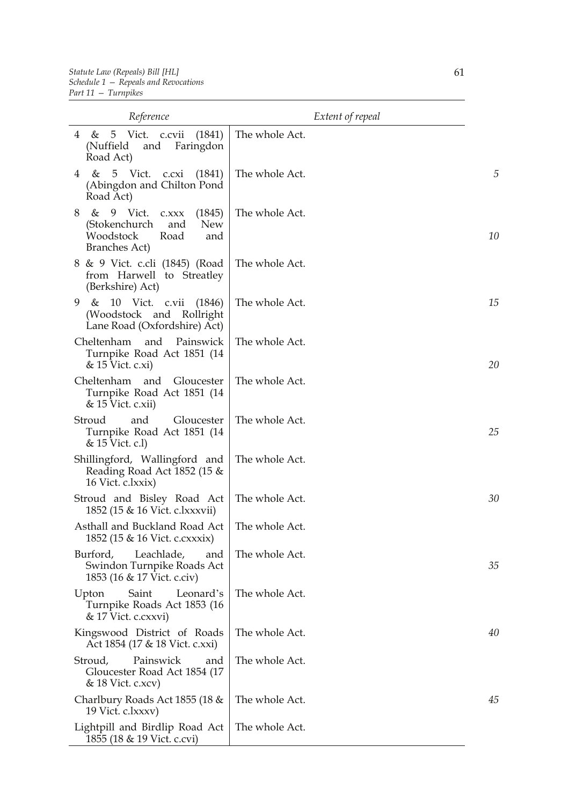| Reference                                                                                                                      | Extent of repeal |    |
|--------------------------------------------------------------------------------------------------------------------------------|------------------|----|
| (1841)<br>4 & 5 Vict. c.cvii<br>(Nuffield)<br>and<br>Faringdon<br>Road Act)                                                    | The whole Act.   |    |
| 5 Vict. c.cxi<br>$\&$<br>(1841)<br>4<br>(Abingdon and Chilton Pond<br>Road Act)                                                | The whole Act.   | 5  |
| 9 Vict.<br>&<br>(1845)<br>8<br>C.XXX<br><b>New</b><br>(Stokenchurch<br>and<br>Woodstock<br>Road<br>and<br><b>Branches Act)</b> | The whole Act.   | 10 |
| 8 & 9 Vict. c.cli (1845) (Road<br>from Harwell to Streatley<br>(Berkshire) Act)                                                | The whole Act.   |    |
| 10 Vict. c.vii<br>9<br>&<br>(1846)<br>(Woodstock and Rollright<br>Lane Road (Oxfordshire) Act)                                 | The whole Act.   | 15 |
| Cheltenham<br>and<br>Painswick<br>Turnpike Road Act 1851 (14<br>& 15 Vict. c.xi)                                               | The whole Act.   | 20 |
| Cheltenham and Gloucester<br>Turnpike Road Act 1851 (14<br>$& 15$ Vict. c.xii)                                                 | The whole Act.   |    |
| Stroud<br>and<br>Gloucester<br>Turnpike Road Act 1851 (14<br>& 15 Vict. c.l)                                                   | The whole Act.   | 25 |
| Shillingford, Wallingford and<br>Reading Road Act 1852 (15 &<br>16 Vict. c.lxxix)                                              | The whole Act.   |    |
| Stroud and Bisley Road Act<br>1852 (15 & 16 Vict. c.lxxxvii)                                                                   | The whole Act.   | 30 |
| Asthall and Buckland Road Act<br>1852 (15 & 16 Vict. c.cxxxix)                                                                 | The whole Act.   |    |
| Burford,<br>Leachlade,<br>and<br>Swindon Turnpike Roads Act<br>1853 (16 & 17 Vict. c.civ)                                      | The whole Act.   | 35 |
| Saint<br>Leonard's<br>Upton<br>Turnpike Roads Act 1853 (16<br>& 17 Vict. c.cxxvi)                                              | The whole Act.   |    |
| Kingswood District of Roads<br>Act 1854 (17 & 18 Vict. c.xxi)                                                                  | The whole Act.   | 40 |
| Painswick<br>Stroud,<br>and<br>Gloucester Road Act 1854 (17<br>& 18 Vict. c.xcv)                                               | The whole Act.   |    |
| Charlbury Roads Act 1855 (18 &<br>19 Vict. c.lxxxv)                                                                            | The whole Act.   | 45 |
| Lightpill and Birdlip Road Act<br>1855 (18 & 19 Vict. c.cvi)                                                                   | The whole Act.   |    |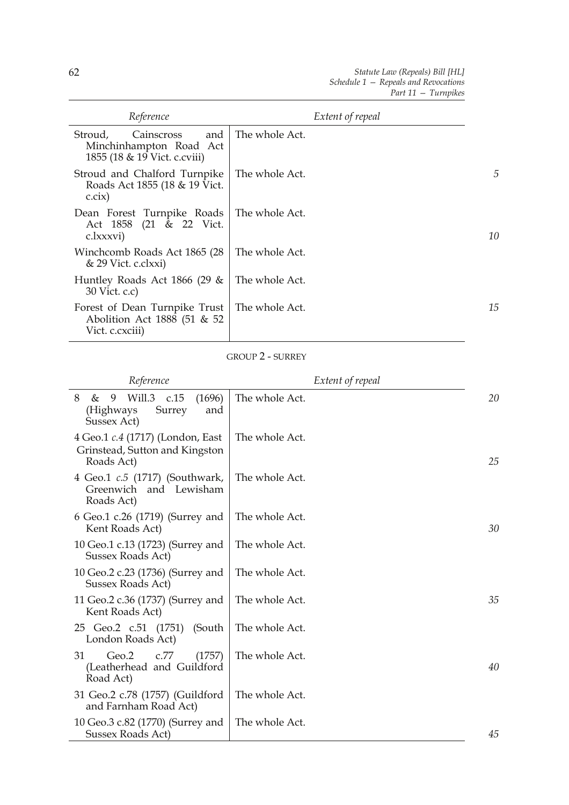| Reference                                                                               | Extent of repeal |    |
|-----------------------------------------------------------------------------------------|------------------|----|
| and<br>Stroud,<br>Cainscross<br>Minchinhampton Road Act<br>1855 (18 & 19 Vict. c.cviii) | The whole Act.   |    |
| Stroud and Chalford Turnpike<br>Roads Act 1855 (18 & 19 Vict.<br>c.cix)                 | The whole Act.   | 5  |
| Dean Forest Turnpike Roads<br>Act 1858 (21 & 22 Vict.<br>c.lxxxvi)                      | The whole Act.   | 10 |
| Winchcomb Roads Act 1865 (28)<br>& 29 Vict. c.clxxi)                                    | The whole Act.   |    |
| Huntley Roads Act 1866 (29 &<br>30 Vict. c.c)                                           | The whole Act.   |    |
| Forest of Dean Turnpike Trust<br>Abolition Act 1888 (51 & 52<br>Vict. c. cxciii)        | The whole Act.   | 15 |

#### GROUP 2 - SURREY

| Reference                                                                            | Extent of repeal |    |
|--------------------------------------------------------------------------------------|------------------|----|
| 8<br>&<br>9<br>Will.3<br>c.15<br>(1696)<br>Surrey<br>(Highways<br>and<br>Sussex Act) | The whole Act.   | 20 |
| 4 Geo.1 c.4 (1717) (London, East<br>Grinstead, Sutton and Kingston<br>Roads Act)     | The whole Act.   | 25 |
| 4 Geo.1 c.5 (1717) (Southwark,<br>Greenwich and Lewisham<br>Roads Act)               | The whole Act.   |    |
| 6 Geo.1 c.26 (1719) (Surrey and<br>Kent Roads Act)                                   | The whole Act.   | 30 |
| 10 Geo.1 c.13 (1723) (Surrey and<br>Sussex Roads Act)                                | The whole Act.   |    |
| 10 Geo.2 c.23 (1736) (Surrey and<br>Sussex Roads Act)                                | The whole Act.   |    |
| 11 Geo.2 c.36 (1737) (Surrey and<br>Kent Roads Act)                                  | The whole Act.   | 35 |
| 25 Geo.2 c.51 (1751)<br>(South<br>London Roads Act)                                  | The whole Act.   |    |
| 31<br>Geo.2<br>c.77<br>(1757)<br>(Leatherhead and Guildford<br>Road Act)             | The whole Act.   | 40 |
| 31 Geo.2 c.78 (1757) (Guildford<br>and Farnham Road Act)                             | The whole Act.   |    |
| 10 Geo.3 c.82 (1770) (Surrey and<br>Sussex Roads Act)                                | The whole Act.   | 45 |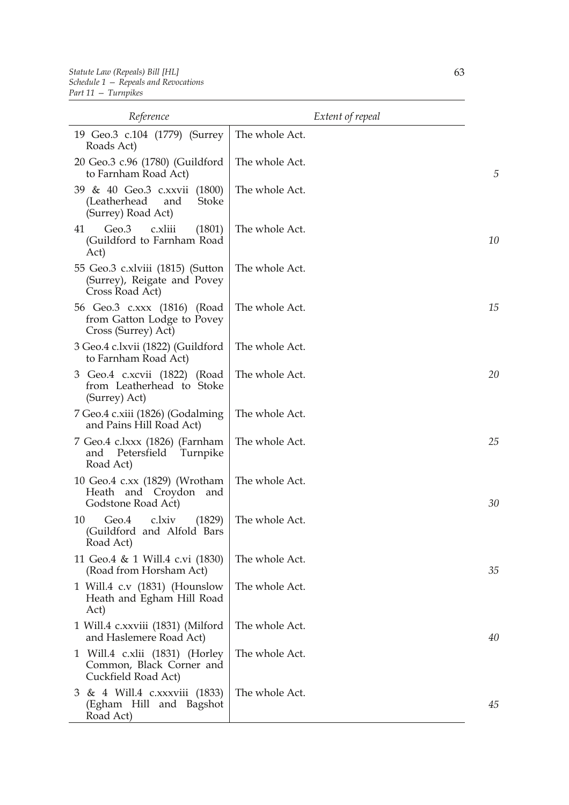| Reference                                                                          | Extent of repeal |    |
|------------------------------------------------------------------------------------|------------------|----|
| 19 Geo.3 c.104 (1779) (Surrey<br>Roads Act)                                        | The whole Act.   |    |
| 20 Geo.3 c.96 (1780) (Guildford<br>to Farnham Road Act)                            | The whole Act.   | 5  |
| 39 & 40 Geo.3 c.xxvii (1800)<br>(Leatherhead<br>Stoke<br>and<br>(Surrey) Road Act) | The whole Act.   |    |
| Geo.3<br>c.xliii<br>(1801)<br>41<br>(Guildford to Farnham Road<br>Act)             | The whole Act.   | 10 |
| 55 Geo.3 c.xlviii (1815) (Sutton<br>(Surrey), Reigate and Povey<br>Cross Road Act) | The whole Act.   |    |
| 56 Geo.3 c.xxx (1816) (Road<br>from Gatton Lodge to Povey<br>Cross (Surrey) Act)   | The whole Act.   | 15 |
| 3 Geo.4 c.lxvii (1822) (Guildford<br>to Farnham Road Act)                          | The whole Act.   |    |
| 3 Geo.4 c.xcvii (1822) (Road<br>from Leatherhead to Stoke<br>(Surrey) Act)         | The whole Act.   | 20 |
| 7 Geo.4 c.xiii (1826) (Godalming<br>and Pains Hill Road Act)                       | The whole Act.   |    |
| 7 Geo.4 c.lxxx (1826) (Farnham<br>Petersfield<br>and<br>Turnpike<br>Road Act)      | The whole Act.   | 25 |
| 10 Geo.4 c.xx (1829) (Wrotham<br>Heath and Croydon<br>and<br>Godstone Road Act)    | The whole Act.   | 30 |
| c.lxiv<br>10<br>Geo.4<br>(1829)<br>(Guildford and Alfold Bars<br>Road Act)         | The whole Act.   |    |
| 11 Geo.4 & 1 Will.4 c.vi (1830)<br>(Road from Horsham Act)                         | The whole Act.   | 35 |
| 1 Will.4 c.v (1831) (Hounslow<br>Heath and Egham Hill Road<br>Act)                 | The whole Act.   |    |
| 1 Will.4 c.xxviii (1831) (Milford<br>and Haslemere Road Act)                       | The whole Act.   | 40 |
| 1 Will.4 c.xlii (1831) (Horley<br>Common, Black Corner and<br>Cuckfield Road Act)  | The whole Act.   |    |
| 3 & 4 Will.4 c.xxxviii (1833)<br>(Egham Hill and Bagshot<br>Road Act)              | The whole Act.   | 45 |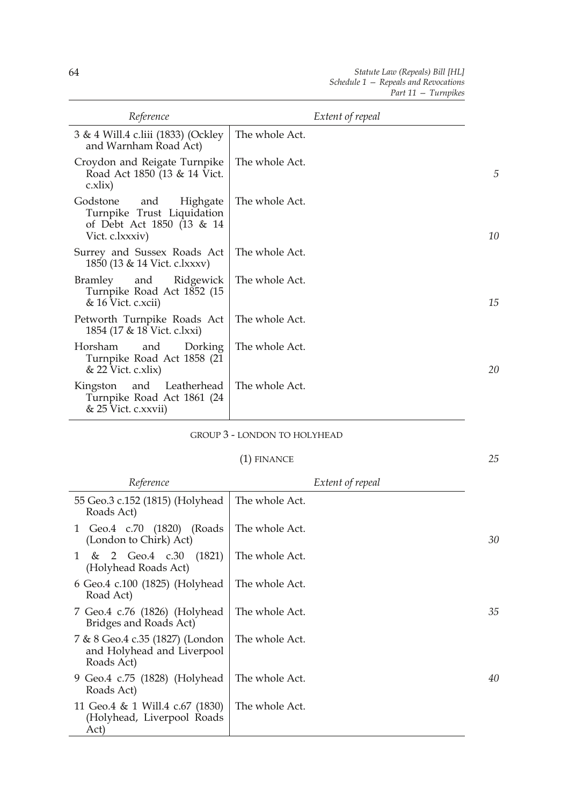*25*

| Reference                                                                                                 | Extent of repeal |    |
|-----------------------------------------------------------------------------------------------------------|------------------|----|
| 3 & 4 Will.4 c.liii (1833) (Ockley<br>and Warnham Road Act)                                               | The whole Act.   |    |
| Croydon and Reigate Turnpike<br>Road Act 1850 (13 & 14 Vict.<br>c.xlix)                                   | The whole Act.   | 5  |
| Godstone<br>Highgate<br>and<br>Turnpike Trust Liquidation<br>of Debt Act 1850 (13 & 14<br>Vict. c.lxxxiv) | The whole Act.   | 10 |
| Surrey and Sussex Roads Act<br>1850 (13 & 14 Vict. c.lxxxv)                                               | The whole Act.   |    |
| Bramley<br>and<br>Ridgewick<br>Turnpike Road Act 1852 (15<br>$& 16$ Vict. c.xcii)                         | The whole Act.   | 15 |
| Petworth Turnpike Roads Act<br>1854 (17 & 18 Vict. c.lxxi)                                                | The whole Act.   |    |
| Dorking<br>Horsham<br>and<br>Turnpike Road Act 1858 (21<br>$& 22$ Vict. c.xlix)                           | The whole Act.   | 20 |
| Leatherhead<br>and<br>Kingston<br>Turnpike Road Act 1861 (24<br>& 25 Vict. c.xxvii)                       | The whole Act.   |    |

## GROUP 3 - LONDON TO HOLYHEAD

## (1) FINANCE

| Reference                                                                   | Extent of repeal |    |
|-----------------------------------------------------------------------------|------------------|----|
| 55 Geo.3 c.152 (1815) (Holyhead<br>Roads Act)                               | The whole Act.   |    |
| 1 Geo.4 c.70 (1820)<br>(Roads)<br>(London to Chirk) Act)                    | The whole Act.   | 30 |
| 1 & 2 Geo.4 c.30<br>(1821)<br>(Holyhead Roads Act)                          | The whole Act.   |    |
| 6 Geo.4 c.100 (1825) (Holyhead<br>Road Act)                                 | The whole Act.   |    |
| 7 Geo.4 c.76 (1826) (Holyhead<br>Bridges and Roads Act)                     | The whole Act.   | 35 |
| 7 & 8 Geo.4 c.35 (1827) (London<br>and Holyhead and Liverpool<br>Roads Act) | The whole Act.   |    |
| 9 Geo.4 c.75 (1828) (Holyhead<br>Roads Act)                                 | The whole Act.   | 40 |
| 11 Geo.4 & 1 Will.4 c.67 (1830)<br>(Holyhead, Liverpool Roads<br>Act)       | The whole Act.   |    |

 $\overline{a}$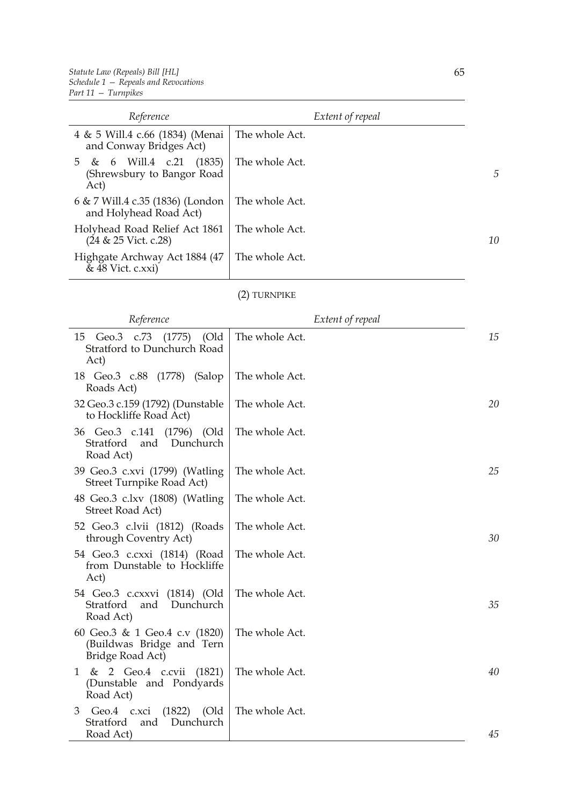| Reference                                                         |                | Extent of repeal |                |
|-------------------------------------------------------------------|----------------|------------------|----------------|
| 4 & 5 Will.4 c.66 (1834) (Menai<br>and Conway Bridges Act)        | The whole Act. |                  |                |
| (1835)<br>5 & 6 Will.4 c.21<br>(Shrewsbury to Bangor Road<br>Act) | The whole Act. |                  | $\overline{D}$ |
| 6 & 7 Will.4 c.35 (1836) (London<br>and Holyhead Road Act)        | The whole Act. |                  |                |
| Holyhead Road Relief Act 1861<br>$(24 \& 25$ Vict. c.28)          | The whole Act. |                  | 10             |
| Highgate Archway Act 1884 (47)<br>& 48 Vict. c.xxi)               | The whole Act. |                  |                |

## (2) TURNPIKE

| Reference                                                                            | Extent of repeal |    |
|--------------------------------------------------------------------------------------|------------------|----|
| 15<br>Geo.3 c.73<br>(1775)<br>(Old<br>Stratford to Dunchurch Road<br>Act)            | The whole Act.   | 15 |
| 18 Geo.3 c.88 (1778) (Salop<br>Roads Act)                                            | The whole Act.   |    |
| 32 Geo.3 c.159 (1792) (Dunstable<br>to Hockliffe Road Act)                           | The whole Act.   | 20 |
| 36 Geo.3 c.141<br>(1796) (Old<br>Stratford<br>and<br>Dunchurch<br>Road Act)          | The whole Act.   |    |
| 39 Geo.3 c.xvi (1799) (Watling<br>Street Turnpike Road Act)                          | The whole Act.   | 25 |
| 48 Geo.3 c.lxv (1808) (Watling<br>Street Road Act)                                   | The whole Act.   |    |
| 52 Geo.3 c.lvii (1812) (Roads<br>through Coventry Act)                               | The whole Act.   | 30 |
| 54 Geo.3 c.cxxi (1814) (Road<br>from Dunstable to Hockliffe<br>Act)                  | The whole Act.   |    |
| 54 Geo.3 c.cxxvi (1814) (Old<br>Dunchurch<br>Stratford<br>and<br>Road Act)           | The whole Act.   | 35 |
| 60 Geo.3 & 1 Geo.4 c.v (1820)<br>(Buildwas Bridge and Tern<br>Bridge Road Act)       | The whole Act.   |    |
| & 2 Geo.4 c.cvii<br>(1821)<br>1<br>(Dunstable and Pondyards<br>Road Act)             | The whole Act.   | 40 |
| 3<br>Geo.4<br>$(1822)$ $(Old$<br>c.xci<br>Stratford<br>Dunchurch<br>and<br>Road Act) | The whole Act.   | 45 |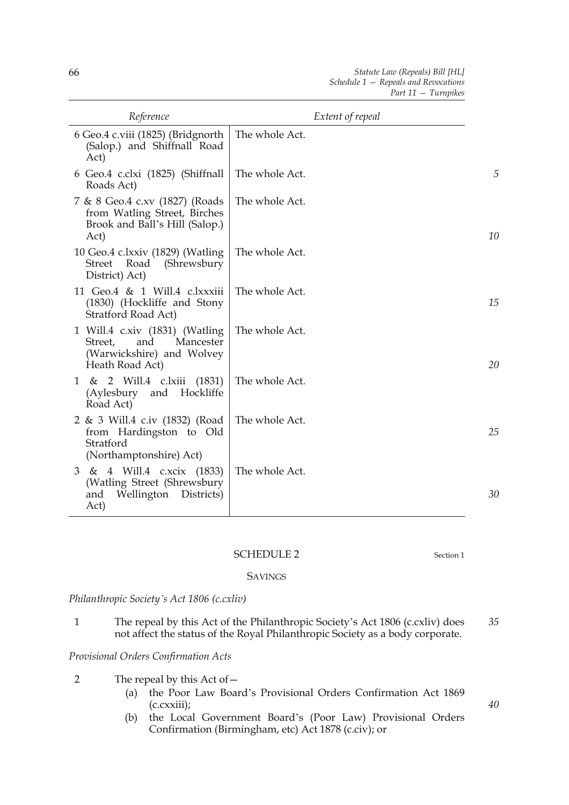| Reference                                                                                                     | Extent of repeal |    |
|---------------------------------------------------------------------------------------------------------------|------------------|----|
| 6 Geo.4 c.viii (1825) (Bridgnorth<br>(Salop.) and Shiffnall Road<br>Act)                                      | The whole Act.   |    |
| 6 Geo.4 c.clxi (1825) (Shiffnall<br>Roads Act)                                                                | The whole Act.   | 5  |
| 7 & 8 Geo.4 c.xv (1827) (Roads<br>from Watling Street, Birches<br>Brook and Ball's Hill (Salop.)<br>Act)      | The whole Act.   | 10 |
| 10 Geo.4 c.lxxiv (1829) (Watling<br>Street Road (Shrewsbury<br>District) Act)                                 | The whole Act.   |    |
| 11 Geo.4 & 1 Will.4 c.lxxxiii<br>(1830) (Hockliffe and Stony<br>Stratford Road Act)                           | The whole Act.   | 15 |
| 1 Will.4 c.xiv (1831) (Watling<br>Mancester<br>Street,<br>and<br>(Warwickshire) and Wolvey<br>Heath Road Act) | The whole Act.   | 20 |
| 1 & 2 Will.4 c.lxiii<br>(1831)<br>(Aylesbury<br>Hockliffe<br>and<br>Road Act)                                 | The whole Act.   |    |
| 2 & 3 Will.4 c.iv (1832) (Road<br>from Hardingston to Old<br>Stratford<br>(Northamptonshire) Act)             | The whole Act.   | 25 |
| 3 & 4 Will.4 c.xcix (1833)<br>(Watling Street (Shrewsbury<br>Wellington Districts)<br>and<br>Act)             | The whole Act.   | 30 |

## SCHEDULE 2 Section 1

**SAVINGS** 

*Philanthropic Society's Act 1806 (c.cxliv)*

1 The repeal by this Act of the Philanthropic Society's Act 1806 (c.cxliv) does not affect the status of the Royal Philanthropic Society as a body corporate. *35*

*Provisional Orders Confirmation Acts*

- 2 The repeal by this Act of—
	- (a) the Poor Law Board's Provisional Orders Confirmation Act 1869 (c.cxxiii);
	- (b) the Local Government Board's (Poor Law) Provisional Orders Confirmation (Birmingham, etc) Act 1878 (c.civ); or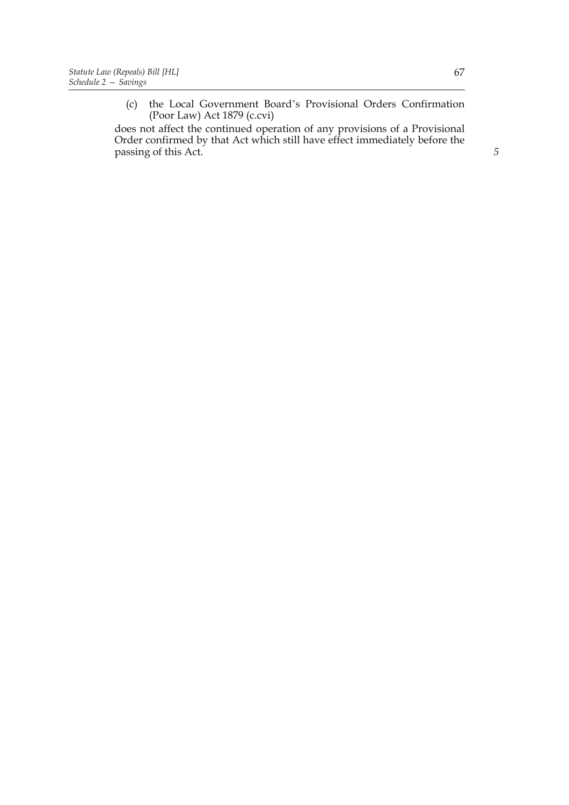(c) the Local Government Board's Provisional Orders Confirmation (Poor Law) Act 1879 (c.cvi)

does not affect the continued operation of any provisions of a Provisional Order confirmed by that Act which still have effect immediately before the passing of this Act. **5**